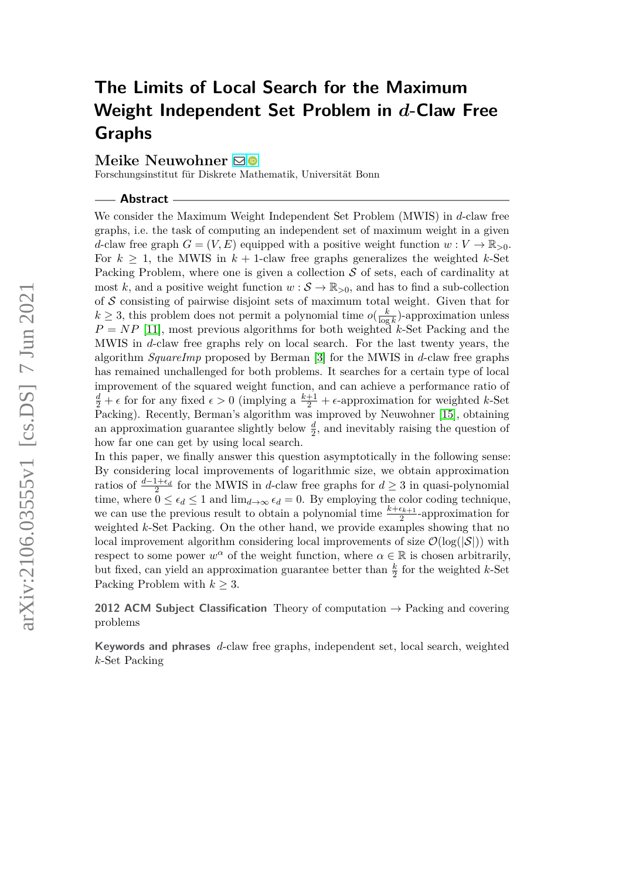# **The Limits of Local Search for the Maximum Weight Independent Set Problem in** *d***-Claw Free Graphs**

#### **Meike Neuwohner** ⊠<sup>®</sup>

Forschungsinstitut für Diskrete Mathematik, Universität Bonn

**Abstract**

We consider the Maximum Weight Independent Set Problem (MWIS) in *d*-claw free graphs, i.e. the task of computing an independent set of maximum weight in a given *d*-claw free graph  $G = (V, E)$  equipped with a positive weight function  $w: V \to \mathbb{R}_{>0}$ . For  $k \geq 1$ , the MWIS in  $k + 1$ -claw free graphs generalizes the weighted *k*-Set Packing Problem, where one is given a collection  $S$  of sets, each of cardinality at most k, and a positive weight function  $w : \mathcal{S} \to \mathbb{R}_{>0}$ , and has to find a sub-collection of  $S$  consisting of pairwise disjoint sets of maximum total weight. Given that for  $k \geq 3$ , this problem does not permit a polynomial time  $o(\frac{k}{\log n})$  $\frac{k}{\log k}$ )-approximation unless  $P = NP$  [\[11\]](#page-45-0), most previous algorithms for both weighted *k*-Set Packing and the MWIS in *d*-claw free graphs rely on local search. For the last twenty years, the algorithm *SquareImp* proposed by Berman [\[3\]](#page-44-0) for the MWIS in *d*-claw free graphs has remained unchallenged for both problems. It searches for a certain type of local improvement of the squared weight function, and can achieve a performance ratio of  $\frac{d}{2} + \epsilon$  for for any fixed  $\epsilon > 0$  (implying a  $\frac{k+1}{2} + \epsilon$ -approximation for weighted *k*-Set Packing). Recently, Berman's algorithm was improved by Neuwohner [\[15\]](#page-45-1), obtaining an approximation guarantee slightly below  $\frac{d}{2}$ , and inevitably raising the question of how far one can get by using local search.

In this paper, we finally answer this question asymptotically in the following sense: By considering local improvements of logarithmic size, we obtain approximation ratios of  $\frac{d-1+\epsilon_d}{2}$  for the MWIS in *d*-claw free graphs for  $d \geq 3$  in quasi-polynomial time, where  $0 \leq \epsilon_d \leq 1$  and  $\lim_{d\to\infty} \epsilon_d = 0$ . By employing the color coding technique, we can use the previous result to obtain a polynomial time  $\frac{k+\epsilon_{k+1}}{2}$ -approximation for weighted *k*-Set Packing. On the other hand, we provide examples showing that no local improvement algorithm considering local improvements of size  $\mathcal{O}(\log(|\mathcal{S}|))$  with respect to some power  $w^{\alpha}$  of the weight function, where  $\alpha \in \mathbb{R}$  is chosen arbitrarily, but fixed, can yield an approximation guarantee better than  $\frac{k}{2}$  for the weighted *k*-Set Packing Problem with  $k \geq 3$ .

**2012 ACM Subject Classification** Theory of computation → Packing and covering problems

**Keywords and phrases** *d*-claw free graphs, independent set, local search, weighted *k*-Set Packing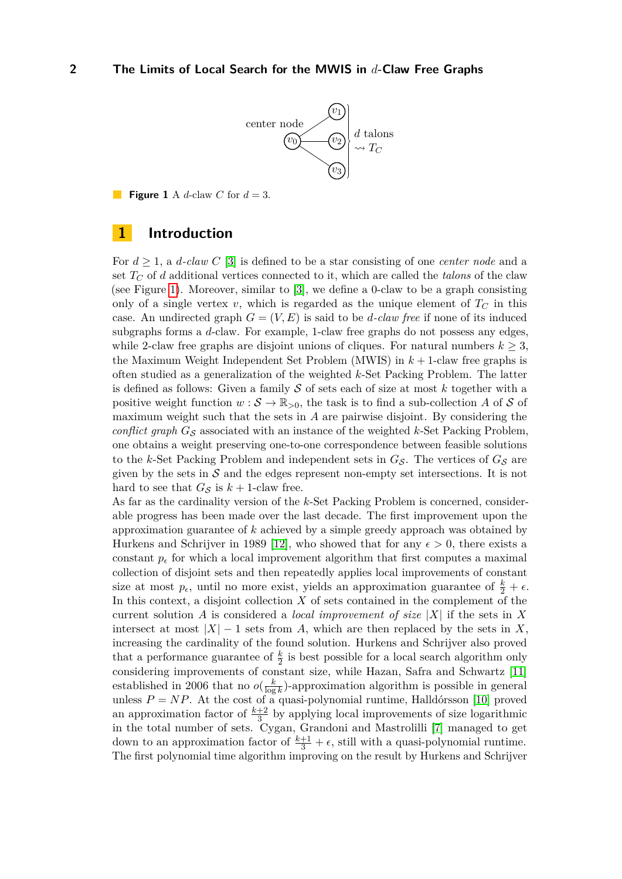

<span id="page-1-0"></span>**Figure 1** A *d*-claw *C* for  $d = 3$ .

## **1 Introduction**

For *d* ≥ 1, a *d-claw C* [\[3\]](#page-44-0) is defined to be a star consisting of one *center node* and a set  $T_C$  of *d* additional vertices connected to it, which are called the *talons* of the claw (see Figure [1\)](#page-1-0). Moreover, similar to [\[3\]](#page-44-0), we define a 0-claw to be a graph consisting only of a single vertex *v*, which is regarded as the unique element of  $T_C$  in this case. An undirected graph  $G = (V, E)$  is said to be *d*-claw free if none of its induced subgraphs forms a *d*-claw. For example, 1-claw free graphs do not possess any edges, while 2-claw free graphs are disjoint unions of cliques. For natural numbers  $k \geq 3$ , the Maximum Weight Independent Set Problem (MWIS) in *k* + 1-claw free graphs is often studied as a generalization of the weighted *k*-Set Packing Problem. The latter is defined as follows: Given a family S of sets each of size at most *k* together with a positive weight function  $w : \mathcal{S} \to \mathbb{R}_{>0}$ , the task is to find a sub-collection *A* of *S* of maximum weight such that the sets in *A* are pairwise disjoint. By considering the *conflict graph*  $G_S$  associated with an instance of the weighted  $k$ -Set Packing Problem, one obtains a weight preserving one-to-one correspondence between feasible solutions to the *k*-Set Packing Problem and independent sets in  $G_{\mathcal{S}}$ . The vertices of  $G_{\mathcal{S}}$  are given by the sets in  $S$  and the edges represent non-empty set intersections. It is not hard to see that  $G_S$  is  $k + 1$ -claw free.

As far as the cardinality version of the *k*-Set Packing Problem is concerned, considerable progress has been made over the last decade. The first improvement upon the approximation guarantee of *k* achieved by a simple greedy approach was obtained by Hurkens and Schrijver in 1989 [\[12\]](#page-45-2), who showed that for any  $\epsilon > 0$ , there exists a constant  $p_{\epsilon}$  for which a local improvement algorithm that first computes a maximal collection of disjoint sets and then repeatedly applies local improvements of constant size at most  $p_{\epsilon}$ , until no more exist, yields an approximation guarantee of  $\frac{k}{2} + \epsilon$ . In this context, a disjoint collection *X* of sets contained in the complement of the current solution *A* is considered a *local improvement of size* |*X*| if the sets in *X* intersect at most  $|X| - 1$  sets from *A*, which are then replaced by the sets in X, increasing the cardinality of the found solution. Hurkens and Schrijver also proved that a performance guarantee of  $\frac{k}{2}$  is best possible for a local search algorithm only considering improvements of constant size, while Hazan, Safra and Schwartz [\[11\]](#page-45-0) established in 2006 that no  $o(\frac{k}{\log n})$  $\frac{k}{\log k}$ )-approximation algorithm is possible in general unless  $P = NP$ . At the cost of a quasi-polynomial runtime, Halldórsson [\[10\]](#page-45-3) proved an approximation factor of  $\frac{k+2}{3}$  by applying local improvements of size logarithmic in the total number of sets. Cygan, Grandoni and Mastrolilli [\[7\]](#page-44-1) managed to get down to an approximation factor of  $\frac{k+1}{3} + \epsilon$ , still with a quasi-polynomial runtime. The first polynomial time algorithm improving on the result by Hurkens and Schrijver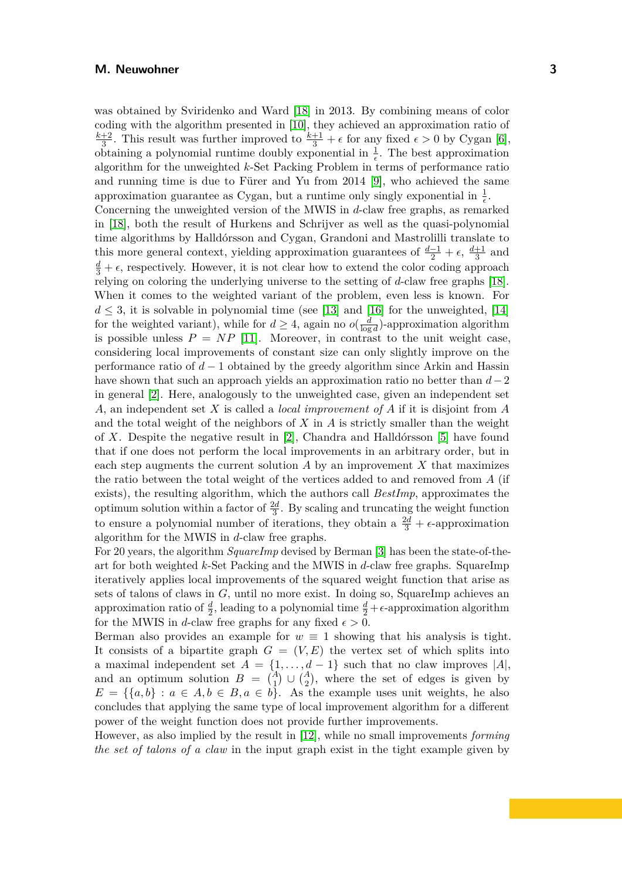was obtained by Sviridenko and Ward [\[18\]](#page-45-4) in 2013. By combining means of color coding with the algorithm presented in [\[10\]](#page-45-3), they achieved an approximation ratio of *k*+2  $\frac{+2}{3}$ . This result was further improved to  $\frac{k+1}{3} + \epsilon$  for any fixed  $\epsilon > 0$  by Cygan [\[6\]](#page-44-2), obtaining a polynomial runtime doubly exponential in  $\frac{1}{\epsilon}$ . The best approximation algorithm for the unweighted *k*-Set Packing Problem in terms of performance ratio and running time is due to Fürer and Yu from 2014 [\[9\]](#page-45-5), who achieved the same approximation guarantee as Cygan, but a runtime only singly exponential in  $\frac{1}{\epsilon}$ . Concerning the unweighted version of the MWIS in *d*-claw free graphs, as remarked in [\[18\]](#page-45-4), both the result of Hurkens and Schrijver as well as the quasi-polynomial time algorithms by Halldórsson and Cygan, Grandoni and Mastrolilli translate to this more general context, yielding approximation guarantees of  $\frac{d-1}{2} + \epsilon$ ,  $\frac{d+1}{3}$  $\frac{+1}{3}$  and  $\frac{d}{3} + \epsilon$ , respectively. However, it is not clear how to extend the color coding approach relying on coloring the underlying universe to the setting of *d*-claw free graphs [\[18\]](#page-45-4). When it comes to the weighted variant of the problem, even less is known. For  $d \leq 3$ , it is solvable in polynomial time (see [\[13\]](#page-45-6) and [\[16\]](#page-45-7) for the unweighted, [\[14\]](#page-45-8) for the weighted variant), while for  $d \geq 4$ , again no  $o(\frac{d}{d}$  $\frac{d}{\log d}$ )-approximation algorithm is possible unless  $P = NP$  [\[11\]](#page-45-0). Moreover, in contrast to the unit weight case, considering local improvements of constant size can only slightly improve on the performance ratio of *d* − 1 obtained by the greedy algorithm since Arkin and Hassin have shown that such an approach yields an approximation ratio no better than *d*−2 in general [\[2\]](#page-44-3). Here, analogously to the unweighted case, given an independent set *A*, an independent set *X* is called a *local improvement of A* if it is disjoint from *A* and the total weight of the neighbors of *X* in *A* is strictly smaller than the weight of *X*. Despite the negative result in [\[2\]](#page-44-3), Chandra and Halldórsson [\[5\]](#page-44-4) have found that if one does not perform the local improvements in an arbitrary order, but in each step augments the current solution  $\tilde{A}$  by an improvement  $\tilde{X}$  that maximizes the ratio between the total weight of the vertices added to and removed from *A* (if exists), the resulting algorithm, which the authors call *BestImp*, approximates the optimum solution within a factor of  $\frac{2d}{3}$ . By scaling and truncating the weight function to ensure a polynomial number of iterations, they obtain a  $\frac{2d}{3} + \epsilon$ -approximation algorithm for the MWIS in *d*-claw free graphs.

For 20 years, the algorithm *SquareImp* devised by Berman [\[3\]](#page-44-0) has been the state-of-theart for both weighted *k*-Set Packing and the MWIS in *d*-claw free graphs. SquareImp iteratively applies local improvements of the squared weight function that arise as sets of talons of claws in *G*, until no more exist. In doing so, SquareImp achieves an approximation ratio of  $\frac{d}{2}$ , leading to a polynomial time  $\frac{d}{2} + \epsilon$ -approximation algorithm for the MWIS in *d*-claw free graphs for any fixed  $\epsilon > 0$ .

Berman also provides an example for  $w \equiv 1$  showing that his analysis is tight. It consists of a bipartite graph  $G = (V, E)$  the vertex set of which splits into a maximal independent set  $A = \{1, \ldots, d-1\}$  such that no claw improves  $|A|$ , and an optimum solution  $B = \begin{pmatrix} A \\ 1 \end{pmatrix} \cup \begin{pmatrix} A \\ 2 \end{pmatrix}$ , where the set of edges is given by  $E = \{\{a, b\} : a \in A, b \in B, a \in b\}.$  As the example uses unit weights, he also concludes that applying the same type of local improvement algorithm for a different power of the weight function does not provide further improvements.

However, as also implied by the result in [\[12\]](#page-45-2), while no small improvements *forming the set of talons of a claw* in the input graph exist in the tight example given by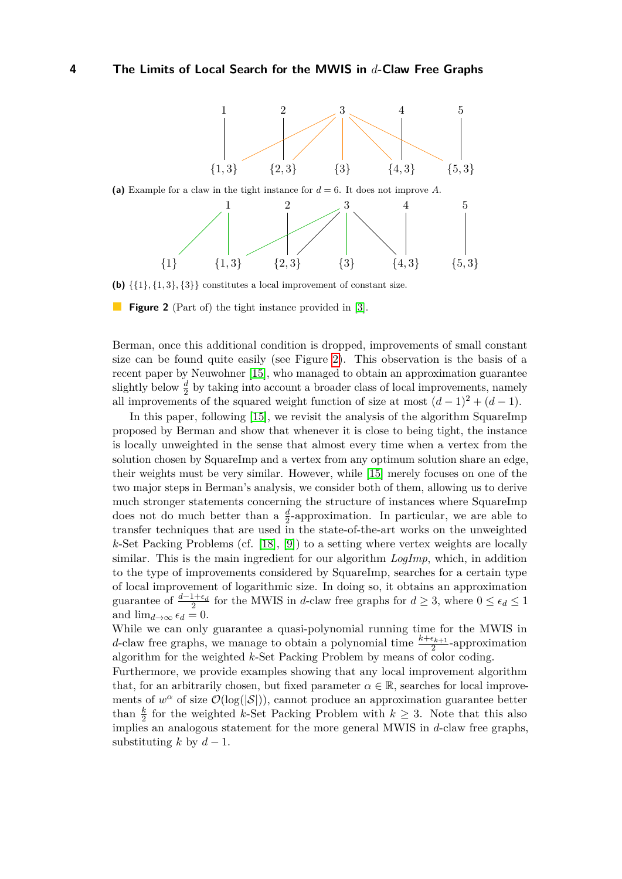<span id="page-3-0"></span>



(b)  $\{\{1\},\{1,3\},\{3\}\}\)$  constitutes a local improvement of constant size.

**Figure 2** (Part of) the tight instance provided in [\[3\]](#page-44-0).

Berman, once this additional condition is dropped, improvements of small constant size can be found quite easily (see Figure [2\)](#page-3-0). This observation is the basis of a recent paper by Neuwohner [\[15\]](#page-45-1), who managed to obtain an approximation guarantee slightly below  $\frac{d}{2}$  by taking into account a broader class of local improvements, namely all improvements of the squared weight function of size at most  $(d-1)^2 + (d-1)$ .

In this paper, following [\[15\]](#page-45-1), we revisit the analysis of the algorithm SquareImp proposed by Berman and show that whenever it is close to being tight, the instance is locally unweighted in the sense that almost every time when a vertex from the solution chosen by SquareImp and a vertex from any optimum solution share an edge, their weights must be very similar. However, while [\[15\]](#page-45-1) merely focuses on one of the two major steps in Berman's analysis, we consider both of them, allowing us to derive much stronger statements concerning the structure of instances where SquareImp does not do much better than a  $\frac{d}{2}$ -approximation. In particular, we are able to transfer techniques that are used in the state-of-the-art works on the unweighted *k*-Set Packing Problems (cf. [\[18\]](#page-45-4), [\[9\]](#page-45-5)) to a setting where vertex weights are locally similar. This is the main ingredient for our algorithm *LogImp*, which, in addition to the type of improvements considered by SquareImp, searches for a certain type of local improvement of logarithmic size. In doing so, it obtains an approximation guarantee of  $\frac{d-1+\epsilon_d}{2}$  for the MWIS in *d*-claw free graphs for  $d \geq 3$ , where  $0 \leq \epsilon_d \leq 1$ and  $\lim_{d\to\infty} \epsilon_d = 0$ .

While we can only guarantee a quasi-polynomial running time for the MWIS in *d*-claw free graphs, we manage to obtain a polynomial time  $\frac{k+\epsilon_{k+1}}{2}$ -approximation algorithm for the weighted *k*-Set Packing Problem by means of color coding.

Furthermore, we provide examples showing that any local improvement algorithm that, for an arbitrarily chosen, but fixed parameter  $\alpha \in \mathbb{R}$ , searches for local improvements of  $w^{\alpha}$  of size  $\mathcal{O}(\log(|\mathcal{S}|))$ , cannot produce an approximation guarantee better than  $\frac{k}{2}$  for the weighted *k*-Set Packing Problem with  $k \geq 3$ . Note that this also implies an analogous statement for the more general MWIS in *d*-claw free graphs, substituting  $k$  by  $d-1$ .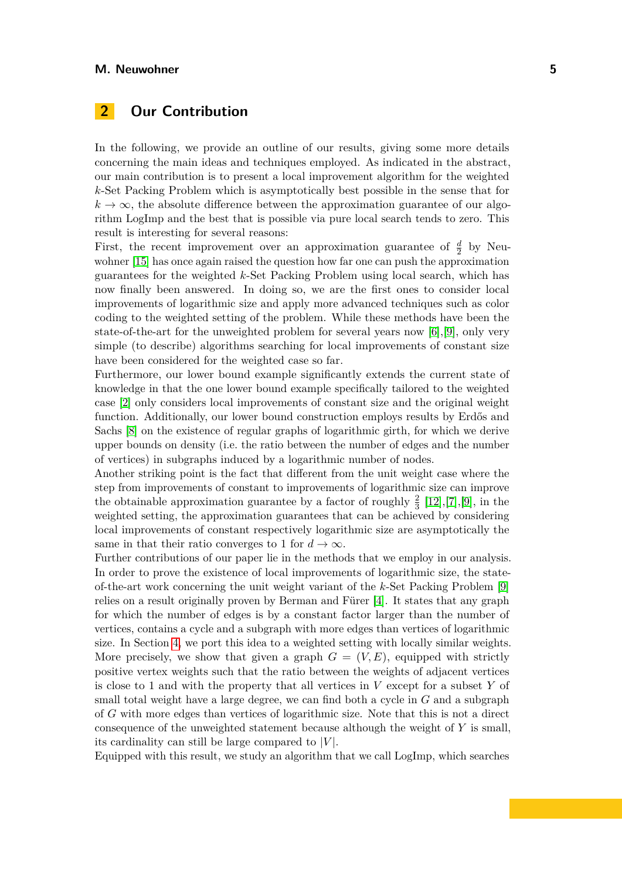## **2 Our Contribution**

In the following, we provide an outline of our results, giving some more details concerning the main ideas and techniques employed. As indicated in the abstract, our main contribution is to present a local improvement algorithm for the weighted *k*-Set Packing Problem which is asymptotically best possible in the sense that for  $k \to \infty$ , the absolute difference between the approximation guarantee of our algorithm LogImp and the best that is possible via pure local search tends to zero. This result is interesting for several reasons:

First, the recent improvement over an approximation guarantee of  $\frac{d}{2}$  by Neuwohner [\[15\]](#page-45-1) has once again raised the question how far one can push the approximation guarantees for the weighted *k*-Set Packing Problem using local search, which has now finally been answered. In doing so, we are the first ones to consider local improvements of logarithmic size and apply more advanced techniques such as color coding to the weighted setting of the problem. While these methods have been the state-of-the-art for the unweighted problem for several years now [\[6\]](#page-44-2),[\[9\]](#page-45-5), only very simple (to describe) algorithms searching for local improvements of constant size have been considered for the weighted case so far.

Furthermore, our lower bound example significantly extends the current state of knowledge in that the one lower bound example specifically tailored to the weighted case [\[2\]](#page-44-3) only considers local improvements of constant size and the original weight function. Additionally, our lower bound construction employs results by Erdős and Sachs [\[8\]](#page-44-5) on the existence of regular graphs of logarithmic girth, for which we derive upper bounds on density (i.e. the ratio between the number of edges and the number of vertices) in subgraphs induced by a logarithmic number of nodes.

Another striking point is the fact that different from the unit weight case where the step from improvements of constant to improvements of logarithmic size can improve the obtainable approximation guarantee by a factor of roughly  $\frac{2}{3}$  [\[12\]](#page-45-2),[\[7\]](#page-44-1),[\[9\]](#page-45-5), in the weighted setting, the approximation guarantees that can be achieved by considering local improvements of constant respectively logarithmic size are asymptotically the same in that their ratio converges to 1 for  $d \to \infty$ .

Further contributions of our paper lie in the methods that we employ in our analysis. In order to prove the existence of local improvements of logarithmic size, the stateof-the-art work concerning the unit weight variant of the *k*-Set Packing Problem [\[9\]](#page-45-5) relies on a result originally proven by Berman and Fürer [\[4\]](#page-44-6). It states that any graph for which the number of edges is by a constant factor larger than the number of vertices, contains a cycle and a subgraph with more edges than vertices of logarithmic size. In Section [4,](#page-8-0) we port this idea to a weighted setting with locally similar weights. More precisely, we show that given a graph  $G = (V, E)$ , equipped with strictly positive vertex weights such that the ratio between the weights of adjacent vertices is close to 1 and with the property that all vertices in *V* except for a subset *Y* of small total weight have a large degree, we can find both a cycle in *G* and a subgraph of *G* with more edges than vertices of logarithmic size. Note that this is not a direct consequence of the unweighted statement because although the weight of *Y* is small, its cardinality can still be large compared to  $|V|$ .

Equipped with this result, we study an algorithm that we call LogImp, which searches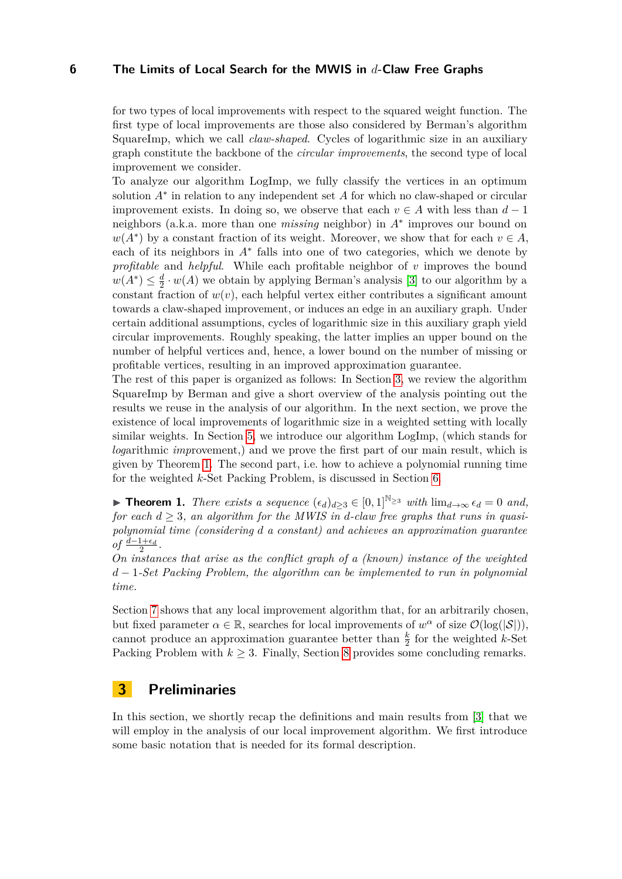for two types of local improvements with respect to the squared weight function. The first type of local improvements are those also considered by Berman's algorithm SquareImp, which we call *claw-shaped*. Cycles of logarithmic size in an auxiliary graph constitute the backbone of the *circular improvements*, the second type of local improvement we consider.

To analyze our algorithm LogImp, we fully classify the vertices in an optimum solution *A*<sup>∗</sup> in relation to any independent set *A* for which no claw-shaped or circular improvement exists. In doing so, we observe that each  $v \in A$  with less than  $d-1$ neighbors (a.k.a. more than one *missing* neighbor) in *A*<sup>∗</sup> improves our bound on  $w(A^*)$  by a constant fraction of its weight. Moreover, we show that for each  $v \in A$ , each of its neighbors in *A*<sup>∗</sup> falls into one of two categories, which we denote by *profitable* and *helpful*. While each profitable neighbor of *v* improves the bound  $w(A^*) \leq \frac{d}{2}$  $\frac{d}{2} \cdot w(A)$  we obtain by applying Berman's analysis [\[3\]](#page-44-0) to our algorithm by a constant fraction of  $w(v)$ , each helpful vertex either contributes a significant amount towards a claw-shaped improvement, or induces an edge in an auxiliary graph. Under certain additional assumptions, cycles of logarithmic size in this auxiliary graph yield circular improvements. Roughly speaking, the latter implies an upper bound on the number of helpful vertices and, hence, a lower bound on the number of missing or profitable vertices, resulting in an improved approximation guarantee.

The rest of this paper is organized as follows: In Section [3,](#page-5-0) we review the algorithm SquareImp by Berman and give a short overview of the analysis pointing out the results we reuse in the analysis of our algorithm. In the next section, we prove the existence of local improvements of logarithmic size in a weighted setting with locally similar weights. In Section [5,](#page-14-0) we introduce our algorithm LogImp, (which stands for *log*arithmic *imp*rovement,) and we prove the first part of our main result, which is given by Theorem [1.](#page-5-1) The second part, i.e. how to achieve a polynomial running time for the weighted *k*-Set Packing Problem, is discussed in Section [6.](#page-35-0)

<span id="page-5-1"></span>▶ **Theorem 1.** *There exists a sequence*  $(\epsilon_d)_{d>3} \in [0,1]^{\mathbb{N}_{\geq 3}}$  *with*  $\lim_{d\to\infty} \epsilon_d = 0$  *and, for each*  $d \geq 3$ *, an algorithm for the MWIS in d-claw free graphs that runs in quasipolynomial time (considering d a constant) and achieves an approximation guarantee of*  $\frac{d-1+\epsilon_d}{2}$ .

*On instances that arise as the conflict graph of a (known) instance of the weighted d* − 1*-Set Packing Problem, the algorithm can be implemented to run in polynomial time.*

Section [7](#page-40-0) shows that any local improvement algorithm that, for an arbitrarily chosen, but fixed parameter  $\alpha \in \mathbb{R}$ , searches for local improvements of  $w^{\alpha}$  of size  $\mathcal{O}(\log(|\mathcal{S}|)),$ cannot produce an approximation guarantee better than  $\frac{k}{2}$  for the weighted *k*-Set Packing Problem with  $k \geq 3$ . Finally, Section [8](#page-44-7) provides some concluding remarks.

## <span id="page-5-0"></span>**3 Preliminaries**

<span id="page-5-2"></span>In this section, we shortly recap the definitions and main results from [\[3\]](#page-44-0) that we will employ in the analysis of our local improvement algorithm. We first introduce some basic notation that is needed for its formal description.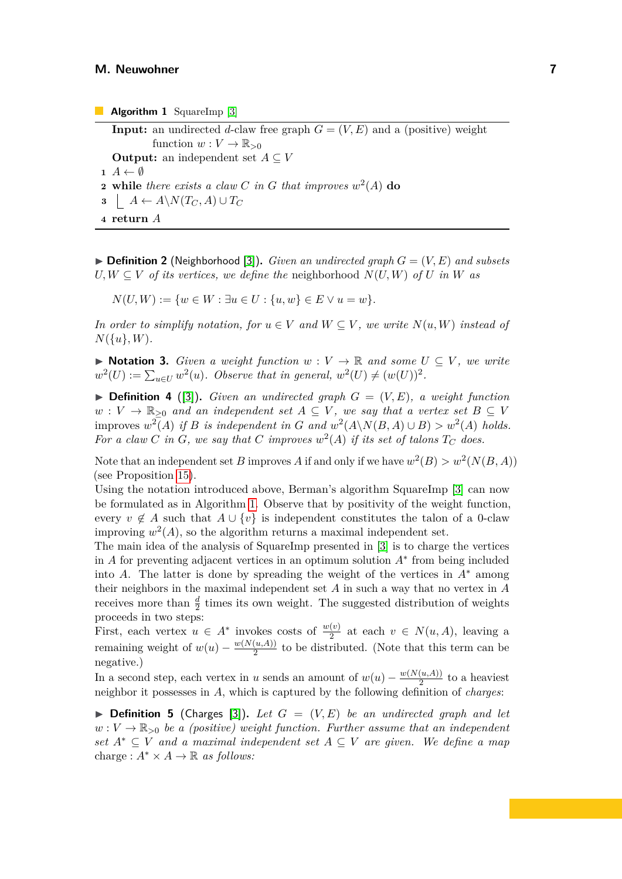**Input:** an undirected *d*-claw free graph  $G = (V, E)$  and a (positive) weight function  $w: V \to \mathbb{R}_{\geq 0}$ **Output:** an independent set  $A \subseteq V$  $\mathbf{1}$   $A \leftarrow \emptyset$ **2 while** *there exists a claw C in G that improves*  $w^2(A)$  **do 3**  $A \leftarrow A \setminus N(T_C, A) \cup T_C$ **4 return** *A*

<span id="page-6-0"></span> $\triangleright$  **Definition 2** (Neighborhood [\[3\]](#page-44-0)). *Given an undirected graph*  $G = (V, E)$  *and subsets*  $U, W \subseteq V$  *of its vertices, we define the neighborhood*  $N(U, W)$  *of U in W as* 

 $N(U, W) := \{w \in W : \exists u \in U : \{u, w\} \in E \vee u = w\}.$ 

*In order to simplify notation, for*  $u \in V$  *and*  $W \subseteq V$ *, we write*  $N(u, W)$  *instead of*  $N({u}, W)$ *.* 

▶ **Notation 3.** *Given a weight function*  $w: V \to \mathbb{R}$  *and some*  $U \subseteq V$ *, we write*  $w^2(U) := \sum_{u \in U} w^2(u)$ . Observe that in general,  $w^2(U) \neq (w(U))^2$ .

 $\triangleright$  **Definition 4** ([\[3\]](#page-44-0)). *Given an undirected graph*  $G = (V, E)$ , a weight function  $w: V \to \mathbb{R}_{\geq 0}$  *and an independent set*  $A \subseteq V$ *, we say that a vertex set*  $B \subseteq V$ improves  $w^2(A)$  if *B* is independent in *G* and  $w^2(A \setminus N(B, A) \cup B) > w^2(A)$  holds. For a claw  $C$  *in*  $G$ *, we say that*  $C$  *improves*  $w^2(A)$  *if its set of talons*  $T_C$  *does.* 

Note that an independent set *B* improves *A* if and only if we have  $w^2(B) > w^2(N(B, A))$ (see Proposition [15\)](#page-14-1).

Using the notation introduced above, Berman's algorithm SquareImp [\[3\]](#page-44-0) can now be formulated as in Algorithm [1.](#page-6-0) Observe that by positivity of the weight function, every  $v \notin A$  such that  $A \cup \{v\}$  is independent constitutes the talon of a 0-claw improving  $w^2(A)$ , so the algorithm returns a maximal independent set.

The main idea of the analysis of SquareImp presented in [\[3\]](#page-44-0) is to charge the vertices in *A* for preventing adjacent vertices in an optimum solution *A*<sup>∗</sup> from being included into *A*. The latter is done by spreading the weight of the vertices in  $A^*$  among their neighbors in the maximal independent set *A* in such a way that no vertex in *A* receives more than  $\frac{d}{2}$  times its own weight. The suggested distribution of weights proceeds in two steps:

First, each vertex  $u \in A^*$  invokes costs of  $\frac{w(v)}{2}$  at each  $v \in N(u, A)$ , leaving a remaining weight of  $w(u) - \frac{w(N(u,A))}{2}$  $\frac{(u,A)}{2}$  to be distributed. (Note that this term can be negative.)

In a second step, each vertex in *u* sends an amount of  $w(u) - \frac{w(N(u,A))}{2}$  $\frac{(u,A))}{2}$  to a heaviest neighbor it possesses in *A*, which is captured by the following definition of *charges*:

<span id="page-6-1"></span> $\triangleright$  **Definition 5** (Charges [\[3\]](#page-44-0)). Let  $G = (V, E)$  be an undirected graph and let  $w: V \to \mathbb{R}_{>0}$  *be a (positive) weight function. Further assume that an independent set A*<sup>∗</sup> ⊆ *V and a maximal independent set A* ⊆ *V are given. We define a map* charge :  $A^* \times A \rightarrow \mathbb{R}$  *as follows:*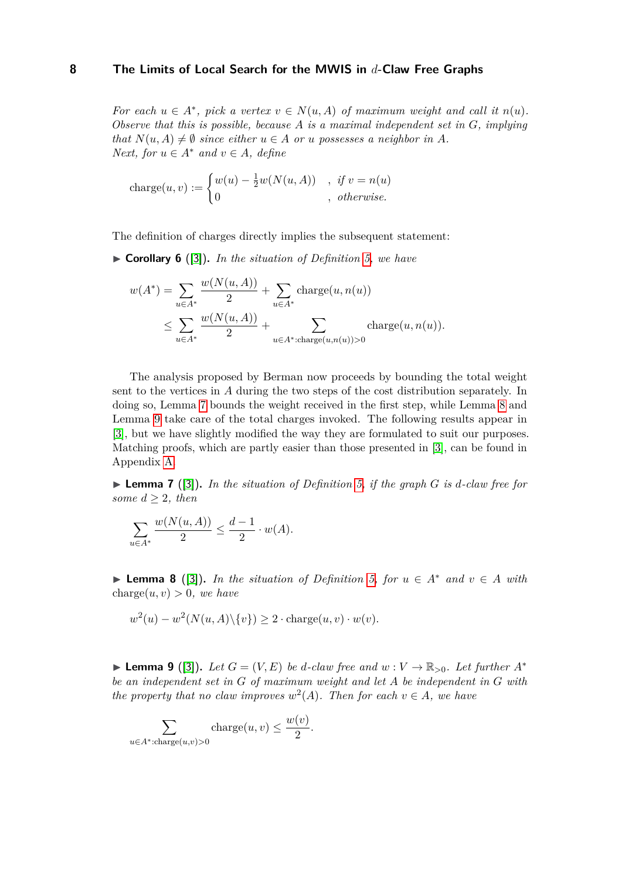*For each*  $u \in A^*$ , pick a vertex  $v \in N(u, A)$  of maximum weight and call it  $n(u)$ . *Observe that this is possible, because A is a maximal independent set in G, implying that*  $N(u, A) \neq \emptyset$  *since either*  $u \in A$  *or u possesses a neighbor in A. Next, for*  $u \in A^*$  *and*  $v \in A$ *, define* 

charge
$$
(u, v) := \begin{cases} w(u) - \frac{1}{2}w(N(u, A)) & , \text{ if } v = n(u) \\ 0 & , \text{ otherwise.} \end{cases}
$$

The definition of charges directly implies the subsequent statement:

<span id="page-7-3"></span>▶ **Corollary 6** ([\[3\]](#page-44-0))**.** *In the situation of Definition [5,](#page-6-1) we have*

$$
w(A^*) = \sum_{u \in A^*} \frac{w(N(u, A))}{2} + \sum_{u \in A^*} \text{charge}(u, n(u))
$$
  

$$
\leq \sum_{u \in A^*} \frac{w(N(u, A))}{2} + \sum_{u \in A^* : \text{charge}(u, n(u)) > 0} \text{charge}(u, n(u)).
$$

The analysis proposed by Berman now proceeds by bounding the total weight sent to the vertices in *A* during the two steps of the cost distribution separately. In doing so, Lemma [7](#page-7-0) bounds the weight received in the first step, while Lemma [8](#page-7-1) and Lemma [9](#page-7-2) take care of the total charges invoked. The following results appear in [\[3\]](#page-44-0), but we have slightly modified the way they are formulated to suit our purposes. Matching proofs, which are partly easier than those presented in [\[3\]](#page-44-0), can be found in Appendix [A.](#page-45-9)

<span id="page-7-0"></span>▶ **Lemma 7** ([\[3\]](#page-44-0))**.** *In the situation of Definition [5,](#page-6-1) if the graph G is d-claw free for some*  $d \geq 2$ *, then* 

$$
\sum_{u \in A^*} \frac{w(N(u,A))}{2} \le \frac{d-1}{2} \cdot w(A).
$$

<span id="page-7-1"></span>▶ **Lemma 8** ([\[3\]](#page-44-0)). In the situation of Definition [5,](#page-6-1) for  $u \in A^*$  and  $v \in A$  with charge $(u, v) > 0$ *, we have* 

$$
w^{2}(u) - w^{2}(N(u, A)\setminus\{v\}) \ge 2 \cdot \text{charge}(u, v) \cdot w(v).
$$

<span id="page-7-2"></span>▶ **Lemma 9** ([\[3\]](#page-44-0)). Let  $G = (V, E)$  be *d*-claw free and  $w : V \to \mathbb{R}_{>0}$ . Let further  $A^*$ *be an independent set in G of maximum weight and let A be independent in G with the property that no claw improves*  $w^2(A)$ *. Then for each*  $v \in A$ *, we have* 

*.*

$$
\sum_{u \in A^* : \text{charge}(u,v) > 0} \text{charge}(u,v) \le \frac{w(v)}{2}
$$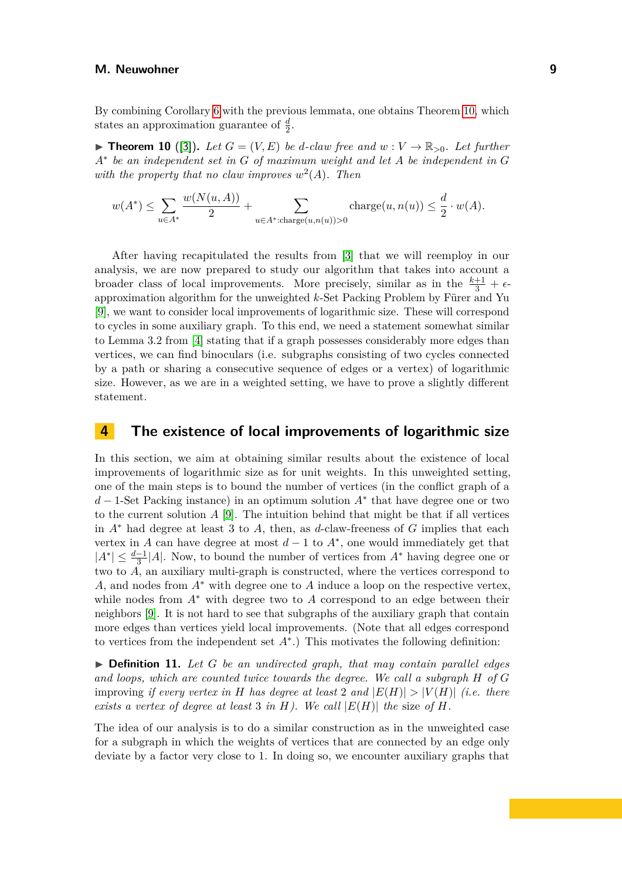By combining Corollary [6](#page-7-3) with the previous lemmata, one obtains Theorem [10,](#page-8-1) which states an approximation guarantee of  $\frac{d}{2}$ .

<span id="page-8-1"></span> $\blacktriangleright$  **Theorem 10** ([\[3\]](#page-44-0)). Let  $G = (V, E)$  be *d*-claw free and  $w : V \to \mathbb{R}_{>0}$ . Let further *A*∗ *be an independent set in G of maximum weight and let A be independent in G* with the property that no claw improves  $w^2(A)$ . Then

$$
w(A^*) \le \sum_{u \in A^*} \frac{w(N(u, A))}{2} + \sum_{u \in A^* : \text{charge}(u, n(u)) > 0} \text{charge}(u, n(u)) \le \frac{d}{2} \cdot w(A).
$$

After having recapitulated the results from [\[3\]](#page-44-0) that we will reemploy in our analysis, we are now prepared to study our algorithm that takes into account a broader class of local improvements. More precisely, similar as in the  $\frac{k+1}{3} + \epsilon$ approximation algorithm for the unweighted *k*-Set Packing Problem by Fürer and Yu [\[9\]](#page-45-5), we want to consider local improvements of logarithmic size. These will correspond to cycles in some auxiliary graph. To this end, we need a statement somewhat similar to Lemma 3*.*2 from [\[4\]](#page-44-6) stating that if a graph possesses considerably more edges than vertices, we can find binoculars (i.e. subgraphs consisting of two cycles connected by a path or sharing a consecutive sequence of edges or a vertex) of logarithmic size. However, as we are in a weighted setting, we have to prove a slightly different statement.

## <span id="page-8-0"></span>**4 The existence of local improvements of logarithmic size**

In this section, we aim at obtaining similar results about the existence of local improvements of logarithmic size as for unit weights. In this unweighted setting, one of the main steps is to bound the number of vertices (in the conflict graph of a *d* − 1-Set Packing instance) in an optimum solution *A*<sup>∗</sup> that have degree one or two to the current solution *A* [\[9\]](#page-45-5). The intuition behind that might be that if all vertices in *A*<sup>∗</sup> had degree at least 3 to *A*, then, as *d*-claw-freeness of *G* implies that each vertex in *A* can have degree at most  $d-1$  to  $A^*$ , one would immediately get that  $|A^*| \leq \frac{d-1}{3}|A|$ . Now, to bound the number of vertices from  $A^*$  having degree one or two to *A*, an auxiliary multi-graph is constructed, where the vertices correspond to *A*, and nodes from *A*<sup>∗</sup> with degree one to *A* induce a loop on the respective vertex, while nodes from *A*<sup>∗</sup> with degree two to *A* correspond to an edge between their neighbors [\[9\]](#page-45-5). It is not hard to see that subgraphs of the auxiliary graph that contain more edges than vertices yield local improvements. (Note that all edges correspond to vertices from the independent set *A*<sup>∗</sup> .) This motivates the following definition:

▶ **Definition 11.** *Let G be an undirected graph, that may contain parallel edges and loops, which are counted twice towards the degree. We call a subgraph H of G* improving *if every vertex in H has degree at least* 2 *and*  $|E(H)| > |V(H)|$  *(i.e. there exists a vertex of degree at least* 3 *in*  $H$ *). We call*  $|E(H)|$  *the size of*  $H$ *.* 

The idea of our analysis is to do a similar construction as in the unweighted case for a subgraph in which the weights of vertices that are connected by an edge only deviate by a factor very close to 1. In doing so, we encounter auxiliary graphs that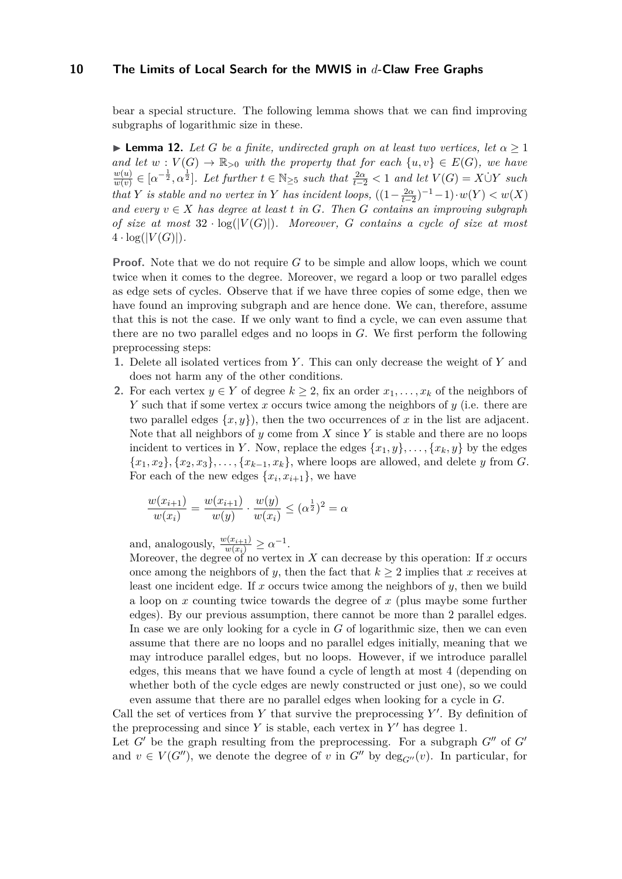bear a special structure. The following lemma shows that we can find improving subgraphs of logarithmic size in these.

<span id="page-9-0"></span>**• Lemma 12.** Let G be a finite, undirected graph on at least two vertices, let  $\alpha \geq 1$ *and let*  $w: V(G) \to \mathbb{R}_{>0}$  *with the property that for each*  $\{u, v\} \in E(G)$ *, we have w*(*u*)  $\frac{w(u)}{w(v)} \in [\alpha^{-\frac{1}{2}}, \alpha^{\frac{1}{2}}]$ . Let further  $t \in \mathbb{N}_{\geq 5}$  such that  $\frac{2\alpha}{t-2} < 1$  and let  $V(G) = X \dot{\cup} Y$  such *that Y is stable and no vertex in Y has incident loops,*  $((1 - \frac{2\alpha}{t-2})^{-1} - 1) \cdot w(Y) < w(X)$ *and every*  $v ∈ X$  *has degree at least t in G. Then G contains an improving subgraph of size at most*  $32 \cdot \log(|V(G)|)$ *. Moreover, G contains a cycle of size at most*  $4 \cdot \log(|V(G)|)$ .

**Proof.** Note that we do not require *G* to be simple and allow loops, which we count twice when it comes to the degree. Moreover, we regard a loop or two parallel edges as edge sets of cycles. Observe that if we have three copies of some edge, then we have found an improving subgraph and are hence done. We can, therefore, assume that this is not the case. If we only want to find a cycle, we can even assume that there are no two parallel edges and no loops in *G*. We first perform the following preprocessing steps:

- **1.** Delete all isolated vertices from *Y* . This can only decrease the weight of *Y* and does not harm any of the other conditions.
- **2.** For each vertex  $y \in Y$  of degree  $k \geq 2$ , fix an order  $x_1, \ldots, x_k$  of the neighbors of *Y* such that if some vertex *x* occurs twice among the neighbors of *y* (i.e. there are two parallel edges  $\{x, y\}$ , then the two occurrences of x in the list are adjacent. Note that all neighbors of *y* come from *X* since *Y* is stable and there are no loops incident to vertices in *Y*. Now, replace the edges  $\{x_1, y\}, \ldots, \{x_k, y\}$  by the edges  ${x_1, x_2}, {x_2, x_3}, \ldots, {x_{k-1}, x_k}$ , where loops are allowed, and delete *y* from *G*. For each of the new edges  $\{x_i, x_{i+1}\}$ , we have

$$
\frac{w(x_{i+1})}{w(x_i)} = \frac{w(x_{i+1})}{w(y)} \cdot \frac{w(y)}{w(x_i)} \le (\alpha^{\frac{1}{2}})^2 = \alpha
$$

and, analogously,  $\frac{w(x_{i+1})}{w(x_i)} \geq \alpha^{-1}$ .

Moreover, the degree of no vertex in *X* can decrease by this operation: If *x* occurs once among the neighbors of *y*, then the fact that  $k \geq 2$  implies that *x* receives at least one incident edge. If *x* occurs twice among the neighbors of *y*, then we build a loop on *x* counting twice towards the degree of *x* (plus maybe some further edges). By our previous assumption, there cannot be more than 2 parallel edges. In case we are only looking for a cycle in *G* of logarithmic size, then we can even assume that there are no loops and no parallel edges initially, meaning that we may introduce parallel edges, but no loops. However, if we introduce parallel edges, this means that we have found a cycle of length at most 4 (depending on whether both of the cycle edges are newly constructed or just one), so we could even assume that there are no parallel edges when looking for a cycle in *G*.

Call the set of vertices from  $Y$  that survive the preprocessing  $Y'$ . By definition of the preprocessing and since  $Y$  is stable, each vertex in  $Y'$  has degree 1.

Let  $G'$  be the graph resulting from the preprocessing. For a subgraph  $G''$  of  $G'$ and  $v \in V(G'')$ , we denote the degree of *v* in  $G''$  by  $\deg_{G''}(v)$ . In particular, for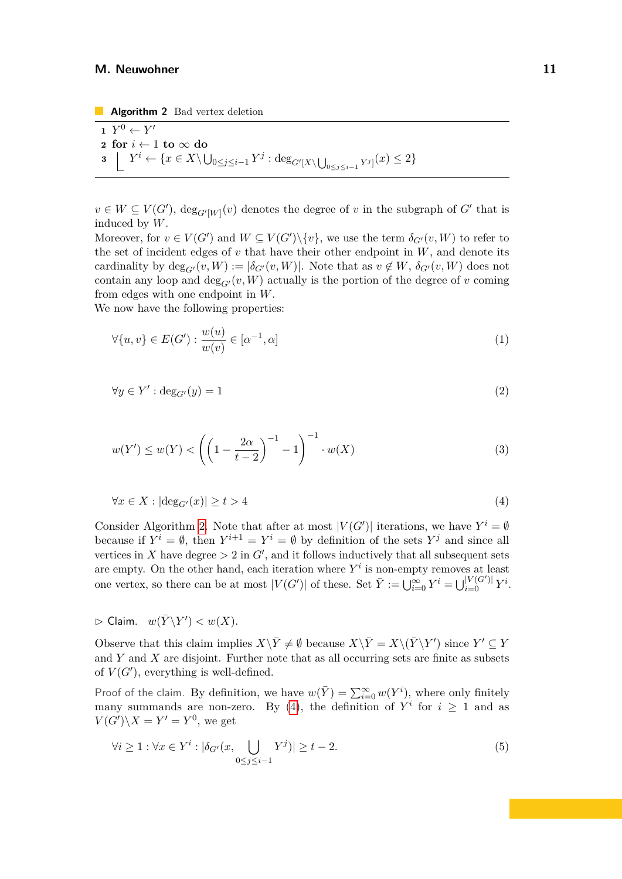**Algorithm 2** Bad vertex deletion

1 
$$
Y^0 \leftarrow Y'
$$
  
\n2 for  $i \leftarrow 1$  to  $\infty$  do  
\n3  $\left[ Y^i \leftarrow \{x \in X \setminus \bigcup_{0 \le j \le i-1} Y^j : \deg_{G'[X \setminus \bigcup_{0 \le j \le i-1} Y^j]}(x) \le 2 \}$ 

<span id="page-10-0"></span> $v \in W \subseteq V(G')$ ,  $deg_{G'[W]}(v)$  denotes the degree of *v* in the subgraph of *G*<sup>'</sup> that is induced by *W*.

Moreover, for  $v \in V(G')$  and  $W \subseteq V(G') \setminus \{v\}$ , we use the term  $\delta_{G'}(v, W)$  to refer to the set of incident edges of  $v$  that have their other endpoint in  $W$ , and denote its cardinality by  $deg_{G'}(v, W) := |\delta_{G'}(v, W)|$ . Note that as  $v \notin W$ ,  $\delta_{G'}(v, W)$  does not contain any loop and  $\deg_{G'}(v, W)$  actually is the portion of the degree of *v* coming from edges with one endpoint in *W*.

We now have the following properties:

<span id="page-10-4"></span><span id="page-10-2"></span>
$$
\forall \{u, v\} \in E(G') : \frac{w(u)}{w(v)} \in [\alpha^{-1}, \alpha]
$$
\n
$$
(1)
$$

<span id="page-10-5"></span>
$$
\forall y \in Y' : \deg_{G'}(y) = 1 \tag{2}
$$

$$
w(Y') \le w(Y) < \left( \left( 1 - \frac{2\alpha}{t - 2} \right)^{-1} - 1 \right)^{-1} \cdot w(X) \tag{3}
$$

<span id="page-10-1"></span>
$$
\forall x \in X : |\deg_{G'}(x)| \ge t > 4 \tag{4}
$$

Consider Algorithm [2.](#page-10-0) Note that after at most  $|V(G')|$  iterations, we have  $Y^i = \emptyset$ because if  $Y^i = \emptyset$ , then  $Y^{i+1} = Y^i = \emptyset$  by definition of the sets  $Y^j$  and since all vertices in *X* have degree  $> 2$  in  $G'$ , and it follows inductively that all subsequent sets are empty. On the other hand, each iteration where  $Y^i$  is non-empty removes at least one vertex, so there can be at most  $|V(G')|$  of these. Set  $\overline{Y} := \bigcup_{i=0}^{\infty} Y^i = \bigcup_{i=0}^{|V(G')|} Y^i$ .

 $\rhd$  Claim.  $w(\bar{Y}\backslash Y') < w(X)$ .

Observe that this claim implies  $X\backslash \bar{Y} \neq \emptyset$  because  $X\backslash \bar{Y} = X\backslash (\bar{Y}\backslash Y')$  since  $Y' \subseteq Y$ and *Y* and *X* are disjoint. Further note that as all occurring sets are finite as subsets of  $V(G')$ , everything is well-defined.

Proof of the claim. By definition, we have  $w(\bar{Y}) = \sum_{i=0}^{\infty} w(Y^i)$ , where only finitely many summands are non-zero. By [\(4\)](#page-10-1), the definition of  $Y^i$  for  $i \geq 1$  and as  $V(G')\backslash X=Y'=Y^0$ , we get

<span id="page-10-3"></span>
$$
\forall i \ge 1 : \forall x \in Y^i : |\delta_{G'}(x, \bigcup_{0 \le j \le i-1} Y^j)| \ge t - 2. \tag{5}
$$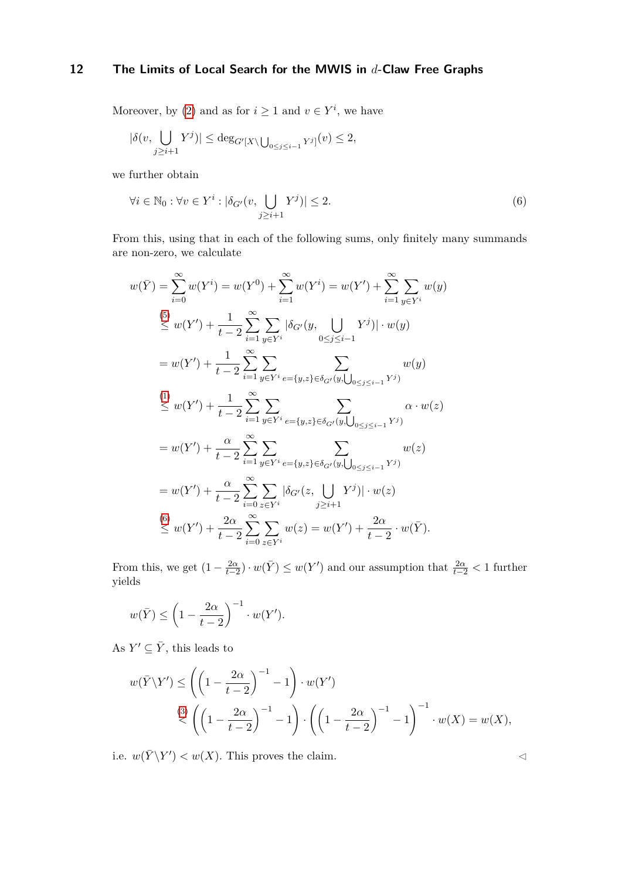Moreover, by [\(2\)](#page-10-2) and as for  $i \geq 1$  and  $v \in Y^i$ , we have

$$
|\delta(v,\bigcup_{j\geq i+1}Y^j)|\leq \deg_{G'[X\setminus \bigcup_{0\leq j\leq i-1}Y^j]}(v)\leq 2,
$$

we further obtain

<span id="page-11-0"></span>
$$
\forall i \in \mathbb{N}_0 : \forall v \in Y^i : |\delta_{G'}(v, \bigcup_{j \ge i+1} Y^j)| \le 2. \tag{6}
$$

From this, using that in each of the following sums, only finitely many summands are non-zero, we calculate

$$
w(\bar{Y}) = \sum_{i=0}^{\infty} w(Y^{i}) = w(Y^{0}) + \sum_{i=1}^{\infty} w(Y^{i}) = w(Y') + \sum_{i=1}^{\infty} \sum_{y \in Y^{i}} w(y)
$$
  
\n
$$
\leq w(Y') + \frac{1}{t-2} \sum_{i=1}^{\infty} \sum_{y \in Y^{i}} |\delta_{G'}(y, \bigcup_{0 \leq j \leq i-1} Y^{j})| \cdot w(y)
$$
  
\n
$$
= w(Y') + \frac{1}{t-2} \sum_{i=1}^{\infty} \sum_{y \in Y^{i}} \sum_{e=\{y,z\} \in \delta_{G'}(y, \bigcup_{0 \leq j \leq i-1} Y^{j})} w(y)
$$
  
\n
$$
\leq w(Y') + \frac{1}{t-2} \sum_{i=1}^{\infty} \sum_{y \in Y^{i}} \sum_{e=\{y,z\} \in \delta_{G'}(y, \bigcup_{0 \leq j \leq i-1} Y^{j})} \alpha \cdot w(z)
$$
  
\n
$$
= w(Y') + \frac{\alpha}{t-2} \sum_{i=1}^{\infty} \sum_{y \in Y^{i}} \sum_{e=\{y,z\} \in \delta_{G'}(y, \bigcup_{0 \leq j \leq i-1} Y^{j})} w(z)
$$
  
\n
$$
= w(Y') + \frac{\alpha}{t-2} \sum_{i=0}^{\infty} \sum_{z \in Y^{i}} |\delta_{G'}(z, \bigcup_{j \geq i+1} Y^{j})| \cdot w(z)
$$
  
\n
$$
\leq w(Y') + \frac{2\alpha}{t-2} \sum_{i=0}^{\infty} \sum_{z \in Y^{i}} w(z) = w(Y') + \frac{2\alpha}{t-2} \cdot w(\overline{Y}).
$$

From this, we get  $(1 - \frac{2\alpha}{t-2}) \cdot w(\bar{Y}) \leq w(Y')$  and our assumption that  $\frac{2\alpha}{t-2} < 1$  further yields

$$
w(\bar{Y}) \le \left(1 - \frac{2\alpha}{t-2}\right)^{-1} \cdot w(Y').
$$

As  $Y' \subseteq \overline{Y}$ , this leads to

$$
w(\overline{Y}\backslash Y') \le \left(\left(1 - \frac{2\alpha}{t-2}\right)^{-1} - 1\right) \cdot w(Y')
$$
  

$$
\stackrel{(3)}{\le} \left(\left(1 - \frac{2\alpha}{t-2}\right)^{-1} - 1\right) \cdot \left(\left(1 - \frac{2\alpha}{t-2}\right)^{-1} - 1\right)^{-1} \cdot w(X) = w(X),
$$

i.e.  $w(\bar{Y} \backslash Y') < w(X)$ . This proves the claim.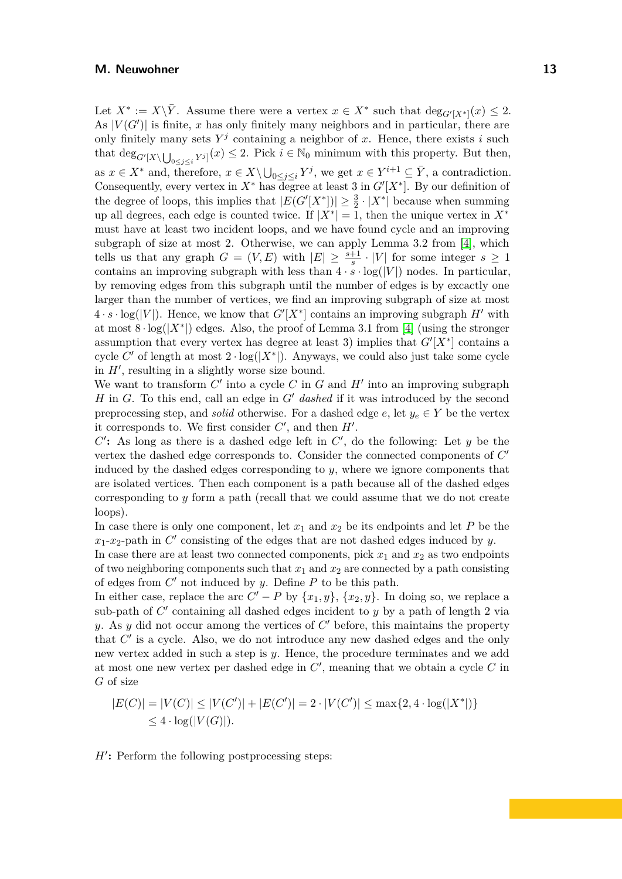Let  $X^* := X \backslash \overline{Y}$ . Assume there were a vertex  $x \in X^*$  such that  $\deg_{G'[X^*]}(x) \leq 2$ . As  $|V(G')|$  is finite, x has only finitely many neighbors and in particular, there are only finitely many sets  $Y^j$  containing a neighbor of x. Hence, there exists *i* such that  $\deg_{G'[X\setminus \bigcup_{0\leq j\leq i} Y^j]}(x) \leq 2$ . Pick  $i \in \mathbb{N}_0$  minimum with this property. But then, as  $x \in X^*$  and, therefore,  $x \in X \setminus \bigcup_{0 \leq j \leq i} Y^j$ , we get  $x \in Y^{i+1} \subseteq \overline{Y}$ , a contradiction. Consequently, every vertex in  $X^*$  has degree at least 3 in  $G'[X^*]$ . By our definition of the degree of loops, this implies that  $|E(G'[X^*])| \geq \frac{3}{2} \cdot |X^*|$  because when summing up all degrees, each edge is counted twice. If  $|X^*| = 1$ , then the unique vertex in  $X^*$ must have at least two incident loops, and we have found cycle and an improving subgraph of size at most 2. Otherwise, we can apply Lemma 3*.*2 from [\[4\]](#page-44-6), which tells us that any graph  $G = (V, E)$  with  $|E| \geq \frac{s+1}{s} \cdot |V|$  for some integer  $s \geq 1$ contains an improving subgraph with less than  $4 \cdot s \cdot \log(|V|)$  nodes. In particular, by removing edges from this subgraph until the number of edges is by excactly one larger than the number of vertices, we find an improving subgraph of size at most  $4 \cdot s \cdot \log(|V|)$ . Hence, we know that  $G'[X^*]$  contains an improving subgraph  $H'$  with at most  $8 \cdot \log(|X^*|)$  edges. Also, the proof of Lemma 3.1 from [\[4\]](#page-44-6) (using the stronger assumption that every vertex has degree at least 3) implies that  $G'[X^*]$  contains a cycle C' of length at most  $2 \cdot \log(|X^*|)$ . Anyways, we could also just take some cycle in *H*′ , resulting in a slightly worse size bound.

We want to transform  $C'$  into a cycle  $C$  in  $G$  and  $H'$  into an improving subgraph *H* in *G*. To this end, call an edge in *G*′ *dashed* if it was introduced by the second preprocessing step, and *solid* otherwise. For a dashed edge  $e$ , let  $y_e \in Y$  be the vertex it corresponds to. We first consider  $C'$ , and then  $H'$ .

 $C'$ : As long as there is a dashed edge left in  $C'$ , do the following: Let  $y$  be the vertex the dashed edge corresponds to. Consider the connected components of  $C'$ induced by the dashed edges corresponding to *y*, where we ignore components that are isolated vertices. Then each component is a path because all of the dashed edges corresponding to *y* form a path (recall that we could assume that we do not create loops).

In case there is only one component, let  $x_1$  and  $x_2$  be its endpoints and let P be the  $x_1$ - $x_2$ -path in  $C'$  consisting of the edges that are not dashed edges induced by *y*.

In case there are at least two connected components, pick  $x_1$  and  $x_2$  as two endpoints of two neighboring components such that  $x_1$  and  $x_2$  are connected by a path consisting of edges from *C* ′ not induced by *y*. Define *P* to be this path.

In either case, replace the arc  $C' - P$  by  $\{x_1, y\}$ ,  $\{x_2, y\}$ . In doing so, we replace a sub-path of *C* ′ containing all dashed edges incident to *y* by a path of length 2 via *y*. As *y* did not occur among the vertices of *C* ′ before, this maintains the property that  $C'$  is a cycle. Also, we do not introduce any new dashed edges and the only new vertex added in such a step is *y*. Hence, the procedure terminates and we add at most one new vertex per dashed edge in *C* ′ , meaning that we obtain a cycle *C* in *G* of size

$$
|E(C)| = |V(C)| \le |V(C')| + |E(C')| = 2 \cdot |V(C')| \le \max\{2, 4 \cdot \log(|X^*|)\} \le 4 \cdot \log(|V(G)|).
$$

*H*′ **:** Perform the following postprocessing steps: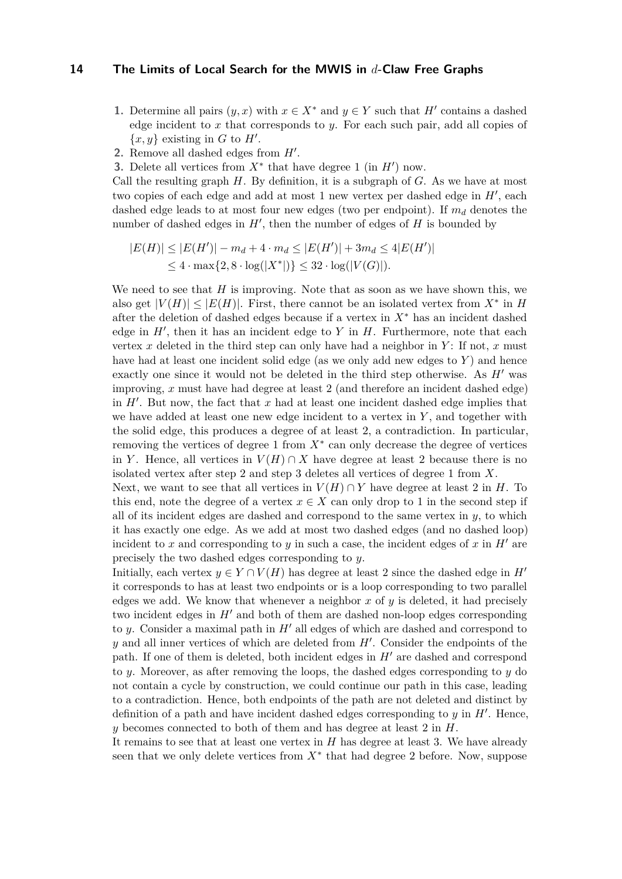- **1.** Determine all pairs  $(y, x)$  with  $x \in X^*$  and  $y \in Y$  such that  $H'$  contains a dashed edge incident to *x* that corresponds to *y*. For each such pair, add all copies of  $\{x, y\}$  existing in *G* to *H'*.
- **2.** Remove all dashed edges from *H*′ .
- **3.** Delete all vertices from  $X^*$  that have degree 1 (in  $H'$ ) now.

Call the resulting graph *H*. By definition, it is a subgraph of *G*. As we have at most two copies of each edge and add at most 1 new vertex per dashed edge in  $H'$ , each dashed edge leads to at most four new edges (two per endpoint). If  $m_d$  denotes the number of dashed edges in  $H'$ , then the number of edges of  $H$  is bounded by

$$
|E(H)| \le |E(H')| - m_d + 4 \cdot m_d \le |E(H')| + 3m_d \le 4|E(H')|
$$
  

$$
\le 4 \cdot \max\{2, 8 \cdot \log(|X^*|)\} \le 32 \cdot \log(|V(G)|).
$$

We need to see that *H* is improving. Note that as soon as we have shown this, we also get  $|V(H)| \leq |E(H)|$ . First, there cannot be an isolated vertex from  $X^*$  in *H* after the deletion of dashed edges because if a vertex in *X*<sup>∗</sup> has an incident dashed edge in  $H'$ , then it has an incident edge to  $Y$  in  $H$ . Furthermore, note that each vertex  $x$  deleted in the third step can only have had a neighbor in  $Y$ : If not,  $x$  must have had at least one incident solid edge (as we only add new edges to *Y* ) and hence exactly one since it would not be deleted in the third step otherwise. As *H*′ was improving, *x* must have had degree at least 2 (and therefore an incident dashed edge) in  $H'$ . But now, the fact that  $x$  had at least one incident dashed edge implies that we have added at least one new edge incident to a vertex in *Y* , and together with the solid edge, this produces a degree of at least 2, a contradiction. In particular, removing the vertices of degree  $1$  from  $X^*$  can only decrease the degree of vertices in *Y*. Hence, all vertices in  $V(H) \cap X$  have degree at least 2 because there is no isolated vertex after step 2 and step 3 deletes all vertices of degree 1 from *X*.

Next, we want to see that all vertices in  $V(H) \cap Y$  have degree at least 2 in *H*. To this end, note the degree of a vertex  $x \in X$  can only drop to 1 in the second step if all of its incident edges are dashed and correspond to the same vertex in  $y$ , to which it has exactly one edge. As we add at most two dashed edges (and no dashed loop) incident to *x* and corresponding to *y* in such a case, the incident edges of *x* in  $H'$  are precisely the two dashed edges corresponding to *y*.

Initially, each vertex  $y \in Y \cap V(H)$  has degree at least 2 since the dashed edge in *H'* it corresponds to has at least two endpoints or is a loop corresponding to two parallel edges we add. We know that whenever a neighbor  $x$  of  $y$  is deleted, it had precisely two incident edges in *H*′ and both of them are dashed non-loop edges corresponding to *y*. Consider a maximal path in *H*′ all edges of which are dashed and correspond to *y* and all inner vertices of which are deleted from *H*′ . Consider the endpoints of the path. If one of them is deleted, both incident edges in *H*′ are dashed and correspond to *y*. Moreover, as after removing the loops, the dashed edges corresponding to *y* do not contain a cycle by construction, we could continue our path in this case, leading to a contradiction. Hence, both endpoints of the path are not deleted and distinct by definition of a path and have incident dashed edges corresponding to *y* in *H*′ . Hence, *y* becomes connected to both of them and has degree at least 2 in *H*.

It remains to see that at least one vertex in *H* has degree at least 3. We have already seen that we only delete vertices from *X*<sup>∗</sup> that had degree 2 before. Now, suppose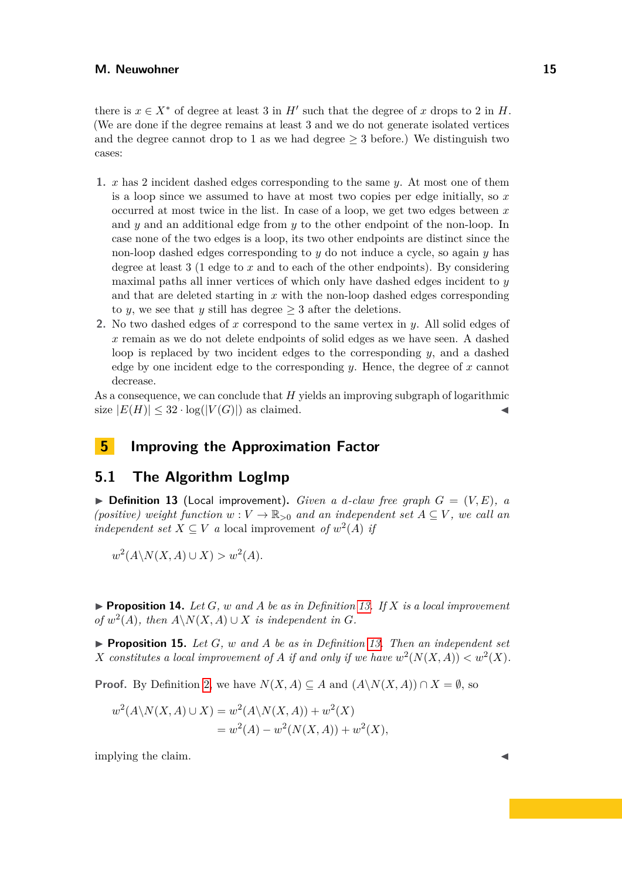there is  $x \in X^*$  of degree at least 3 in  $H'$  such that the degree of *x* drops to 2 in *H*. (We are done if the degree remains at least 3 and we do not generate isolated vertices and the degree cannot drop to 1 as we had degree  $\geq$  3 before.) We distinguish two cases:

- **1.** *x* has 2 incident dashed edges corresponding to the same *y*. At most one of them is a loop since we assumed to have at most two copies per edge initially, so *x* occurred at most twice in the list. In case of a loop, we get two edges between *x* and *y* and an additional edge from *y* to the other endpoint of the non-loop. In case none of the two edges is a loop, its two other endpoints are distinct since the non-loop dashed edges corresponding to *y* do not induce a cycle, so again *y* has degree at least 3 (1 edge to *x* and to each of the other endpoints). By considering maximal paths all inner vertices of which only have dashed edges incident to *y* and that are deleted starting in *x* with the non-loop dashed edges corresponding to *y*, we see that *y* still has degree  $\geq 3$  after the deletions.
- **2.** No two dashed edges of *x* correspond to the same vertex in *y*. All solid edges of *x* remain as we do not delete endpoints of solid edges as we have seen. A dashed loop is replaced by two incident edges to the corresponding *y*, and a dashed edge by one incident edge to the corresponding *y*. Hence, the degree of *x* cannot decrease.

As a consequence, we can conclude that *H* yields an improving subgraph of logarithmic size  $|E(H)| \leq 32 \cdot \log(|V(G)|)$  as claimed.

## <span id="page-14-0"></span>**5 Improving the Approximation Factor**

## **5.1 The Algorithm LogImp**

<span id="page-14-2"></span> $\triangleright$  **Definition 13** (Local improvement). *Given a d-claw free graph*  $G = (V, E)$ , a *(positive)* weight function  $w: V \to \mathbb{R}_{>0}$  and an independent set  $A \subseteq V$ , we call an *independent set*  $X \subseteq V$  *a* local improvement *of*  $w^2(A)$  *if* 

$$
w^2(A \backslash N(X, A) \cup X) > w^2(A).
$$

<span id="page-14-3"></span> $\blacktriangleright$  **Proposition 14.** Let  $G$ *, w and A be as in Definition [13.](#page-14-2) If*  $X$  *is a local improvement of*  $w^2(A)$ *, then*  $A \setminus N(X, A) \cup X$  *is independent in G.* 

<span id="page-14-1"></span> $\triangleright$  **Proposition 15.** Let *G*, *w* and *A* be as in Definition [13.](#page-14-2) Then an independent set *X* constitutes a local improvement of *A* if and only if we have  $w^2(N(X, A)) < w^2(X)$ .

**Proof.** By Definition [2,](#page-5-2) we have  $N(X, A) \subseteq A$  and  $(A \setminus N(X, A)) \cap X = \emptyset$ , so

$$
w^{2}(A \setminus N(X, A) \cup X) = w^{2}(A \setminus N(X, A)) + w^{2}(X)
$$
  
= 
$$
w^{2}(A) - w^{2}(N(X, A)) + w^{2}(X),
$$

implying the claim.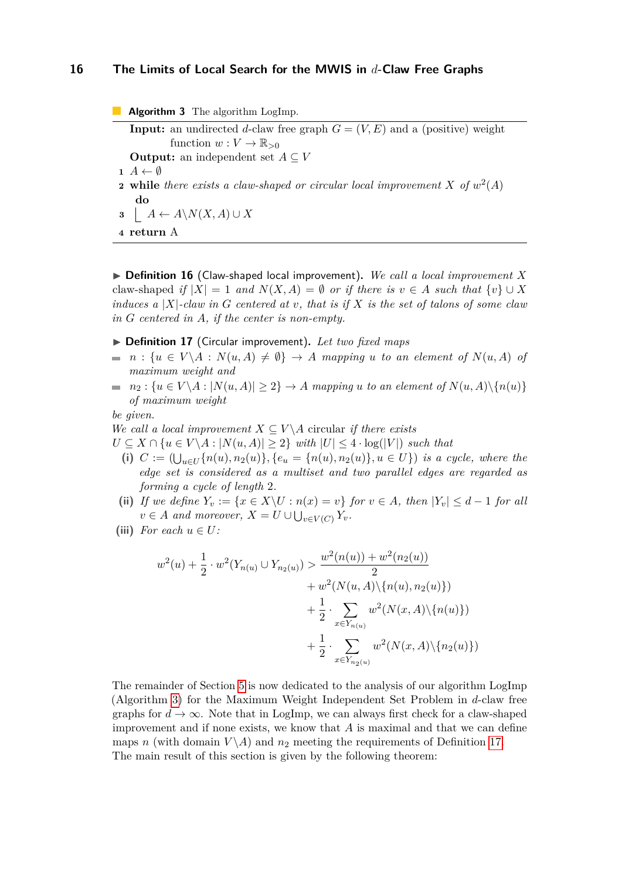**Algorithm 3** The algorithm LogImp. **Input:** an undirected *d*-claw free graph  $G = (V, E)$  and a (positive) weight function  $w: V \to \mathbb{R}_{>0}$ **Output:** an independent set  $A \subseteq V$  $\mathbf{1}$   $A \leftarrow \emptyset$ **2** while there exists a claw-shaped or circular local improvement X of  $w^2(A)$ **do 3**  $A \leftarrow A \setminus N(X, A) \cup X$ **4 return** A

<span id="page-15-0"></span>▶ **Definition 16** (Claw-shaped local improvement)**.** *We call a local improvement X* claw-shaped *if*  $|X| = 1$  *and*  $N(X, A) = \emptyset$  *or if there is*  $v \in A$  *such that*  $\{v\} \cup X$ *induces a* |*X*|*-claw in G centered at v, that is if X is the set of talons of some claw in G centered in A, if the center is non-empty.*

#### ▶ **Definition 17** (Circular improvement)**.** *Let two fixed maps*

- $\blacksquare$  *n* :  $\{u \in V \setminus A : N(u, A) \neq \emptyset\} \rightarrow A$  *mapping u to an element of*  $N(u, A)$  *of maximum weight and*
- $n_2$ :  $\{u \in V \setminus A : |N(u, A)| \geq 2\} \rightarrow A$  *mapping u to an element of*  $N(u, A) \setminus \{n(u)\}$  $\equiv$ *of maximum weight*

*be given.*

*We call a local improvement*  $X \subseteq V \backslash A$  circular *if there exists* 

*U* ⊆ *X* ∩ { $u \in V \setminus A$  :  $|N(u, A)| \geq 2$ } *with*  $|U| \leq 4 \cdot \log(|V|)$  *such that* 

- $(i)$   $C := (\bigcup_{u \in U} \{n(u), n_2(u)\}, \{e_u = \{n(u), n_2(u)\}, u \in U\})$  *is a cycle, where the edge set is considered as a multiset and two parallel edges are regarded as forming a cycle of length* 2*.*
- (ii) *If we define*  $Y_v := \{x \in X \setminus U : n(x) = v\}$  *for*  $v \in A$ *, then*  $|Y_v| \leq d 1$  *for all*  $v \in A$  *and moreover,*  $X = U \cup \bigcup_{v \in V(C)} Y_v$ .
- <span id="page-15-1"></span>(iii) *For each*  $u \in U$ *:*

$$
w^{2}(u) + \frac{1}{2} \cdot w^{2}(Y_{n(u)} \cup Y_{n_{2}(u)}) > \frac{w^{2}(n(u)) + w^{2}(n_{2}(u))}{2}
$$
  
+  $w^{2}(N(u, A) \setminus \{n(u), n_{2}(u)\})$   
+  $\frac{1}{2} \cdot \sum_{x \in Y_{n(u)}} w^{2}(N(x, A) \setminus \{n(u)\})$   
+  $\frac{1}{2} \cdot \sum_{x \in Y_{n_{2}(u)}} w^{2}(N(x, A) \setminus \{n_{2}(u)\})$ 

<span id="page-15-2"></span>The remainder of Section [5](#page-14-0) is now dedicated to the analysis of our algorithm LogImp (Algorithm [3\)](#page-15-0) for the Maximum Weight Independent Set Problem in *d*-claw free graphs for  $d \to \infty$ . Note that in LogImp, we can always first check for a claw-shaped improvement and if none exists, we know that *A* is maximal and that we can define maps *n* (with domain  $V \setminus A$ ) and  $n_2$  meeting the requirements of Definition [17.](#page-15-1) The main result of this section is given by the following theorem: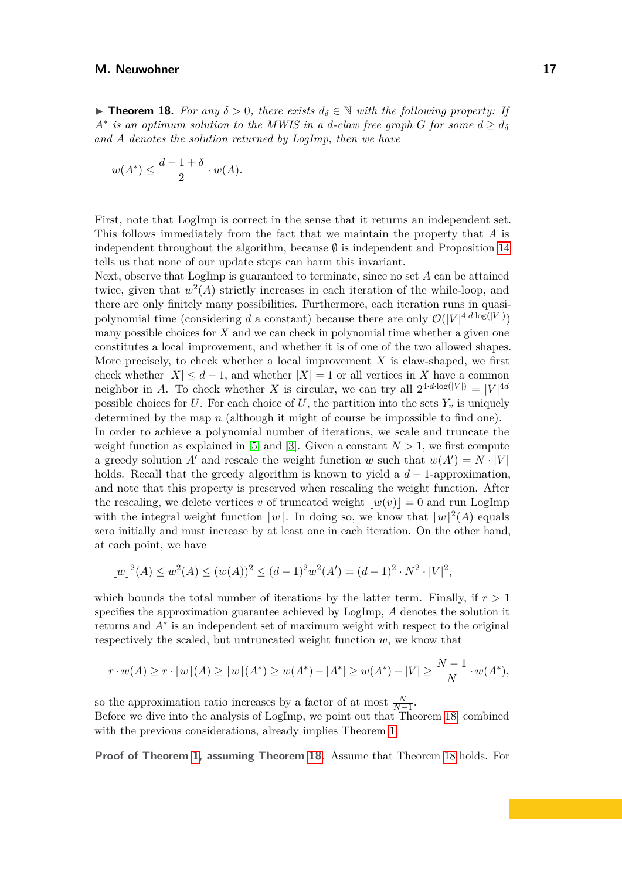**► Theorem 18.** For any  $\delta > 0$ , there exists  $d_{\delta} \in \mathbb{N}$  with the following property: If  $A^*$  *is an optimum solution to the MWIS in a <i>d*-claw free graph *G* for some  $d \geq d_{\delta}$ *and A denotes the solution returned by LogImp, then we have*

$$
w(A^*) \le \frac{d-1+\delta}{2} \cdot w(A).
$$

First, note that LogImp is correct in the sense that it returns an independent set. This follows immediately from the fact that we maintain the property that *A* is independent throughout the algorithm, because  $\emptyset$  is independent and Proposition [14](#page-14-3) tells us that none of our update steps can harm this invariant.

Next, observe that LogImp is guaranteed to terminate, since no set *A* can be attained twice, given that  $w^2(A)$  strictly increases in each iteration of the while-loop, and there are only finitely many possibilities. Furthermore, each iteration runs in quasipolynomial time (considering *d* a constant) because there are only  $\mathcal{O}(|V|^{4 \cdot d \cdot \log(|V|)})$ many possible choices for *X* and we can check in polynomial time whether a given one constitutes a local improvement, and whether it is of one of the two allowed shapes. More precisely, to check whether a local improvement *X* is claw-shaped, we first check whether  $|X| \leq d-1$ , and whether  $|X| = 1$  or all vertices in X have a common neighbor in *A*. To check whether *X* is circular, we can try all  $2^{4 \cdot d \cdot \log(|V|)} = |V|^{4d}$ possible choices for *U*. For each choice of *U*, the partition into the sets  $Y_v$  is uniquely determined by the map *n* (although it might of course be impossible to find one).

In order to achieve a polynomial number of iterations, we scale and truncate the weight function as explained in [\[5\]](#page-44-4) and [\[3\]](#page-44-0). Given a constant  $N > 1$ , we first compute a greedy solution *A'* and rescale the weight function *w* such that  $w(A') = N \cdot |V|$ holds. Recall that the greedy algorithm is known to yield a  $d-1$ -approximation, and note that this property is preserved when rescaling the weight function. After the rescaling, we delete vertices *v* of truncated weight  $|w(v)| = 0$  and run LogImp with the integral weight function  $|w|$ . In doing so, we know that  $|w|^2(A)$  equals zero initially and must increase by at least one in each iteration. On the other hand, at each point, we have

$$
\lfloor w \rfloor^{2}(A) \le w^{2}(A) \le (w(A))^{2} \le (d-1)^{2}w^{2}(A') = (d-1)^{2} \cdot N^{2} \cdot |V|^{2},
$$

which bounds the total number of iterations by the latter term. Finally, if  $r > 1$ specifies the approximation guarantee achieved by LogImp, *A* denotes the solution it returns and *A*<sup>∗</sup> is an independent set of maximum weight with respect to the original respectively the scaled, but untruncated weight function *w*, we know that

$$
r \cdot w(A) \ge r \cdot \lfloor w \rfloor(A) \ge \lfloor w \rfloor(A^*) \ge w(A^*) - |A^*| \ge w(A^*) - |V| \ge \frac{N-1}{N} \cdot w(A^*),
$$

so the approximation ratio increases by a factor of at most  $\frac{N}{N-1}$ . Before we dive into the analysis of LogImp, we point out that Theorem [18,](#page-15-2) combined

with the previous considerations, already implies Theorem [1:](#page-5-1)

**Proof of Theorem [1,](#page-5-1) assuming Theorem [18.](#page-15-2)** Assume that Theorem [18](#page-15-2) holds. For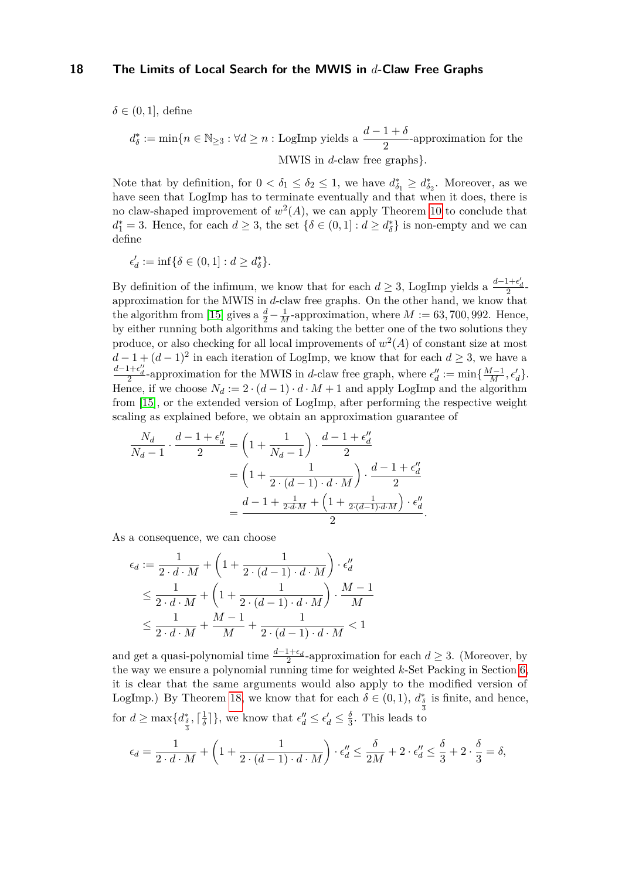$\delta \in (0, 1]$ , define

$$
d_{\delta}^* := \min\{n \in \mathbb{N}_{\geq 3} : \forall d \geq n : \text{LogImp yields a } \frac{d-1+\delta}{2} \text{-approximation for the MWIS in } d\text{-claw free graphs}\}.
$$

Note that by definition, for  $0 < \delta_1 \leq \delta_2 \leq 1$ , we have  $d_{\delta_1}^* \geq d_{\delta_2}^*$ . Moreover, as we have seen that LogImp has to terminate eventually and that when it does, there is no claw-shaped improvement of  $w^2(A)$ , we can apply Theorem [10](#page-8-1) to conclude that  $d_1^* = 3$ . Hence, for each  $d \geq 3$ , the set  $\{\delta \in (0,1] : d \geq d_{\delta}^*\}$  is non-empty and we can define

$$
\epsilon'_d:=\inf\{\delta\in(0,1]:d\geq d_\delta^*\}.
$$

By definition of the infimum, we know that for each  $d \geq 3$ , LogImp yields a  $\frac{d-1+\epsilon'_d}{2}$ approximation for the MWIS in *d*-claw free graphs. On the other hand, we know that the algorithm from [\[15\]](#page-45-1) gives a  $\frac{d}{2} - \frac{1}{M}$ -approximation, where  $M := 63, 700, 992$ . Hence, by either running both algorithms and taking the better one of the two solutions they produce, or also checking for all local improvements of  $w^2(A)$  of constant size at most  $d-1+(d-1)^2$  in each iteration of LogImp, we know that for each  $d\geq 3$ , we have a  $\frac{d-1+\epsilon''_d}{2}$ -approximation for the MWIS in *d*-claw free graph, where  $\epsilon''_d := \min\{\frac{M-1}{M}, \epsilon'_d\}.$ Hence, if we choose  $N_d := 2 \cdot (d-1) \cdot d \cdot M + 1$  and apply LogImp and the algorithm from [\[15\]](#page-45-1), or the extended version of LogImp, after performing the respective weight scaling as explained before, we obtain an approximation guarantee of

$$
\frac{N_d}{N_d - 1} \cdot \frac{d - 1 + \epsilon''_d}{2} = \left(1 + \frac{1}{N_d - 1}\right) \cdot \frac{d - 1 + \epsilon''_d}{2}
$$

$$
= \left(1 + \frac{1}{2 \cdot (d - 1) \cdot d \cdot M}\right) \cdot \frac{d - 1 + \epsilon''_d}{2}
$$

$$
= \frac{d - 1 + \frac{1}{2 \cdot d \cdot M} + \left(1 + \frac{1}{2 \cdot (d - 1) \cdot d \cdot M}\right) \cdot \epsilon''_d}{2}.
$$

As a consequence, we can choose

$$
\epsilon_d := \frac{1}{2 \cdot d \cdot M} + \left(1 + \frac{1}{2 \cdot (d-1) \cdot d \cdot M}\right) \cdot \epsilon_d''
$$
  
\n
$$
\leq \frac{1}{2 \cdot d \cdot M} + \left(1 + \frac{1}{2 \cdot (d-1) \cdot d \cdot M}\right) \cdot \frac{M-1}{M}
$$
  
\n
$$
\leq \frac{1}{2 \cdot d \cdot M} + \frac{M-1}{M} + \frac{1}{2 \cdot (d-1) \cdot d \cdot M} < 1
$$

and get a quasi-polynomial time  $\frac{d-1+\epsilon_d}{2}$ -approximation for each  $d \geq 3$ . (Moreover, by the way we ensure a polynomial running time for weighted *k*-Set Packing in Section [6,](#page-35-0) it is clear that the same arguments would also apply to the modified version of LogImp.) By Theorem [18,](#page-15-2) we know that for each  $\delta \in (0,1)$ ,  $d_{\frac{\delta}{3}}^*$  is finite, and hence, for  $d \geq \max\{d_{\frac{\delta}{3}}^*, \lceil \frac{1}{\delta} \rceil\}$  $\frac{1}{\delta}$ ], we know that  $\epsilon''_d \leq \epsilon'_d \leq \frac{\delta}{3}$  $\frac{0}{3}$ . This leads to

$$
\epsilon_d = \frac{1}{2 \cdot d \cdot M} + \left(1 + \frac{1}{2 \cdot (d-1) \cdot d \cdot M}\right) \cdot \epsilon''_d \le \frac{\delta}{2M} + 2 \cdot \epsilon''_d \le \frac{\delta}{3} + 2 \cdot \frac{\delta}{3} = \delta,
$$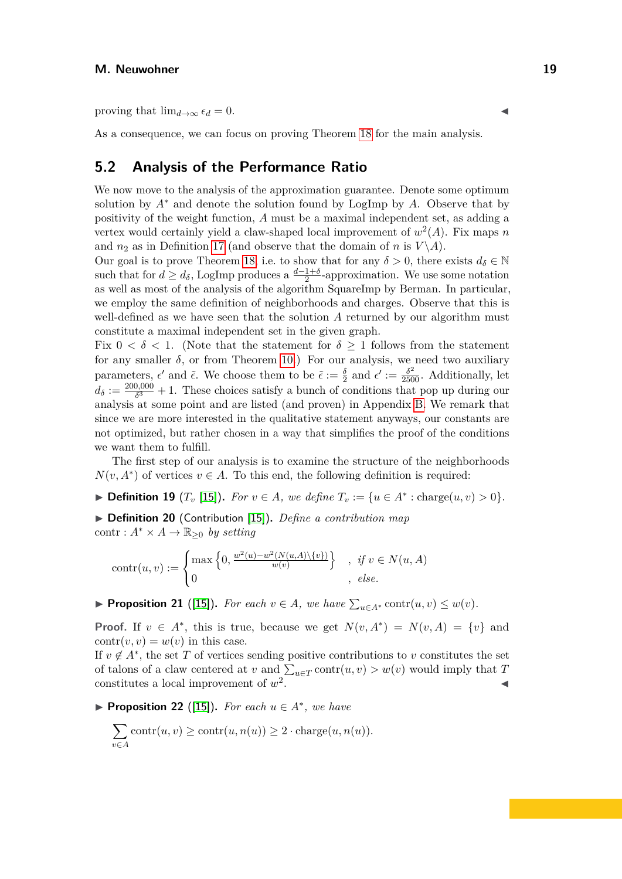proving that  $\lim_{d\to\infty} \epsilon_d = 0$ .

As a consequence, we can focus on proving Theorem [18](#page-15-2) for the main analysis.

## **5.2 Analysis of the Performance Ratio**

We now move to the analysis of the approximation guarantee. Denote some optimum solution by  $A^*$  and denote the solution found by LogImp by  $A$ . Observe that by positivity of the weight function, *A* must be a maximal independent set, as adding a vertex would certainly yield a claw-shaped local improvement of  $w^2(A)$ . Fix maps *n* and  $n_2$  as in Definition [17](#page-15-1) (and observe that the domain of *n* is  $V \setminus A$ ).

Our goal is to prove Theorem [18,](#page-15-2) i.e. to show that for any  $\delta > 0$ , there exists  $d_{\delta} \in \mathbb{N}$ such that for  $d \geq d_{\delta}$ , LogImp produces a  $\frac{d-1+\delta}{2}$ -approximation. We use some notation as well as most of the analysis of the algorithm SquareImp by Berman. In particular, we employ the same definition of neighborhoods and charges. Observe that this is well-defined as we have seen that the solution *A* returned by our algorithm must constitute a maximal independent set in the given graph.

Fix  $0 < \delta < 1$ . (Note that the statement for  $\delta \geq 1$  follows from the statement for any smaller  $\delta$ , or from Theorem [10.](#page-8-1)) For our analysis, we need two auxiliary parameters,  $\epsilon'$  and  $\tilde{\epsilon}$ . We choose them to be  $\tilde{\epsilon} := \frac{\delta}{2}$  and  $\epsilon' := \frac{\delta^2}{2500}$ . Additionally, let  $d_{\delta} := \frac{200,000}{\delta^3}$  $\frac{3,000}{\delta^3} + 1$ . These choices satisfy a bunch of conditions that pop up during our analysis at some point and are listed (and proven) in Appendix [B.](#page-46-0) We remark that since we are more interested in the qualitative statement anyways, our constants are not optimized, but rather chosen in a way that simplifies the proof of the conditions we want them to fulfill.

The first step of our analysis is to examine the structure of the neighborhoods  $N(v, A^*)$  of vertices  $v \in A$ . To this end, the following definition is required:

▶ **Definition 19**  $(T_v \text{ [15]})$  $(T_v \text{ [15]})$  $(T_v \text{ [15]})$ . For  $v \in A$ , we define  $T_v := \{u \in A^* : \text{charge}(u, v) > 0\}.$ 

▶ **Definition 20** (Contribution [\[15\]](#page-45-1))**.** *Define a contribution map* contr :  $A^* \times A \to \mathbb{R}_{\geq 0}$  by setting

$$
contr(u, v) := \begin{cases} \max\left\{0, \frac{w^2(u) - w^2(N(u, A) \setminus \{v\})}{w(v)}\right\} , & \text{if } v \in N(u, A) \\ 0 , & \text{else.} \end{cases}
$$

<span id="page-18-0"></span>▶ **Proposition 21** ([\[15\]](#page-45-1)). For each  $v \in A$ , we have  $\sum_{u \in A^*} \text{contr}(u, v) \leq w(v)$ .

**Proof.** If  $v \in A^*$ , this is true, because we get  $N(v, A^*) = N(v, A) = \{v\}$  and  $contr(v, v) = w(v)$  in this case.

If  $v \notin A^*$ , the set *T* of vertices sending positive contributions to *v* constitutes the set of talons of a claw centered at *v* and  $\sum_{u \in T}$  contr $(u, v) > w(v)$  would imply that *T* constitutes a local improvement of *w* 2 . ◀

<span id="page-18-1"></span>▶ **Proposition 22** ([\[15\]](#page-45-1)). For each  $u \in A^*$ , we have

$$
\sum_{v \in A} \operatorname{contr}(u, v) \ge \operatorname{contr}(u, n(u)) \ge 2 \cdot \operatorname{charge}(u, n(u)).
$$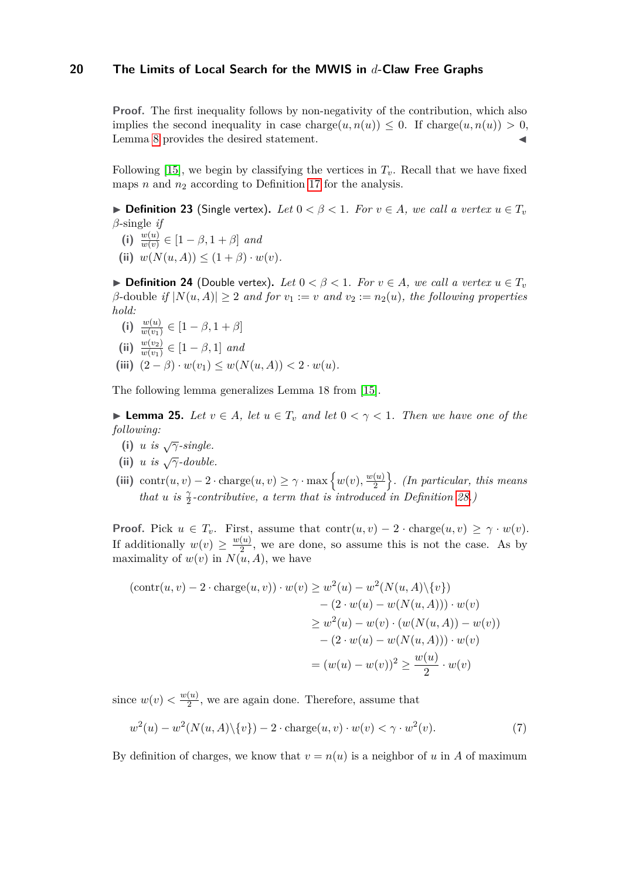**Proof.** The first inequality follows by non-negativity of the contribution, which also implies the second inequality in case charge $(u, n(u)) \leq 0$ . If charge $(u, n(u)) > 0$ , Lemma [8](#page-7-1) provides the desired statement.

Following [\[15\]](#page-45-1), we begin by classifying the vertices in  $T_v$ . Recall that we have fixed maps *n* and *n*<sup>2</sup> according to Definition [17](#page-15-1) for the analysis.

▶ **Definition 23** (Single vertex). Let  $0 < \beta < 1$ . For  $v \in A$ , we call a vertex  $u \in T_v$ *β*-single *if*

- **(i)**  $\frac{w(u)}{w(v)}$  ∈ [1 − *β*, 1 + *β*] *and*
- **(ii)**  $w(N(u, A)) \leq (1 + \beta) \cdot w(v)$ .

▶ **Definition 24** (Double vertex). Let  $0 < \beta < 1$ . For  $v \in A$ , we call a vertex  $u \in T_v$  $\beta$ -double *if*  $|N(u, A)| \geq 2$  *and for*  $v_1 := v$  *and*  $v_2 := n_2(u)$ *, the following properties hold:*

- **(i)**  $\frac{w(u)}{w(v_1)} \in [1 \beta, 1 + \beta]$
- **(ii)**  $\frac{w(v_2)}{w(v_1)} \in [1 \beta, 1]$  *and*
- (iii)  $(2 \beta) \cdot w(v_1) \leq w(N(u, A)) < 2 \cdot w(u)$ .

The following lemma generalizes Lemma 18 from [\[15\]](#page-45-1).

▶ **Lemma 25.** *Let*  $v \in A$ *, let*  $u \in T_v$  *and let*  $0 < \gamma < 1$ *. Then we have one of the following:*

- **(i)** *u is*  $\sqrt{\gamma}$ *-single.*
- **(ii)** *u is*  $\sqrt{\gamma}$ *-double.*
- <span id="page-19-1"></span>(iii) contr $(u, v) - 2 \cdot \text{charge}(u, v) \geq \gamma \cdot \max\left\{w(v), \frac{w(u)}{2}\right\}$  $\binom{\left(u\right)}{2}$ . (In particular, this means *that u is*  $\frac{\gamma}{2}$ -contributive, a term that is introduced in Definition [28.](#page-21-0)

**Proof.** Pick  $u \in T_v$ . First, assume that contr $(u, v) - 2 \cdot \text{charge}(u, v) \geq \gamma \cdot w(v)$ . If additionally  $w(v) \geq \frac{w(u)}{2}$  $\frac{(u)}{2}$ , we are done, so assume this is not the case. As by maximality of  $w(v)$  in  $N(u, A)$ , we have

$$
(\text{contr}(u, v) - 2 \cdot \text{charge}(u, v)) \cdot w(v) \ge w^2(u) - w^2(N(u, A) \setminus \{v\})
$$
  

$$
- (2 \cdot w(u) - w(N(u, A))) \cdot w(v)
$$
  

$$
\ge w^2(u) - w(v) \cdot (w(N(u, A)) - w(v))
$$
  

$$
- (2 \cdot w(u) - w(N(u, A))) \cdot w(v)
$$
  

$$
= (w(u) - w(v))^2 \ge \frac{w(u)}{2} \cdot w(v)
$$

since  $w(v) < \frac{w(u)}{2}$  $\frac{(u)}{2}$ , we are again done. Therefore, assume that

<span id="page-19-0"></span>
$$
w2(u) - w2(N(u, A) \setminus \{v\}) - 2 \cdot \text{charge}(u, v) \cdot w(v) < \gamma \cdot w2(v).
$$
 (7)

By definition of charges, we know that  $v = n(u)$  is a neighbor of *u* in *A* of maximum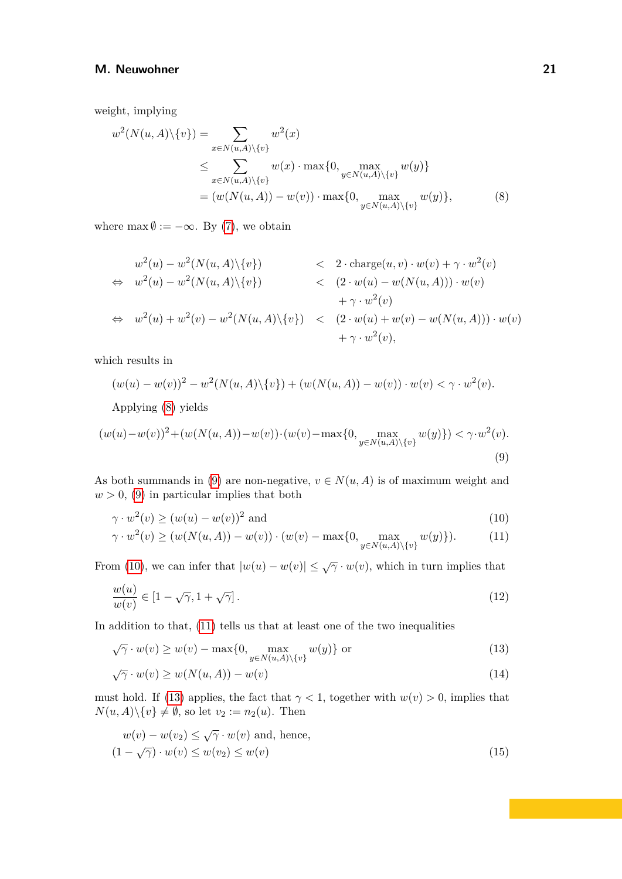weight, implying

<span id="page-20-0"></span>
$$
w^{2}(N(u, A)\setminus\{v\}) = \sum_{x \in N(u, A)\setminus\{v\}} w^{2}(x)
$$
  
\n
$$
\leq \sum_{x \in N(u, A)\setminus\{v\}} w(x) \cdot \max\{0, \max_{y \in N(u, A)\setminus\{v\}} w(y)\}
$$
  
\n
$$
= (w(N(u, A)) - w(v)) \cdot \max\{0, \max_{y \in N(u, A)\setminus\{v\}} w(y)\},
$$
\n(8)

where  $\max \emptyset := -\infty$ . By [\(7\)](#page-19-0), we obtain

$$
w^{2}(u) - w^{2}(N(u, A)\setminus\{v\}) \leq 2 \cdot \text{charge}(u, v) \cdot w(v) + \gamma \cdot w^{2}(v)
$$
  
\n
$$
\Leftrightarrow w^{2}(u) - w^{2}(N(u, A)\setminus\{v\}) \leq (2 \cdot w(u) - w(N(u, A))) \cdot w(v)
$$
  
\n
$$
\Leftrightarrow w^{2}(u) + w^{2}(v) - w^{2}(N(u, A)\setminus\{v\}) \leq (2 \cdot w(u) + w(v) - w(N(u, A))) \cdot w(v)
$$
  
\n
$$
+ \gamma \cdot w^{2}(v),
$$

which results in

$$
(w(u) - w(v))^{2} - w^{2}(N(u, A) \setminus \{v\}) + (w(N(u, A)) - w(v)) \cdot w(v) < \gamma \cdot w^{2}(v).
$$

<span id="page-20-1"></span>Applying [\(8\)](#page-20-0) yields

$$
(w(u) - w(v))^2 + (w(N(u, A)) - w(v)) \cdot (w(v) - \max\{0, \max_{y \in N(u, A) \setminus \{v\}} w(y)\}) < \gamma \cdot w^2(v).
$$
\n(9)

As both summands in [\(9\)](#page-20-1) are non-negative,  $v \in N(u, A)$  is of maximum weight and  $w > 0$ , [\(9\)](#page-20-1) in particular implies that both

<span id="page-20-3"></span><span id="page-20-2"></span>
$$
\gamma \cdot w^2(v) \ge (w(u) - w(v))^2 \text{ and } \tag{10}
$$

$$
\gamma \cdot w^2(v) \ge (w(N(u, A)) - w(v)) \cdot (w(v) - \max\{0, \max_{y \in N(u, A) \setminus \{v\}} w(y)\}).
$$
 (11)

From [\(10\)](#page-20-2), we can infer that  $|w(u) - w(v)| \leq \sqrt{\gamma} \cdot w(v)$ , which in turn implies that

<span id="page-20-5"></span>
$$
\frac{w(u)}{w(v)} \in [1 - \sqrt{\gamma}, 1 + \sqrt{\gamma}].\tag{12}
$$

In addition to that, [\(11\)](#page-20-3) tells us that at least one of the two inequalities

<span id="page-20-4"></span>
$$
\sqrt{\gamma} \cdot w(v) \ge w(v) - \max\{0, \max_{y \in N(u, A) \setminus \{v\}} w(y)\} \text{ or } (13)
$$

<span id="page-20-7"></span>
$$
\sqrt{\gamma} \cdot w(v) \ge w(N(u, A)) - w(v) \tag{14}
$$

must hold. If [\(13\)](#page-20-4) applies, the fact that  $\gamma < 1$ , together with  $w(v) > 0$ , implies that  $N(u, A) \setminus \{v\} \neq \emptyset$ , so let  $v_2 := n_2(u)$ . Then

<span id="page-20-6"></span>
$$
w(v) - w(v_2) \le \sqrt{\gamma} \cdot w(v) \text{ and, hence,}
$$
  

$$
(1 - \sqrt{\gamma}) \cdot w(v) \le w(v_2) \le w(v)
$$
 (15)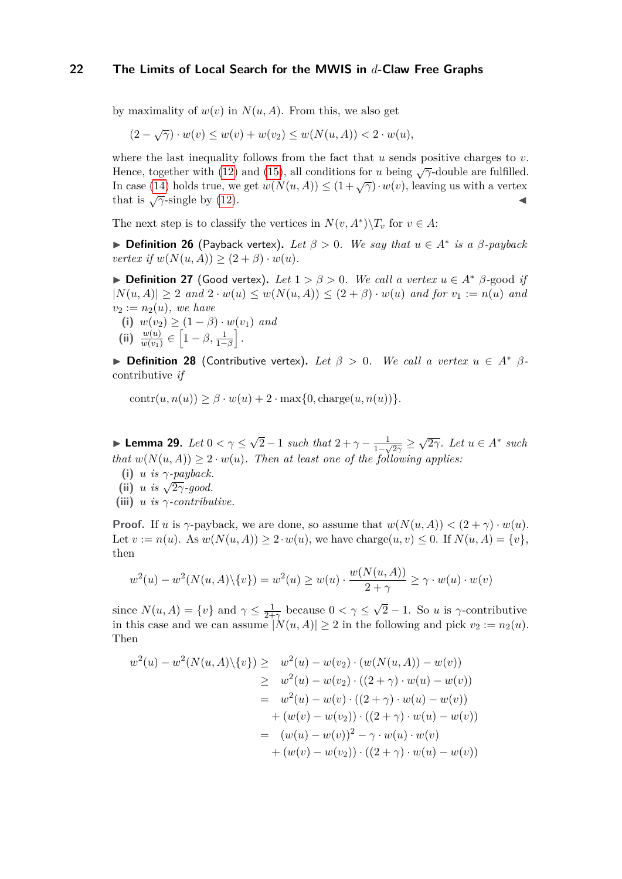by maximality of  $w(v)$  in  $N(u, A)$ . From this, we also get

$$
(2 - \sqrt{\gamma}) \cdot w(v) \le w(v) + w(v_2) \le w(N(u, A)) < 2 \cdot w(u),
$$

where the last inequality follows from the fact that *u* sends positive charges to *v*. Hence, together with [\(12\)](#page-20-5) and [\(15\)](#page-20-6), all conditions for *<sup>u</sup>* being <sup>√</sup>*γ*-double are fulfilled. In case [\(14\)](#page-20-7) holds true, we get  $w(N(u, A)) \leq (1 + \sqrt{\gamma}) \cdot w(v)$ , leaving us with a vertex that is  $\sqrt{\gamma}$ -single by [\(12\)](#page-20-5).

The next step is to classify the vertices in  $N(v, A^*)\backslash T_v$  for  $v \in A$ :

 $\blacktriangleright$  **Definition 26** (Payback vertex). Let  $\beta > 0$ . We say that  $u \in A^*$  is a  $\beta$ -payback  $vertex if w(N(u, A)) \geq (2 + \beta) \cdot w(u)$ .

▶ **Definition 27** (Good vertex)**.** *Let* 1 *> β >* 0*. We call a vertex u* ∈ *A*<sup>∗</sup> *β-*good *if*  $|N(u, A)| \geq 2$  *and*  $2 \cdot w(u) \leq w(N(u, A)) \leq (2 + \beta) \cdot w(u)$  *and for*  $v_1 := n(u)$  *and*  $v_2 := n_2(u)$ *, we have* 

**(i)**  $w(v_2)$  ≥  $(1 - β) \cdot w(v_1)$  *and* 

$$
\textbf{(ii)}\ \frac{w(u)}{w(v_1)}\in\left[1-\beta,\frac{1}{1-\beta}\right].
$$

<span id="page-21-0"></span>▶ **Definition 28** (Contributive vertex). Let  $\beta > 0$ . We call a vertex  $u \in A^*$   $\beta$ contributive *if*

 $\text{contr}(u, n(u)) \geq \beta \cdot w(u) + 2 \cdot \max\{0, \text{charge}(u, n(u))\}.$ 

▶ **Lemma 29.** *Let* 0 *< γ* ≤ √  $\sqrt{2}-1$  *such that*  $2+\gamma-\frac{1}{1+\gamma}$  $\frac{1}{1-\sqrt{2\gamma}} \geq \sqrt{2\gamma}$ *. Let*  $u \in A^*$  such *that*  $w(N(u, A)) \geq 2 \cdot w(u)$ *. Then at least one of the following applies:* 

- **(i)**  $u$  *is*  $\gamma$ *-payback.* (ii) *u is*  $\sqrt{2\gamma}$ -good.
- 
- <span id="page-21-1"></span>**(iii)** *u is γ-contributive.*

**Proof.** If *u* is  $\gamma$ -payback, we are done, so assume that  $w(N(u, A)) < (2 + \gamma) \cdot w(u)$ . Let  $v := n(u)$ . As  $w(N(u, A)) \geq 2 \cdot w(u)$ , we have charge $(u, v) \leq 0$ . If  $N(u, A) = \{v\}$ , then

$$
w^{2}(u) - w^{2}(N(u, A)\setminus\{v\}) = w^{2}(u) \ge w(u) \cdot \frac{w(N(u, A))}{2 + \gamma} \ge \gamma \cdot w(u) \cdot w(v)
$$

since  $N(u, A) = \{v\}$  and  $\gamma \leq \frac{1}{2+1}$  $\frac{1}{2+\gamma}$  because  $0 < \gamma \leq$ √  $\sqrt{2} - 1$ . So *u* is  $\gamma$ -contributive in this case and we can assume  $|N(u, A)| \ge 2$  in the following and pick  $v_2 := n_2(u)$ . Then

$$
w^{2}(u) - w^{2}(N(u, A)\setminus\{v\}) \geq w^{2}(u) - w(v_{2}) \cdot (w(N(u, A)) - w(v))
$$
  
\n
$$
\geq w^{2}(u) - w(v_{2}) \cdot ((2 + \gamma) \cdot w(u) - w(v))
$$
  
\n
$$
= w^{2}(u) - w(v) \cdot ((2 + \gamma) \cdot w(u) - w(v))
$$
  
\n
$$
+ (w(v) - w(v_{2})) \cdot ((2 + \gamma) \cdot w(u) - w(v))
$$
  
\n
$$
= (w(u) - w(v))^{2} - \gamma \cdot w(u) \cdot w(v)
$$
  
\n
$$
+ (w(v) - w(v_{2})) \cdot ((2 + \gamma) \cdot w(u) - w(v))
$$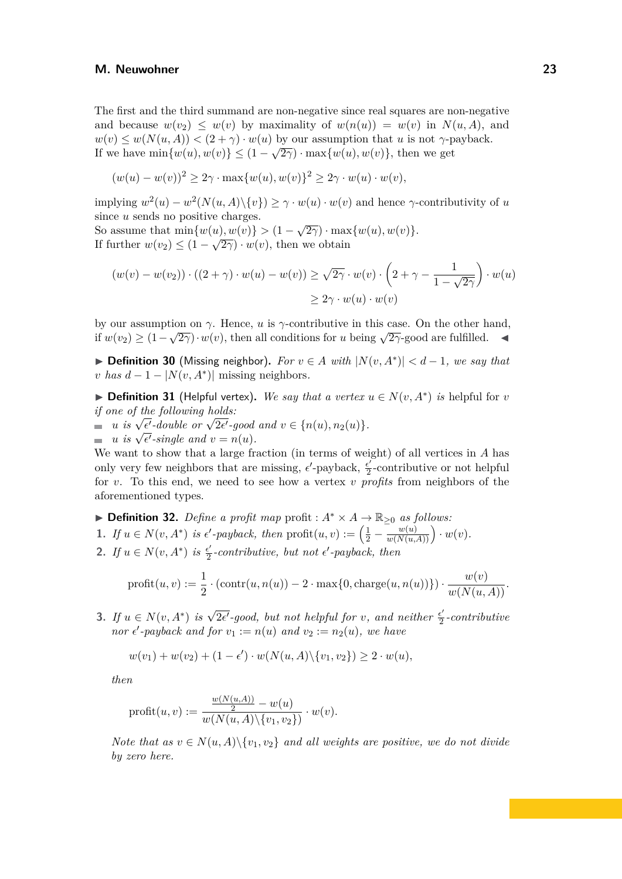The first and the third summand are non-negative since real squares are non-negative and because  $w(v_2) \leq w(v)$  by maximality of  $w(n(u)) = w(v)$  in  $N(u, A)$ , and  $w(v) \leq w(N(u, A)) < (2 + \gamma) \cdot w(u)$  by our assumption that *u* is not *γ*-payback. If we have  $\min\{w(u), w(v)\} \leq (1 - \sqrt{2\gamma}) \cdot \max\{w(u), w(v)\},\$ then we get

$$
(w(u) - w(v))^2 \ge 2\gamma \cdot \max\{w(u), w(v)\}^2 \ge 2\gamma \cdot w(u) \cdot w(v),
$$

 $\text{implying } w^2(u) - w^2(N(u, A) \setminus \{v\}) \geq \gamma \cdot w(u) \cdot w(v)$  and hence  $\gamma$ -contributivity of *u* since *u* sends no positive charges.

So assume that  $\min\{w(u), w(v)\} > (1 - \sqrt{2\gamma}) \cdot \max\{w(u), w(v)\}.$ If further  $w(v_2) \leq (1 - \sqrt{2\gamma}) \cdot w(v)$ , then we obtain

$$
(w(v) - w(v_2)) \cdot ((2 + \gamma) \cdot w(u) - w(v)) \ge \sqrt{2\gamma} \cdot w(v) \cdot \left(2 + \gamma - \frac{1}{1 - \sqrt{2\gamma}}\right) \cdot w(u)
$$
  

$$
\ge 2\gamma \cdot w(u) \cdot w(v)
$$

by our assumption on  $\gamma$ . Hence, *u* is  $\gamma$ -contributive in this case. On the other hand, if  $w(v_2) \geq (1 - \sqrt{2\gamma}) \cdot w(v)$ , then all conditions for *u* being  $\sqrt{2\gamma}$ -good are fulfilled.

▶ **Definition 30** (Missing neighbor). For  $v \in A$  with  $|N(v, A^*)| < d-1$ , we say that *v has*  $d-1-|N(v, A^*)|$  missing neighbors.

▶ **Definition 31** (Helpful vertex). We say that a vertex  $u \in N(v, A^*)$  is helpful for *v if one of the following holds:*

 $u$  *is*  $\sqrt{\epsilon'}$ -double or  $\sqrt{2\epsilon'}$ -good and  $v \in \{n(u), n_2(u)\}.$ *u is*  $\sqrt{\epsilon'}$ -aouvie or  $\sqrt{2\epsilon'}$ -good<br>*u is*  $\sqrt{\epsilon'}$ -single and  $v = n(u)$ .

We want to show that a large fraction (in terms of weight) of all vertices in *A* has only very few neighbors that are missing,  $\epsilon'$ -payback,  $\frac{\epsilon'}{2}$  $\frac{e'}{2}$ -contributive or not helpful for *v*. To this end, we need to see how a vertex *v profits* from neighbors of the aforementioned types.

▶ **Definition 32.** *Define a profit map* profit :  $A^* \times A \rightarrow \mathbb{R}_{\geq 0}$  *as follows:* **1.** *If*  $u \in N(v, A^*)$  *is*  $\epsilon'$ -payback, then  $\text{profit}(u, v) := \left(\frac{1}{2} - \frac{w(u)}{w(N(u, A))}\right) \cdot w(v)$ . **2.** *If*  $u \in N(v, A^*)$  *is*  $\frac{\epsilon'}{2}$  $\frac{\epsilon'}{2}$ -contributive, but not  $\epsilon'$ -payback, then

$$
\text{profit}(u, v) := \frac{1}{2} \cdot (\text{contr}(u, n(u)) - 2 \cdot \max\{0, \text{charge}(u, n(u))\}) \cdot \frac{w(v)}{w(N(u, A))}.
$$

**3.** *If*  $u \in N(v, A^*)$  *is*  $\sqrt{2\epsilon'}$ -good, but not helpful for *v*, and neither  $\frac{\epsilon'}{2}$  $\frac{\epsilon'}{2}$ -contributive *nor*  $\epsilon'$ -payback and for  $v_1 := n(u)$  and  $v_2 := n_2(u)$ , we have

$$
w(v_1) + w(v_2) + (1 - \epsilon') \cdot w(N(u, A) \setminus \{v_1, v_2\}) \ge 2 \cdot w(u),
$$

*then*

$$
\text{profit}(u, v) := \frac{\frac{w(N(u, A))}{2} - w(u)}{w(N(u, A) \setminus \{v_1, v_2\})} \cdot w(v).
$$

*Note that as*  $v \in N(u, A) \setminus \{v_1, v_2\}$  *and all weights are positive, we do not divide by zero here.*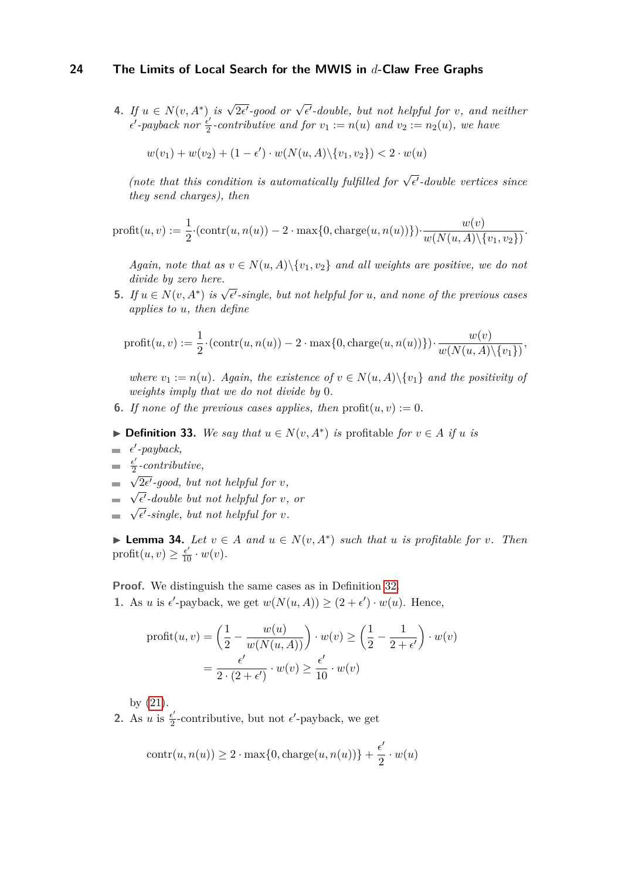**4.** If  $u \in N(v, A^*)$  is  $\sqrt{2\epsilon'}$ -good or  $\sqrt{\epsilon'}$ -double, but not helpful for  $v$ , and neither  $\epsilon'$ -payback nor  $\frac{\epsilon'}{2}$  $\frac{e^{\prime}}{2}$ -contributive and for  $v_1 := n(u)$  and  $v_2 := n_2(u)$ , we have

$$
w(v_1) + w(v_2) + (1 - \epsilon') \cdot w(N(u, A) \setminus \{v_1, v_2\}) < 2 \cdot w(u)
$$

*(note that this condition is automatically fulfilled for*  $\sqrt{\epsilon'}$ -double vertices since *they send charges), then*

$$
\text{profit}(u, v) := \frac{1}{2} \cdot (\text{contr}(u, n(u)) - 2 \cdot \max\{0, \text{charge}(u, n(u))\}) \cdot \frac{w(v)}{w(N(u, A) \setminus \{v_1, v_2\})}.
$$

*Again, note that as*  $v \in N(u, A) \setminus \{v_1, v_2\}$  *and all weights are positive, we do not divide by zero here.*

**5.** *If*  $u \in N(v, A^*)$  *is*  $\sqrt{\epsilon'}$ -single, but not helpful for *u*, and none of the previous cases *applies to u, then define*

$$
\text{profit}(u, v) := \frac{1}{2} \cdot (\text{contr}(u, n(u)) - 2 \cdot \max\{0, \text{charge}(u, n(u))\}) \cdot \frac{w(v)}{w(N(u, A) \setminus \{v_1\})},
$$

*where*  $v_1 := n(u)$ *. Again, the existence of*  $v \in N(u, A) \setminus \{v_1\}$  *and the positivity of weights imply that we do not divide by* 0*.*

- <span id="page-23-2"></span><span id="page-23-0"></span>**6.** If none of the previous cases applies, then  $\text{profit}(u, v) := 0$ .
- ▶ **Definition 33.** *We say that*  $u \in N(v, A^*)$  *is* profitable *for*  $v \in A$  *if u is*
- *ϵ* ′ *-payback,*
- *ϵ* ′  $\frac{e'}{2}$ -contributive, √
- $\sqrt{2\epsilon'}$ -good, but not helpful for *v*,
- *ϵ* ′ *-double but not helpful for v, or*  $V_{\alpha}$
- <span id="page-23-1"></span> $\overline{\epsilon'}$ -single, but not helpful for *v*.

▶ **Lemma 34.** *Let*  $v \in A$  *and*  $u \in N(v, A^*)$  *such that*  $u$  *is profitable for*  $v$ *. Then* profit $(u, v) \geq \frac{\epsilon'}{10} \cdot w(v)$ .

**Proof.** We distinguish the same cases as in Definition [32.](#page-23-0)

**1.** As *u* is  $\epsilon'$ -payback, we get  $w(N(u, A)) \geq (2 + \epsilon') \cdot w(u)$ . Hence,

$$
\text{profit}(u, v) = \left(\frac{1}{2} - \frac{w(u)}{w(N(u, A))}\right) \cdot w(v) \ge \left(\frac{1}{2} - \frac{1}{2 + \epsilon'}\right) \cdot w(v)
$$

$$
= \frac{\epsilon'}{2 \cdot (2 + \epsilon')} \cdot w(v) \ge \frac{\epsilon'}{10} \cdot w(v)
$$

by [\(21\)](#page-46-1).

2. As *u* is  $\frac{\epsilon'}{2}$  $\frac{\epsilon'}{2}$ -contributive, but not  $\epsilon'$ -payback, we get

$$
contr(u, n(u)) \ge 2 \cdot max\{0, charge(u, n(u))\} + \frac{\epsilon'}{2} \cdot w(u)
$$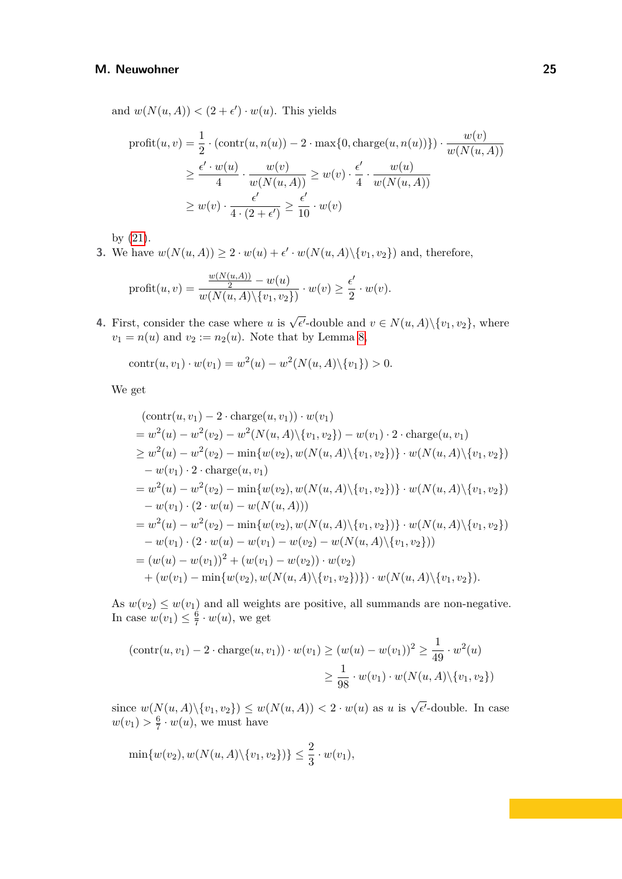and  $w(N(u, A)) < (2 + \epsilon') \cdot w(u)$ . This yields

$$
\text{profit}(u, v) = \frac{1}{2} \cdot (\text{contr}(u, n(u)) - 2 \cdot \max\{0, \text{charge}(u, n(u))\}) \cdot \frac{w(v)}{w(N(u, A))}
$$
\n
$$
\geq \frac{\epsilon' \cdot w(u)}{4} \cdot \frac{w(v)}{w(N(u, A))} \geq w(v) \cdot \frac{\epsilon'}{4} \cdot \frac{w(u)}{w(N(u, A))}
$$
\n
$$
\geq w(v) \cdot \frac{\epsilon'}{4 \cdot (2 + \epsilon')} \geq \frac{\epsilon'}{10} \cdot w(v)
$$

by [\(21\)](#page-46-1).

**3.** We have  $w(N(u, A)) \geq 2 \cdot w(u) + \epsilon' \cdot w(N(u, A) \setminus \{v_1, v_2\})$  and, therefore,

$$
\text{profit}(u, v) = \frac{\frac{w(N(u, A))}{2} - w(u)}{w(N(u, A) \setminus \{v_1, v_2\})} \cdot w(v) \ge \frac{\epsilon'}{2} \cdot w(v).
$$

**4.** First, consider the case where *u* is  $\sqrt{\epsilon'}$ -double and  $v \in N(u, A) \setminus \{v_1, v_2\}$ , where  $v_1 = n(u)$  and  $v_2 := n_2(u)$ . Note that by Lemma [8,](#page-7-1)

contr
$$
(u, v_1) \cdot w(v_1) = w^2(u) - w^2(N(u, A) \setminus \{v_1\}) > 0.
$$

We get

$$
(\text{contr}(u, v_1) - 2 \cdot \text{charge}(u, v_1)) \cdot w(v_1)
$$
  
=  $w^2(u) - w^2(v_2) - w^2(N(u, A) \setminus \{v_1, v_2\}) - w(v_1) \cdot 2 \cdot \text{charge}(u, v_1)$   
 $\geq w^2(u) - w^2(v_2) - \min\{w(v_2), w(N(u, A) \setminus \{v_1, v_2\})\} \cdot w(N(u, A) \setminus \{v_1, v_2\})$   
 $- w(v_1) \cdot 2 \cdot \text{charge}(u, v_1)$   
=  $w^2(u) - w^2(v_2) - \min\{w(v_2), w(N(u, A) \setminus \{v_1, v_2\})\} \cdot w(N(u, A) \setminus \{v_1, v_2\})$   
 $- w(v_1) \cdot (2 \cdot w(u) - w(N(u, A)))$   
=  $w^2(u) - w^2(v_2) - \min\{w(v_2), w(N(u, A) \setminus \{v_1, v_2\})\} \cdot w(N(u, A) \setminus \{v_1, v_2\})$   
 $- w(v_1) \cdot (2 \cdot w(u) - w(v_1) - w(v_2) - w(N(u, A) \setminus \{v_1, v_2\}))$   
=  $(w(u) - w(v_1))^2 + (w(v_1) - w(v_2)) \cdot w(v_2)$   
 $+ (w(v_1) - \min\{w(v_2), w(N(u, A) \setminus \{v_1, v_2\})\}) \cdot w(N(u, A) \setminus \{v_1, v_2\}).$ 

As  $w(v_2) \leq w(v_1)$  and all weights are positive, all summands are non-negative. In case  $w(v_1) \leq \frac{6}{7}$  $\frac{6}{7} \cdot w(u)$ , we get

$$
(\text{contr}(u, v_1) - 2 \cdot \text{charge}(u, v_1)) \cdot w(v_1) \ge (w(u) - w(v_1))^2 \ge \frac{1}{49} \cdot w^2(u)
$$

$$
\ge \frac{1}{98} \cdot w(v_1) \cdot w(N(u, A) \setminus \{v_1, v_2\})
$$

since  $w(N(u, A) \setminus \{v_1, v_2\}) \leq w(N(u, A)) < 2 \cdot w(u)$  as *u* is  $\sqrt{\epsilon'}$ -double. In case  $w(v_1) > \frac{6}{7}$  $\frac{6}{7} \cdot w(u)$ , we must have

$$
\min\{w(v_2), w(N(u, A) \setminus \{v_1, v_2\})\} \le \frac{2}{3} \cdot w(v_1),
$$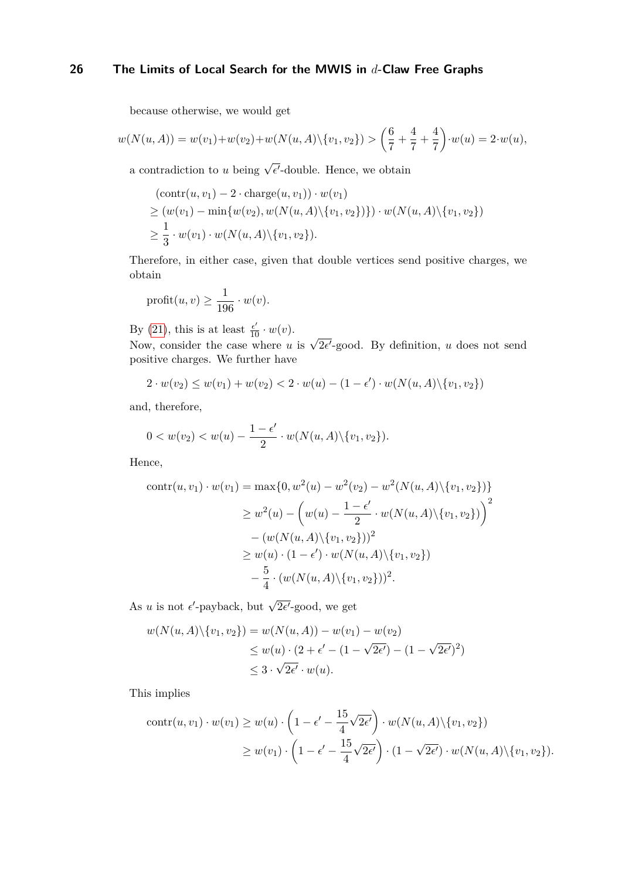because otherwise, we would get

$$
w(N(u, A)) = w(v_1) + w(v_2) + w(N(u, A) \setminus \{v_1, v_2\}) > \left(\frac{6}{7} + \frac{4}{7} + \frac{4}{7}\right) \cdot w(u) = 2 \cdot w(u),
$$

a contradiction to *u* being  $\sqrt{\epsilon'}$ -double. Hence, we obtain

$$
(\text{contr}(u, v_1) - 2 \cdot \text{charge}(u, v_1)) \cdot w(v_1)
$$
  
\n
$$
\geq (w(v_1) - \min\{w(v_2), w(N(u, A) \setminus \{v_1, v_2\})\}) \cdot w(N(u, A) \setminus \{v_1, v_2\})
$$
  
\n
$$
\geq \frac{1}{3} \cdot w(v_1) \cdot w(N(u, A) \setminus \{v_1, v_2\}).
$$

Therefore, in either case, given that double vertices send positive charges, we obtain

$$
\text{profit}(u, v) \ge \frac{1}{196} \cdot w(v).
$$

By [\(21\)](#page-46-1), this is at least  $\frac{\epsilon'}{10} \cdot w(v)$ .<br>Now, consider the case where *u* is  $\sqrt{2\epsilon'}$ -good. By definition, *u* does not send positive charges. We further have

$$
2 \cdot w(v_2) \le w(v_1) + w(v_2) < 2 \cdot w(u) - (1 - \epsilon') \cdot w(N(u, A) \setminus \{v_1, v_2\})
$$

and, therefore,

$$
0 < w(v_2) < w(u) - \frac{1 - \epsilon'}{2} \cdot w(N(u, A) \setminus \{v_1, v_2\}).
$$

Hence,

$$
contr(u, v_1) \cdot w(v_1) = \max\{0, w^2(u) - w^2(v_2) - w^2(N(u, A) \setminus \{v_1, v_2\})\}
$$
  
\n
$$
\geq w^2(u) - \left(w(u) - \frac{1 - \epsilon'}{2} \cdot w(N(u, A) \setminus \{v_1, v_2\})\right)^2
$$
  
\n
$$
- (w(N(u, A) \setminus \{v_1, v_2\}))^2
$$
  
\n
$$
\geq w(u) \cdot (1 - \epsilon') \cdot w(N(u, A) \setminus \{v_1, v_2\})
$$
  
\n
$$
- \frac{5}{4} \cdot (w(N(u, A) \setminus \{v_1, v_2\}))^2.
$$

As *u* is not  $\epsilon'$ -payback, but  $\sqrt{2\epsilon'}$ -good, we get

$$
w(N(u, A) \setminus \{v_1, v_2\}) = w(N(u, A)) - w(v_1) - w(v_2)
$$
  
\n
$$
\leq w(u) \cdot (2 + \epsilon' - (1 - \sqrt{2\epsilon'}) - (1 - \sqrt{2\epsilon'})^2)
$$
  
\n
$$
\leq 3 \cdot \sqrt{2\epsilon'} \cdot w(u).
$$

This implies

$$
\operatorname{contr}(u, v_1) \cdot w(v_1) \ge w(u) \cdot \left(1 - \epsilon' - \frac{15}{4} \sqrt{2\epsilon'}\right) \cdot w(N(u, A) \setminus \{v_1, v_2\})
$$
  
 
$$
\ge w(v_1) \cdot \left(1 - \epsilon' - \frac{15}{4} \sqrt{2\epsilon'}\right) \cdot (1 - \sqrt{2\epsilon'}) \cdot w(N(u, A) \setminus \{v_1, v_2\}).
$$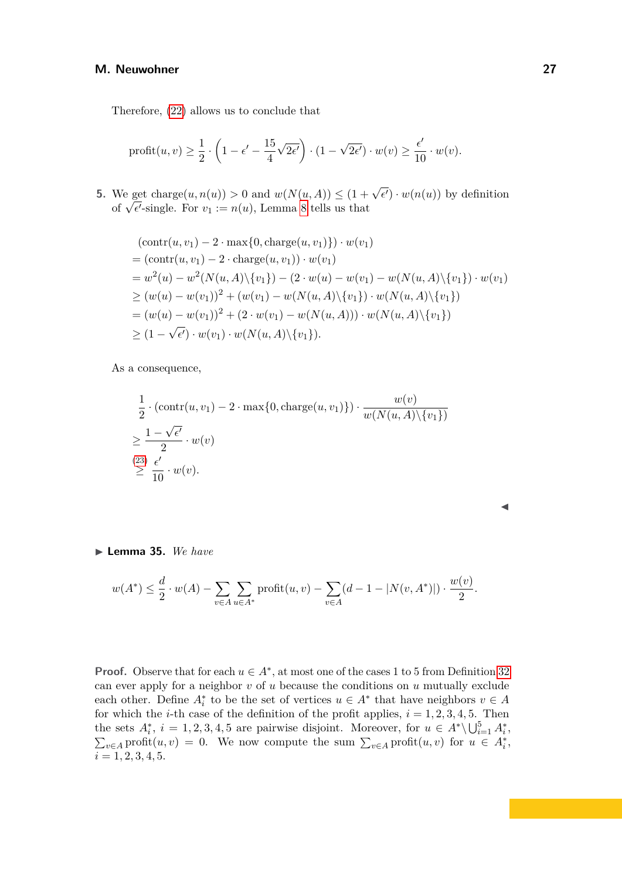Therefore, [\(22\)](#page-47-0) allows us to conclude that

$$
\text{profit}(u, v) \ge \frac{1}{2} \cdot \left(1 - \epsilon' - \frac{15}{4} \sqrt{2\epsilon'}\right) \cdot (1 - \sqrt{2\epsilon'}) \cdot w(v) \ge \frac{\epsilon'}{10} \cdot w(v).
$$

**5.** We get charge $(u, n(u)) > 0$  and  $w(N(u, A)) \leq (1 + \sqrt{\epsilon'}) \cdot w(n(u))$  by definition we get charge $(u, n(u)) > 0$  and  $w(N(u, A)) \leq (1 +$ <br>of  $\sqrt{\epsilon'}$ -single. For  $v_1 := n(u)$ , Lemma [8](#page-7-1) tells us that

$$
(\text{contr}(u, v_1) - 2 \cdot \max\{0, \text{charge}(u, v_1)\}) \cdot w(v_1)
$$
  
=  $(\text{contr}(u, v_1) - 2 \cdot \text{charge}(u, v_1)) \cdot w(v_1)$   
=  $w^2(u) - w^2(N(u, A) \setminus \{v_1\}) - (2 \cdot w(u) - w(v_1) - w(N(u, A) \setminus \{v_1\}) \cdot w(v_1))$   
 $\geq (w(u) - w(v_1))^2 + (w(v_1) - w(N(u, A) \setminus \{v_1\}) \cdot w(N(u, A) \setminus \{v_1\})$   
=  $(w(u) - w(v_1))^2 + (2 \cdot w(v_1) - w(N(u, A))) \cdot w(N(u, A) \setminus \{v_1\})$   
 $\geq (1 - \sqrt{\epsilon'}) \cdot w(v_1) \cdot w(N(u, A) \setminus \{v_1\}).$ 

As a consequence,

$$
\frac{1}{2} \cdot (\operatorname{contr}(u, v_1) - 2 \cdot \max\{0, \operatorname{charge}(u, v_1)\}) \cdot \frac{w(v)}{w(N(u, A) \setminus \{v_1\})}
$$
\n
$$
\geq \frac{1 - \sqrt{\epsilon'}}{2} \cdot w(v)
$$
\n
$$
\stackrel{(23)}{\geq} \frac{\epsilon'}{10} \cdot w(v).
$$

| . .<br>. .<br>. .<br>. .<br>. . |
|---------------------------------|
| o esta                          |

#### <span id="page-26-0"></span>▶ **Lemma 35.** *We have*

$$
w(A^*) \leq \frac{d}{2} \cdot w(A) - \sum_{v \in A} \sum_{u \in A^*} \text{profit}(u, v) - \sum_{v \in A} (d - 1 - |N(v, A^*)|) \cdot \frac{w(v)}{2}.
$$

**Proof.** Observe that for each  $u \in A^*$ , at most one of the cases 1 to 5 from Definition [32](#page-23-0) can ever apply for a neighbor *v* of *u* because the conditions on *u* mutually exclude each other. Define  $A_i^*$  to be the set of vertices  $u \in A^*$  that have neighbors  $v \in A$ for which the *i*-th case of the definition of the profit applies,  $i = 1, 2, 3, 4, 5$ . Then the sets  $A_i^*$ ,  $i = 1, 2, 3, 4, 5$  are pairwise disjoint. Moreover, for  $u \in A^* \setminus \bigcup_{i=1}^5 A_i^*$ ,  $\sum_{v \in A} \text{profit}(u, v) = 0$ . We now compute the sum  $\sum_{v \in A} \text{profit}(u, v)$  for  $u \in A_i^*$ ,  $i = 1, 2, 3, 4, 5.$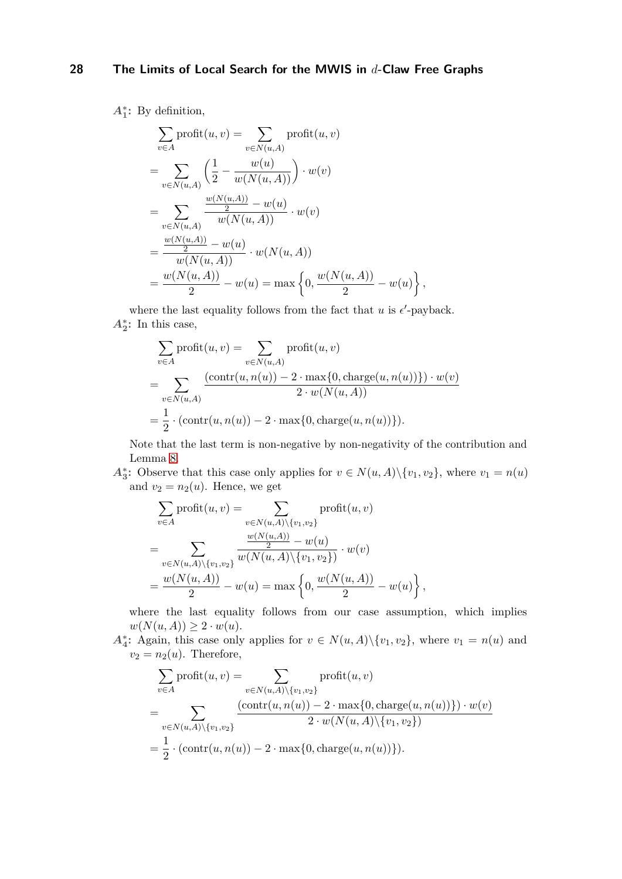*A***<sup>∗</sup> 1 :** By definition,

$$
\sum_{v \in A} \text{profit}(u, v) = \sum_{v \in N(u, A)} \text{profit}(u, v)
$$
\n
$$
= \sum_{v \in N(u, A)} \left( \frac{1}{2} - \frac{w(u)}{w(N(u, A))} \right) \cdot w(v)
$$
\n
$$
= \sum_{v \in N(u, A)} \frac{\frac{w(N(u, A))}{2} - w(u)}{w(N(u, A))} \cdot w(v)
$$
\n
$$
= \frac{\frac{w(N(u, A))}{2} - w(u)}{w(N(u, A))} \cdot w(N(u, A))
$$
\n
$$
= \frac{w(N(u, A))}{2} - w(u) = \max \left\{ 0, \frac{w(N(u, A))}{2} - w(u) \right\}
$$

where the last equality follows from the fact that  $u$  is  $\epsilon'$ -payback.  $A_2^*$ : In this case,

$$
\sum_{v \in A} \text{profit}(u, v) = \sum_{v \in N(u, A)} \text{profit}(u, v)
$$
\n
$$
= \sum_{v \in N(u, A)} \frac{(\text{contr}(u, n(u)) - 2 \cdot \max\{0, \text{charge}(u, n(u))\}) \cdot w(v)}{2 \cdot w(N(u, A))}
$$
\n
$$
= \frac{1}{2} \cdot (\text{contr}(u, n(u)) - 2 \cdot \max\{0, \text{charge}(u, n(u))\}).
$$

Note that the last term is non-negative by non-negativity of the contribution and Lemma [8.](#page-7-1)

*,*

*A*<sup>\*</sup><sub>3</sub></sub>: Observe that this case only applies for  $v \in N(u, A) \setminus \{v_1, v_2\}$ , where  $v_1 = n(u)$ and  $v_2 = n_2(u)$ . Hence, we get

$$
\sum_{v \in A} \text{profit}(u, v) = \sum_{v \in N(u, A) \setminus \{v_1, v_2\}} \text{profit}(u, v)
$$
\n
$$
= \sum_{v \in N(u, A) \setminus \{v_1, v_2\}} \frac{\frac{w(N(u, A))}{2} - w(u)}{w(N(u, A) \setminus \{v_1, v_2\})} \cdot w(v)
$$
\n
$$
= \frac{w(N(u, A))}{2} - w(u) = \max \left\{ 0, \frac{w(N(u, A))}{2} - w(u) \right\},
$$

where the last equality follows from our case assumption, which implies  $w(N(u, A)) \geq 2 \cdot w(u).$ 

*A*<sup>\*</sup><sub>4</sub>: Again, this case only applies for  $v \in N(u, A) \setminus \{v_1, v_2\}$ , where  $v_1 = n(u)$  and  $v_2 = n_2(u)$ . Therefore,

$$
\sum_{v \in A} \text{profit}(u, v) = \sum_{v \in N(u, A) \setminus \{v_1, v_2\}} \text{profit}(u, v)
$$
\n
$$
= \sum_{v \in N(u, A) \setminus \{v_1, v_2\}} \frac{(\text{contr}(u, n(u)) - 2 \cdot \max\{0, \text{charge}(u, n(u))\}) \cdot w(v)}{2 \cdot w(N(u, A) \setminus \{v_1, v_2\})}
$$
\n
$$
= \frac{1}{2} \cdot (\text{contr}(u, n(u)) - 2 \cdot \max\{0, \text{charge}(u, n(u))\}).
$$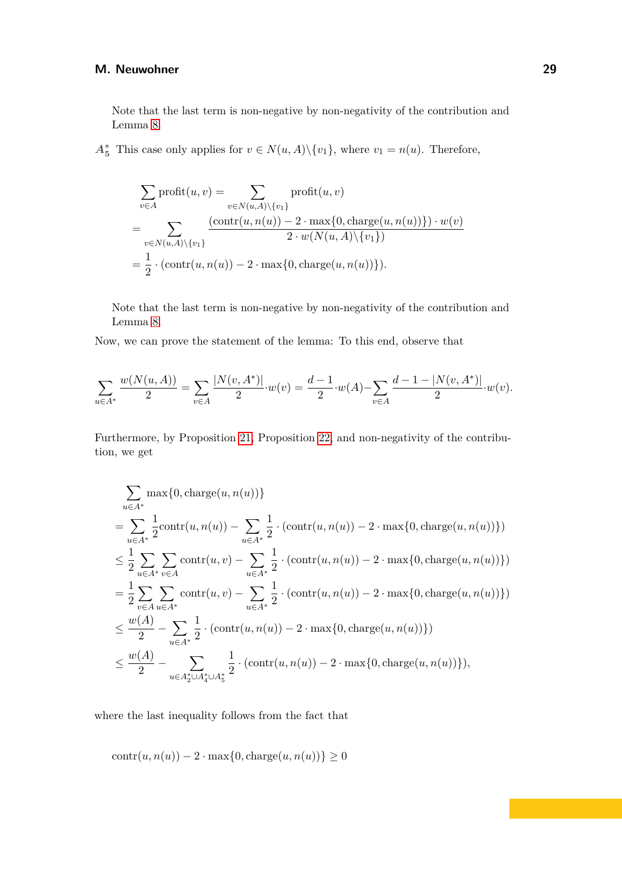Note that the last term is non-negative by non-negativity of the contribution and Lemma [8.](#page-7-1)

 $A_5^*$  This case only applies for  $v \in N(u, A) \setminus \{v_1\}$ , where  $v_1 = n(u)$ . Therefore,

$$
\sum_{v \in A} \text{profit}(u, v) = \sum_{v \in N(u, A) \setminus \{v_1\}} \text{profit}(u, v)
$$
\n
$$
= \sum_{v \in N(u, A) \setminus \{v_1\}} \frac{(\text{contr}(u, n(u)) - 2 \cdot \text{max}\{0, \text{charge}(u, n(u))\}) \cdot w(v)}{2 \cdot w(N(u, A) \setminus \{v_1\})}
$$
\n
$$
= \frac{1}{2} \cdot (\text{contr}(u, n(u)) - 2 \cdot \text{max}\{0, \text{charge}(u, n(u))\}).
$$

Note that the last term is non-negative by non-negativity of the contribution and Lemma [8.](#page-7-1)

Now, we can prove the statement of the lemma: To this end, observe that

$$
\sum_{u \in A^*} \frac{w(N(u, A))}{2} = \sum_{v \in A} \frac{|N(v, A^*)|}{2} \cdot w(v) = \frac{d-1}{2} \cdot w(A) - \sum_{v \in A} \frac{d-1-|N(v, A^*)|}{2} \cdot w(v).
$$

Furthermore, by Proposition [21,](#page-18-0) Proposition [22,](#page-18-1) and non-negativity of the contribution, we get

$$
\sum_{u \in A^*} \max\{0, \text{charge}(u, n(u))\}
$$
\n
$$
= \sum_{u \in A^*} \frac{1}{2} \text{contr}(u, n(u)) - \sum_{u \in A^*} \frac{1}{2} \cdot (\text{contr}(u, n(u)) - 2 \cdot \max\{0, \text{charge}(u, n(u))\})
$$
\n
$$
\leq \frac{1}{2} \sum_{u \in A^*} \sum_{v \in A} \text{contr}(u, v) - \sum_{u \in A^*} \frac{1}{2} \cdot (\text{contr}(u, n(u)) - 2 \cdot \max\{0, \text{charge}(u, n(u))\})
$$
\n
$$
= \frac{1}{2} \sum_{v \in A} \sum_{u \in A^*} \text{contr}(u, v) - \sum_{u \in A^*} \frac{1}{2} \cdot (\text{contr}(u, n(u)) - 2 \cdot \max\{0, \text{charge}(u, n(u))\})
$$
\n
$$
\leq \frac{w(A)}{2} - \sum_{u \in A^*} \frac{1}{2} \cdot (\text{contr}(u, n(u)) - 2 \cdot \max\{0, \text{charge}(u, n(u))\})
$$
\n
$$
\leq \frac{w(A)}{2} - \sum_{u \in A^* \cup A^*_{4} \cup A^*_{5}} \frac{1}{2} \cdot (\text{contr}(u, n(u)) - 2 \cdot \max\{0, \text{charge}(u, n(u))\}),
$$

where the last inequality follows from the fact that

$$
contr(u, n(u)) - 2 \cdot max\{0, \text{charge}(u, n(u))\} \ge 0
$$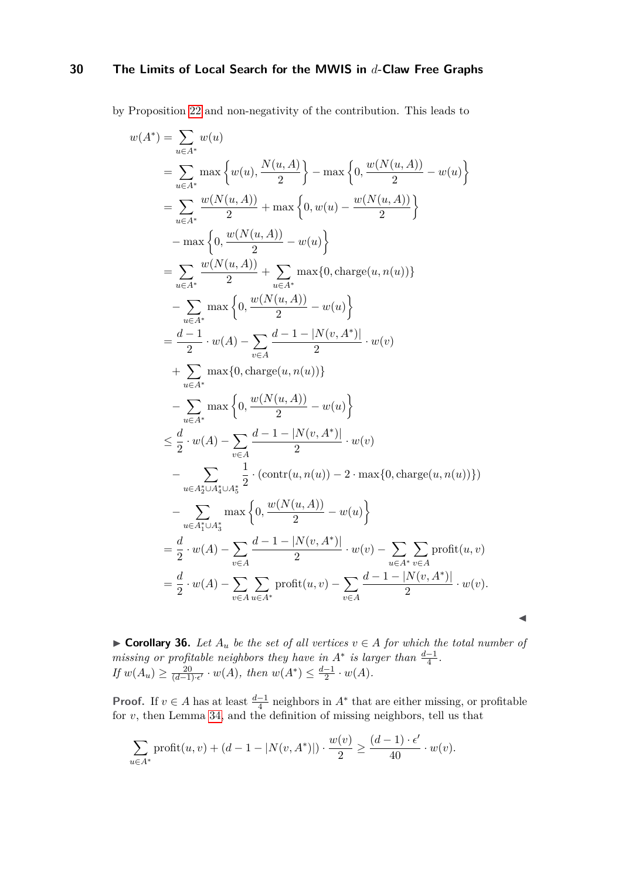by Proposition [22](#page-18-1) and non-negativity of the contribution. This leads to

$$
w(A^*) = \sum_{u \in A^*} w(u)
$$
  
\n
$$
= \sum_{u \in A^*} \max \left\{ w(u), \frac{N(u, A)}{2} \right\} - \max \left\{ 0, \frac{w(N(u, A))}{2} - w(u) \right\}
$$
  
\n
$$
= \sum_{u \in A^*} \frac{w(N(u, A))}{2} + \max \left\{ 0, w(u) - \frac{w(N(u, A))}{2} \right\}
$$
  
\n
$$
- \max \left\{ 0, \frac{w(N(u, A))}{2} - w(u) \right\}
$$
  
\n
$$
= \sum_{u \in A^*} \frac{w(N(u, A))}{2} + \sum_{u \in A^*} \max \{ 0, \text{charge}(u, n(u)) \}
$$
  
\n
$$
- \sum_{u \in A^*} \max \left\{ 0, \frac{w(N(u, A))}{2} - w(u) \right\}
$$
  
\n
$$
= \frac{d-1}{2} \cdot w(A) - \sum_{v \in A} \frac{d-1-|N(v, A^*)|}{2} \cdot w(v)
$$
  
\n
$$
+ \sum_{u \in A^*} \max \left\{ 0, \frac{w(N(u, A))}{2} - w(u) \right\}
$$
  
\n
$$
\leq \frac{d}{2} \cdot w(A) - \sum_{v \in A} \frac{d-1-|N(v, A^*)|}{2} \cdot w(v)
$$
  
\n
$$
- \sum_{u \in A_2^* \cup A_4^* \cup A_5^*} \frac{1}{2} \cdot (\text{contr}(u, n(u)) - 2 \cdot \max \{ 0, \text{charge}(u, n(u)) \})
$$
  
\n
$$
- \sum_{u \in A_2^* \cup A_4^* \cup A_5^*} \frac{1}{2} \cdot (\text{contr}(u, n(u)) - 2 \cdot \max \{ 0, \text{charge}(u, n(u)) \})
$$
  
\n
$$
= \sum_{u \in A_1^* \cup A_3^*} \left\{ 0, \frac{w(N(u, A))}{2} - w(u) \right\}
$$
  
\n
$$
= \frac{d}{2} \cdot w(A) - \sum_{v \in A} \frac{d-1-|N(v, A^*)|}{2} \cdot w(v) -
$$

<span id="page-29-0"></span>▶ **Corollary 36.** Let  $A_u$  be the set of all vertices  $v \in A$  for which the total number of *missing or profitable neighbors they have in*  $A^*$  *is larger than*  $\frac{d-1}{4}$ . *If*  $w(A_u) \geq \frac{20}{(d-1)}$  $\frac{20}{(d-1)\cdot \epsilon'} \cdot w(A)$ , then  $w(A^*) \leq \frac{d-1}{2}$  $\frac{-1}{2} \cdot w(A)$ .

◀

**Proof.** If  $v \in A$  has at least  $\frac{d-1}{4}$  neighbors in  $A^*$  that are either missing, or profitable for *v*, then Lemma [34,](#page-23-1) and the definition of missing neighbors, tell us that

$$
\sum_{u \in A^*} \text{profit}(u, v) + (d - 1 - |N(v, A^*)|) \cdot \frac{w(v)}{2} \ge \frac{(d - 1) \cdot \epsilon'}{40} \cdot w(v).
$$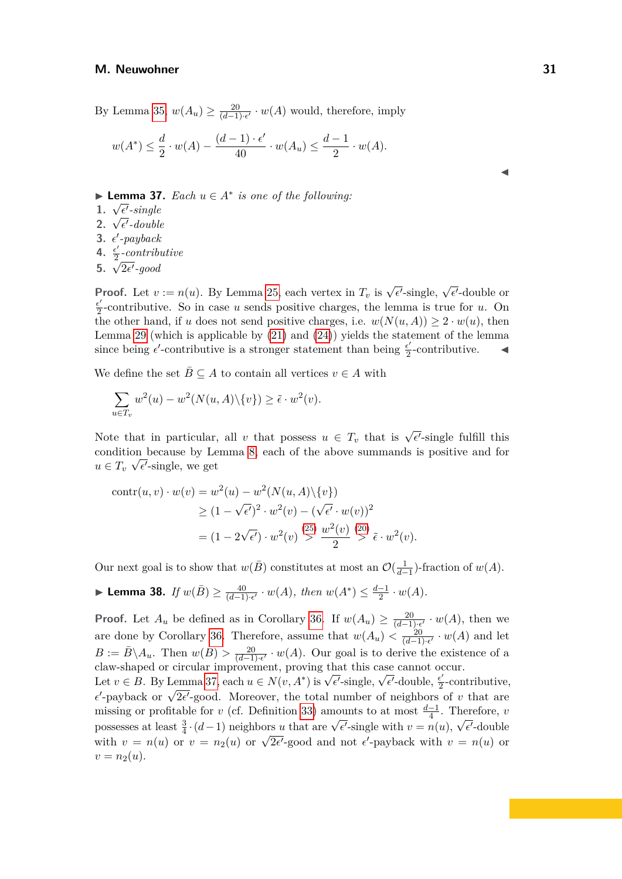By Lemma [35,](#page-26-0)  $w(A_u) \geq \frac{20}{(d-1)}$  $\frac{20}{(d-1)\cdot \epsilon'} \cdot w(A)$  would, therefore, imply

$$
w(A^*) \leq \frac{d}{2} \cdot w(A) - \frac{(d-1) \cdot \epsilon'}{40} \cdot w(A_u) \leq \frac{d-1}{2} \cdot w(A).
$$

▶ **Lemma 37.** *Each*  $u \in A^*$  *is one of the following:* 

- **1.** <sup>√</sup> *ϵ* ′ *-single*
- **2.**  $\sqrt{\epsilon'}$ -double
- **3.**  $\epsilon'$ -payback
- 4.  $\frac{\epsilon'}{2}$  $\frac{\epsilon'}{2}$ *-contributive*
- <span id="page-30-0"></span>**5.**  $\sqrt{2\epsilon'}$ -good

**Proof.** Let  $v := n(u)$ . By Lemma [25,](#page-19-1) each vertex in  $T_v$  is  $\sqrt{\epsilon'}$ -single,  $\sqrt{\epsilon'}$ -double or *ϵ* ′  $\frac{e^{\prime}}{2}$ -contributive. So in case *u* sends positive charges, the lemma is true for *u*. On the other hand, if *u* does not send positive charges, i.e.  $w(N(u, A)) \geq 2 \cdot w(u)$ , then Lemma [29](#page-21-1) (which is applicable by [\(21\)](#page-46-1) and [\(24\)](#page-47-2)) yields the statement of the lemma since being  $\epsilon'$ -contributive is a stronger statement than being  $\frac{\epsilon'}{2}$  $\frac{\epsilon'}{2}$ -contributive.  $\blacktriangleleft$ 

We define the set  $\overline{B} \subseteq A$  to contain all vertices  $v \in A$  with

$$
\sum_{u \in T_v} w^2(u) - w^2(N(u, A) \setminus \{v\}) \ge \tilde{\epsilon} \cdot w^2(v).
$$

Note that in particular, all *v* that possess  $u \in T_v$  that is  $\sqrt{\epsilon'}$ -single fulfill this condition because by Lemma [8,](#page-7-1) each of the above summands is positive and for  $u \in T_v \sqrt{\epsilon'}$ -single, we get

$$
\operatorname{contr}(u, v) \cdot w(v) = w^2(u) - w^2(N(u, A) \setminus \{v\})
$$
  
\n
$$
\ge (1 - \sqrt{\epsilon'})^2 \cdot w^2(v) - (\sqrt{\epsilon'} \cdot w(v))^2
$$
  
\n
$$
= (1 - 2\sqrt{\epsilon'}) \cdot w^2(v) \stackrel{(25)}{>} \frac{w^2(v)}{2} \stackrel{(20)}{>} \tilde{\epsilon} \cdot w^2(v).
$$

Our next goal is to show that  $w(\bar{B})$  constitutes at most an  $\mathcal{O}(\frac{1}{d-1})$ -fraction of  $w(A)$ .

<span id="page-30-1"></span>► Lemma 38. If 
$$
w(\bar{B}) \ge \frac{40}{(d-1)\cdot \epsilon'} \cdot w(A)
$$
, then  $w(A^*) \le \frac{d-1}{2} \cdot w(A)$ .

**Proof.** Let  $A_u$  be defined as in Corollary [36.](#page-29-0) If  $w(A_u) \geq \frac{20}{(d-1)}$  $\frac{20}{(d-1)\cdot\epsilon'}\cdot w(A)$ , then we are done by Corollary [36.](#page-29-0) Therefore, assume that  $w(A_u) < \frac{20}{(d-1)}$  $\frac{20}{(d-1)\cdot \epsilon'} \cdot w(A)$  and let  $B := \overline{B} \setminus A_u$ . Then  $w(B) > \frac{20}{(d-1)}$ (*d*−1)·*ϵ* ′ · *w*(*A*). Our goal is to derive the existence of a claw-shaped or circular improvement, proving that this case cannot occur.

claw-shaped or circular improvement, proving that this case cannot of<br>Let  $v \in B$ . By Lemma [37,](#page-30-0) each  $u \in N(v, A^*)$  is  $\sqrt{\epsilon'}$ -single,  $\sqrt{\epsilon'}$ -double,  $\frac{\epsilon'}{2}$  $\frac{\epsilon'}{2}$ -contributive, Let  $v \in D$ . By Lemma 37, each  $u \in N(v, A)$  is  $\sqrt{e}$ -single,  $\sqrt{e}$ -double,  $\frac{1}{2}$ -contributive<br>*e*'-payback or  $\sqrt{2e'}$ -good. Moreover, the total number of neighbors of *v* that are missing or profitable for *v* (cf. Definition [33\)](#page-23-2) amounts to at most  $\frac{d-1}{4}$ . Therefore, *v* possesses at least  $\frac{3}{4} \cdot (d-1)$  neighbors *u* that are  $\sqrt{\epsilon'}$ -single with  $v = n(u)$ ,  $\sqrt{\epsilon'}$ -double possesses at least  $\frac{1}{4} \cdot (u-1)$  heighbors u that are  $v \in$ -single with  $v = h(u)$ ,  $v \in$ -double<br>with  $v = n(u)$  or  $v = n_2(u)$  or  $\sqrt{2\epsilon'}$ -good and not  $\epsilon'$ -payback with  $v = n(u)$  or  $v = n_2(u)$ .

◀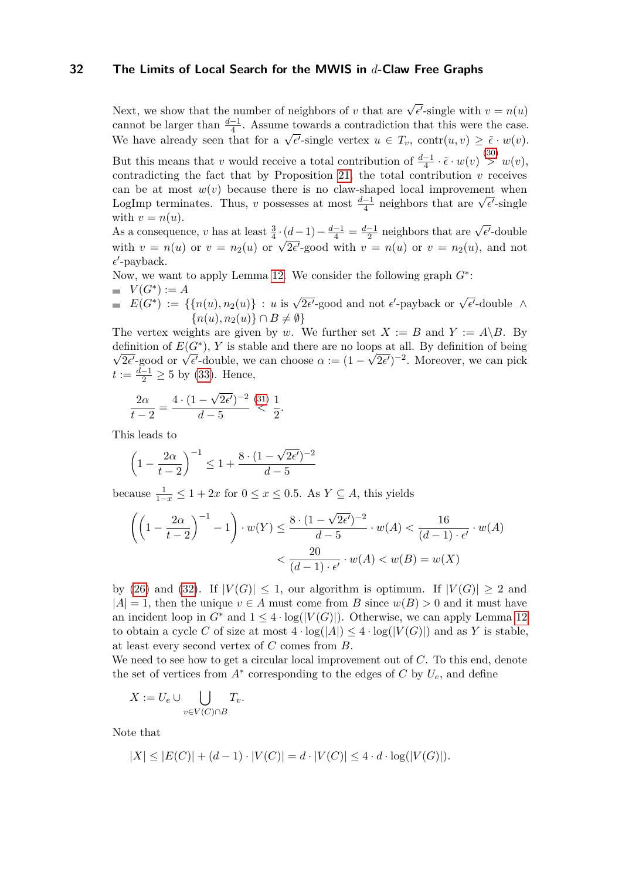Next, we show that the number of neighbors of *v* that are  $\sqrt{\epsilon'}$ -single with  $v = n(u)$ cannot be larger than  $\frac{d-1}{4}$ . Assume towards a contradiction that this were the case. Commot be larger than  $\frac{1}{4}$ . Assume towards a contradiction that this were the case.<br>We have already seen that for a  $\sqrt{\epsilon'}$ -single vertex  $u \in T_v$ , contr $(u, v) \geq \tilde{\epsilon} \cdot w(v)$ . But this means that *v* would receive a total contribution of  $\frac{d-1}{4} \cdot \tilde{\epsilon} \cdot w(v) \overset{(30)}{>} w(v)$  $\frac{d-1}{4} \cdot \tilde{\epsilon} \cdot w(v) \overset{(30)}{>} w(v)$  $\frac{d-1}{4} \cdot \tilde{\epsilon} \cdot w(v) \overset{(30)}{>} w(v)$ , contradicting the fact that by Proposition [21,](#page-18-0) the total contribution  $v$  receives can be at most  $w(v)$  because there is no claw-shaped local improvement when can be at most  $w(v)$  because there is no claw-shaped local improvement when<br>LogImp terminates. Thus, *v* possesses at most  $\frac{d-1}{4}$  neighbors that are  $\sqrt{\epsilon'}$ -single with  $v = n(u)$ .

As a consequence, *v* has at least  $\frac{3}{4} \cdot (d-1) - \frac{d-1}{4} = \frac{d-1}{2}$  $\frac{-1}{2}$  neighbors that are  $\sqrt{\epsilon'}$ -double As a consequence, *v* has at least  $\frac{1}{4} \cdot (u-1) - \frac{1}{4} - \frac{1}{2}$  heighbors that are  $\sqrt{v}$  = double<br>with  $v = n(u)$  or  $v = n_2(u)$  or  $\sqrt{2\epsilon'}$ -good with  $v = n(u)$  or  $v = n_2(u)$ , and not  $\epsilon'$ -payback.

Now, we want to apply Lemma [12.](#page-9-0) We consider the following graph *G*<sup>∗</sup> :

- $V(G^*) := A$
- $E(G^*) := \{ \{ n(u), n_2(u) \} : u \text{ is } \sqrt{2\epsilon'}\text{-good and not } \epsilon'\text{-payback or }\sqrt{\epsilon'}\text{-double }\wedge\}$  ${n(u), n_2(u)} \cap B \neq \emptyset$

The vertex weights are given by *w*. We further set  $X := B$  and  $Y := A \setminus B$ . By definition of  $E(G^*)$ , *Y* is stable and there are no loops at all. By definition of being  $\overline{2\epsilon'}$ -good or  $\sqrt{\epsilon'}$ -double, we can choose  $\alpha := (1 - \sqrt{2\epsilon'})^{-2}$ . Moreover, we can pick  $t := \frac{d-1}{2} \geq 5$  by [\(33\)](#page-47-5). Hence,

$$
\frac{2\alpha}{t-2} = \frac{4 \cdot (1 - \sqrt{2\epsilon'})^{-2}}{d-5} \stackrel{(31)}{<} \frac{1}{2}.
$$

This leads to

$$
\left(1 - \frac{2\alpha}{t - 2}\right)^{-1} \le 1 + \frac{8 \cdot (1 - \sqrt{2\epsilon'})^{-2}}{d - 5}
$$

because  $\frac{1}{1-x} \leq 1 + 2x$  for  $0 \leq x \leq 0.5$ . As  $Y \subseteq A$ , this yields

$$
\left(\left(1-\frac{2\alpha}{t-2}\right)^{-1}-1\right)\cdot w(Y) \le \frac{8\cdot(1-\sqrt{2\epsilon'})^{-2}}{d-5}\cdot w(A) < \frac{16}{(d-1)\cdot \epsilon'}\cdot w(A)
$$

$$
< \frac{20}{(d-1)\cdot \epsilon'}\cdot w(A) < w(B) = w(X)
$$

by [\(26\)](#page-47-7) and [\(32\)](#page-47-8). If  $|V(G)| \leq 1$ , our algorithm is optimum. If  $|V(G)| \geq 2$  and  $|A| = 1$ , then the unique  $v \in A$  must come from *B* since  $w(B) > 0$  and it must have an incident loop in  $G^*$  and  $1 \leq 4 \cdot \log(|V(G)|)$ . Otherwise, we can apply Lemma [12](#page-9-0) to obtain a cycle *C* of size at most  $4 \cdot \log(|A|) \leq 4 \cdot \log(|V(G)|)$  and as *Y* is stable, at least every second vertex of *C* comes from *B*.

We need to see how to get a circular local improvement out of *C*. To this end, denote the set of vertices from  $A^*$  corresponding to the edges of  $C$  by  $U_e$ , and define

$$
X := U_e \cup \bigcup_{v \in V(C) \cap B} T_v.
$$

Note that

$$
|X| \le |E(C)| + (d-1) \cdot |V(C)| = d \cdot |V(C)| \le 4 \cdot d \cdot \log(|V(G)|).
$$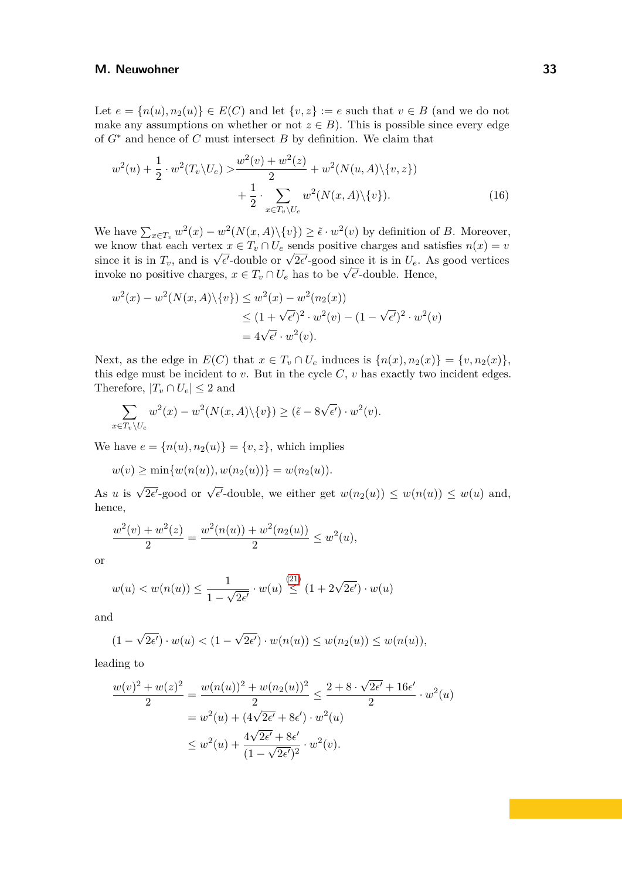Let  $e = \{n(u), n_2(u)\} \in E(C)$  and let  $\{v, z\} := e$  such that  $v \in B$  (and we do not make any assumptions on whether or not  $z \in B$ ). This is possible since every edge of *G*<sup>∗</sup> and hence of *C* must intersect *B* by definition. We claim that

<span id="page-32-0"></span>
$$
w^{2}(u) + \frac{1}{2} \cdot w^{2}(T_{v} \setminus U_{e}) \ge \frac{w^{2}(v) + w^{2}(z)}{2} + w^{2}(N(u, A) \setminus \{v, z\}) + \frac{1}{2} \cdot \sum_{x \in T_{v} \setminus U_{e}} w^{2}(N(x, A) \setminus \{v\}).
$$
\n(16)

We have  $\sum_{x \in T_v} w^2(x) - w^2(N(x, A) \setminus \{v\}) \geq \tilde{\epsilon} \cdot w^2(v)$  by definition of *B*. Moreover, we know that each vertex  $x \in T_v \cap U_e$  sends positive charges and satisfies  $n(x) = v$ we know that each vertex  $x \in I_v \cap U_e$  sends positive charges and satisfies  $n(x) = v$ <br>since it is in  $T_v$ , and is  $\sqrt{\epsilon'}$ -double or  $\sqrt{2\epsilon'}$ -good since it is in  $U_e$ . As good vertices since it is in  $I_v$ , and is  $\sqrt{\epsilon'}$ -double or  $\sqrt{\epsilon'}$ -good since it is in  $U_e$ . As<br>invoke no positive charges,  $x \in T_v \cap U_e$  has to be  $\sqrt{\epsilon'}$ -double. Hence,

$$
w^{2}(x) - w^{2}(N(x, A)\setminus\{v\}) \leq w^{2}(x) - w^{2}(n_{2}(x))
$$
  
\n
$$
\leq (1 + \sqrt{\epsilon'})^{2} \cdot w^{2}(v) - (1 - \sqrt{\epsilon'})^{2} \cdot w^{2}(v)
$$
  
\n
$$
= 4\sqrt{\epsilon'} \cdot w^{2}(v).
$$

Next, as the edge in  $E(C)$  that  $x \in T_v \cap U_e$  induces is  $\{n(x), n_2(x)\} = \{v, n_2(x)\},\$ this edge must be incident to  $v$ . But in the cycle  $C$ ,  $v$  has exactly two incident edges. Therefore,  $|T_v \cap U_e| \leq 2$  and

$$
\sum_{x \in T_v \setminus U_e} w^2(x) - w^2(N(x, A) \setminus \{v\}) \ge (\tilde{\epsilon} - 8\sqrt{\epsilon'}) \cdot w^2(v).
$$

We have  $e = \{n(u), n_2(u)\} = \{v, z\}$ , which implies

$$
w(v) \ge \min\{w(n(u)), w(n_2(u))\} = w(n_2(u)).
$$

As *u* is  $\sqrt{2\epsilon'}$ -good or  $\sqrt{\epsilon'}$ -double, we either get  $w(n_2(u)) \leq w(n(u)) \leq w(u)$  and, hence,

$$
\frac{w^2(v) + w^2(z)}{2} = \frac{w^2(n(u)) + w^2(n_2(u))}{2} \le w^2(u),
$$

or

$$
w(u) < w(n(u)) \le \frac{1}{1 - \sqrt{2\epsilon'}} \cdot w(u) \stackrel{(21)}{\le} (1 + 2\sqrt{2\epsilon'}) \cdot w(u)
$$

and

$$
(1 - \sqrt{2\epsilon'}) \cdot w(u) < (1 - \sqrt{2\epsilon'}) \cdot w(n(u)) \le w(n_2(u)) \le w(n(u)),
$$

leading to

$$
\frac{w(v)^2 + w(z)^2}{2} = \frac{w(n(u))^2 + w(n_2(u))^2}{2} \le \frac{2 + 8 \cdot \sqrt{2\epsilon'} + 16\epsilon'}{2} \cdot w^2(u)
$$

$$
= w^2(u) + (4\sqrt{2\epsilon'} + 8\epsilon') \cdot w^2(u)
$$

$$
\le w^2(u) + \frac{4\sqrt{2\epsilon'} + 8\epsilon'}{(1 - \sqrt{2\epsilon'})^2} \cdot w^2(v).
$$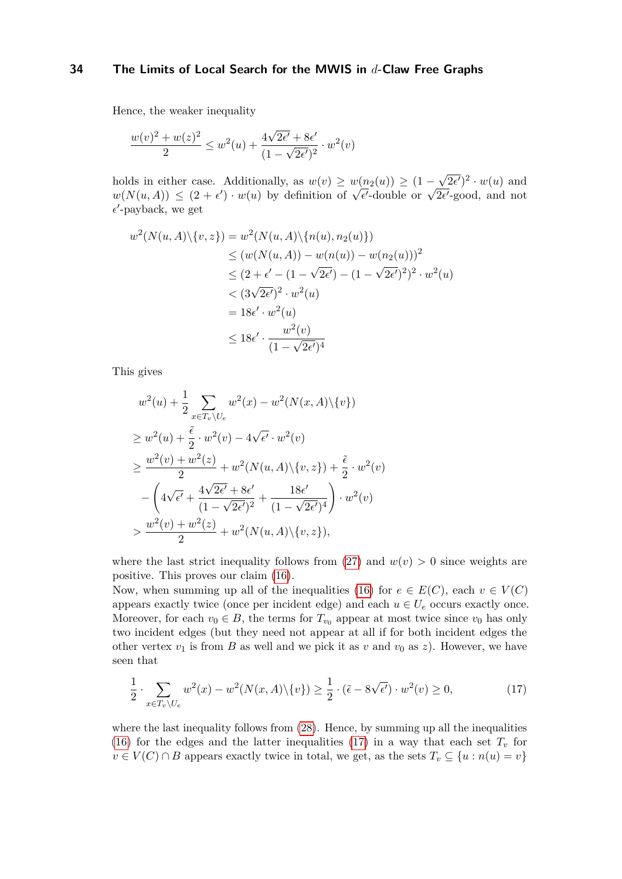Hence, the weaker inequality

$$
\frac{w(v)^{2} + w(z)^{2}}{2} \leq w^{2}(u) + \frac{4\sqrt{2\epsilon'} + 8\epsilon'}{(1 - \sqrt{2\epsilon'})^{2}} \cdot w^{2}(v)
$$

holds in either case. Additionally, as  $w(v) \geq w(n_2(u)) \geq (1 -$ √  $\sqrt{2\epsilon'}$ <sup>2</sup> ·  $w(u)$  and  $w(N(u, A)) \leq (2 + \epsilon') \cdot w(u)$  by definition of  $\sqrt{\epsilon'}$ -double or  $\sqrt{2\epsilon'}$ -good, and not  $\epsilon'$ -payback, we get

$$
w^{2}(N(u, A)\setminus\{v, z\}) = w^{2}(N(u, A)\setminus\{n(u), n_{2}(u)\})
$$
  
\n
$$
\leq (w(N(u, A)) - w(n(u)) - w(n_{2}(u)))^{2}
$$
  
\n
$$
\leq (2 + \epsilon' - (1 - \sqrt{2\epsilon'}) - (1 - \sqrt{2\epsilon'})^{2})^{2} \cdot w^{2}(u)
$$
  
\n
$$
< (3\sqrt{2\epsilon'})^{2} \cdot w^{2}(u)
$$
  
\n
$$
= 18\epsilon' \cdot w^{2}(u)
$$
  
\n
$$
\leq 18\epsilon' \cdot \frac{w^{2}(v)}{(1 - \sqrt{2\epsilon'})^{4}}
$$

This gives

$$
w^{2}(u) + \frac{1}{2} \sum_{x \in T_{v} \setminus U_{e}} w^{2}(x) - w^{2}(N(x, A) \setminus \{v\})
$$
  
\n
$$
\geq w^{2}(u) + \frac{\tilde{\epsilon}}{2} \cdot w^{2}(v) - 4\sqrt{\epsilon'} \cdot w^{2}(v)
$$
  
\n
$$
\geq \frac{w^{2}(v) + w^{2}(z)}{2} + w^{2}(N(u, A) \setminus \{v, z\}) + \frac{\tilde{\epsilon}}{2} \cdot w^{2}(v)
$$
  
\n
$$
- \left(4\sqrt{\epsilon'} + \frac{4\sqrt{2\epsilon'} + 8\epsilon'}{(1 - \sqrt{2\epsilon'})^{2}} + \frac{18\epsilon'}{(1 - \sqrt{2\epsilon'})^{4}}{(1 - \sqrt{2\epsilon'})^{4}}\right) \cdot w^{2}(v)
$$
  
\n
$$
> \frac{w^{2}(v) + w^{2}(z)}{2} + w^{2}(N(u, A) \setminus \{v, z\}),
$$

where the last strict inequality follows from  $(27)$  and  $w(v) > 0$  since weights are positive. This proves our claim [\(16\)](#page-32-0).

Now, when summing up all of the inequalities [\(16\)](#page-32-0) for  $e \in E(C)$ , each  $v \in V(C)$ appears exactly twice (once per incident edge) and each  $u \in U_e$  occurs exactly once. Moreover, for each  $v_0 \in B$ , the terms for  $T_{v_0}$  appear at most twice since  $v_0$  has only two incident edges (but they need not appear at all if for both incident edges the other vertex  $v_1$  is from *B* as well and we pick it as  $v$  and  $v_0$  as  $z$ ). However, we have seen that

<span id="page-33-0"></span>
$$
\frac{1}{2} \cdot \sum_{x \in T_v \backslash U_e} w^2(x) - w^2(N(x, A) \backslash \{v\}) \ge \frac{1}{2} \cdot (\tilde{\epsilon} - 8\sqrt{\epsilon'}) \cdot w^2(v) \ge 0,
$$
\n(17)

where the last inequality follows from  $(28)$ . Hence, by summing up all the inequalities [\(16\)](#page-32-0) for the edges and the latter inequalities [\(17\)](#page-33-0) in a way that each set  $T_v$  for  $v \in V(C) \cap B$  appears exactly twice in total, we get, as the sets  $T_v \subseteq \{u : n(u) = v\}$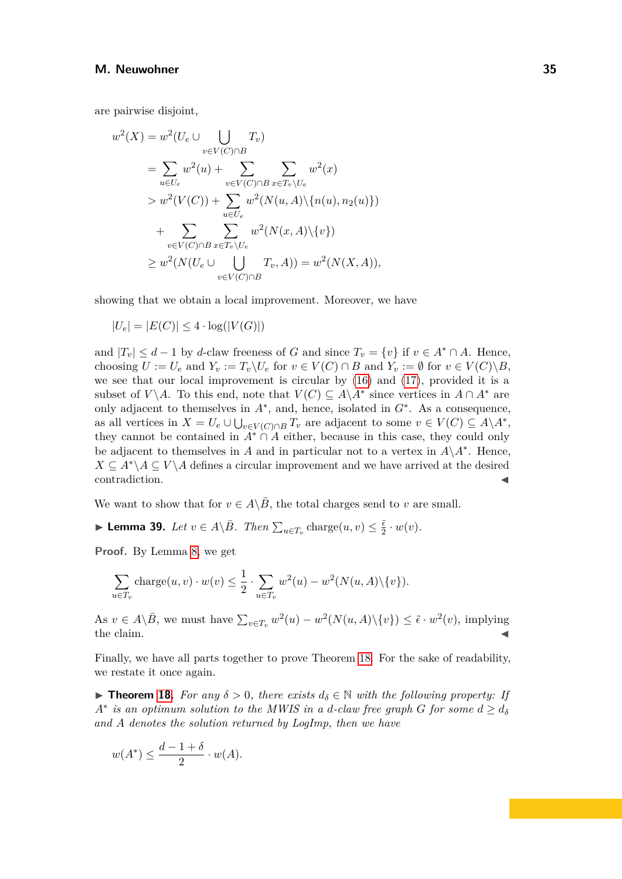are pairwise disjoint,

$$
w^{2}(X) = w^{2}(U_{e} \cup \bigcup_{v \in V(C) \cap B} T_{v})
$$
  
\n
$$
= \sum_{u \in U_{e}} w^{2}(u) + \sum_{v \in V(C) \cap B} \sum_{x \in T_{v} \setminus U_{e}} w^{2}(x)
$$
  
\n
$$
> w^{2}(V(C)) + \sum_{u \in U_{e}} w^{2}(N(u, A) \setminus \{n(u), n_{2}(u)\})
$$
  
\n
$$
+ \sum_{v \in V(C) \cap B} \sum_{x \in T_{v} \setminus U_{e}} w^{2}(N(x, A) \setminus \{v\})
$$
  
\n
$$
\geq w^{2}(N(U_{e} \cup \bigcup_{v \in V(C) \cap B} T_{v}, A)) = w^{2}(N(X, A)),
$$

showing that we obtain a local improvement. Moreover, we have

$$
|U_e| = |E(C)| \le 4 \cdot \log(|V(G)|)
$$

and  $|T_v| \leq d - 1$  by *d*-claw freeness of *G* and since  $T_v = \{v\}$  if  $v \in A^* \cap A$ . Hence, choosing  $U := U_e$  and  $Y_v := T_v \setminus U_e$  for  $v \in V(C) \cap B$  and  $Y_v := \emptyset$  for  $v \in V(C) \setminus B$ , we see that our local improvement is circular by  $(16)$  and  $(17)$ , provided it is a subset of *V*\*A*. To this end, note that  $V(C) \subseteq A\backslash A^*$  since vertices in  $A \cap A^*$  are only adjacent to themselves in  $A^*$ , and, hence, isolated in  $G^*$ . As a consequence, as all vertices in  $X = U_e \cup \bigcup_{v \in V(C) \cap B} T_v$  are adjacent to some  $v \in V(C) \subseteq A \backslash A^*$ , they cannot be contained in  $A^* \cap A$  either, because in this case, they could only be adjacent to themselves in *A* and in particular not to a vertex in  $A\ A^*$ . Hence,  $X \subseteq A^*\A \subseteq V\A$  defines a circular improvement and we have arrived at the desired contradiction.

We want to show that for  $v \in A \backslash B$ , the total charges send to *v* are small.

<span id="page-34-0"></span>▶ **Lemma 39.** *Let*  $v \in A \setminus \overline{B}$ *. Then*  $\sum_{u \in T_v} \text{charge}(u, v) \leq \frac{\tilde{\epsilon}}{2}$  $\frac{\epsilon}{2} \cdot w(v)$ .

**Proof.** By Lemma [8,](#page-7-1) we get

$$
\sum_{u \in T_v} \text{charge}(u, v) \cdot w(v) \le \frac{1}{2} \cdot \sum_{u \in T_v} w^2(u) - w^2(N(u, A) \setminus \{v\}).
$$

As  $v \in A \setminus \overline{B}$ , we must have  $\sum_{v \in T_v} w^2(u) - w^2(N(u, A) \setminus \{v\}) \leq \tilde{\epsilon} \cdot w^2(v)$ , implying  $\epsilon$  the claim.

Finally, we have all parts together to prove Theorem [18.](#page-15-2) For the sake of readability, we restate it once again.

**► Theorem [18.](#page-15-2)** For any  $\delta > 0$ , there exists  $d_{\delta} \in \mathbb{N}$  with the following property: If  $A^*$  *is an optimum solution to the MWIS in a <i>d*-claw free graph *G* for some  $d \geq d_{\delta}$ *and A denotes the solution returned by LogImp, then we have*

$$
w(A^*) \le \frac{d-1+\delta}{2} \cdot w(A).
$$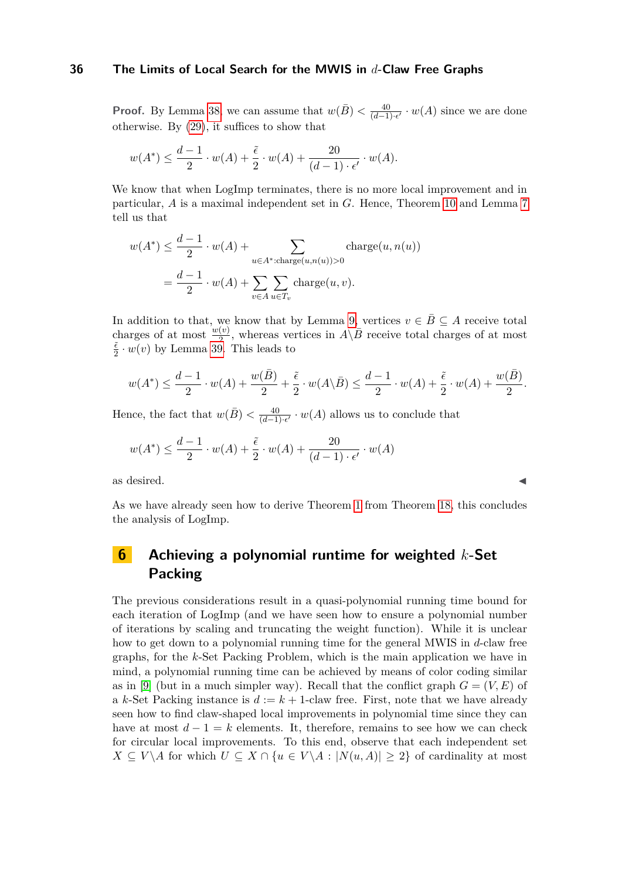**Proof.** By Lemma [38,](#page-30-1) we can assume that  $w(\bar{B}) < \frac{40}{(d-1)}$  $\frac{40}{(d-1)\cdot\epsilon'}\cdot w(A)$  since we are done otherwise. By [\(29\)](#page-47-11), it suffices to show that

$$
w(A^*) \leq \frac{d-1}{2} \cdot w(A) + \frac{\tilde{\epsilon}}{2} \cdot w(A) + \frac{20}{(d-1) \cdot \epsilon'} \cdot w(A).
$$

We know that when LogImp terminates, there is no more local improvement and in particular, *A* is a maximal independent set in *G*. Hence, Theorem [10](#page-8-1) and Lemma [7](#page-7-0) tell us that

$$
w(A^*) \le \frac{d-1}{2} \cdot w(A) + \sum_{u \in A^* : \text{charge}(u, n(u)) > 0} \text{charge}(u, n(u))
$$

$$
= \frac{d-1}{2} \cdot w(A) + \sum_{v \in A} \sum_{u \in T_v} \text{charge}(u, v).
$$

In addition to that, we know that by Lemma [9,](#page-7-2) vertices  $v \in \overline{B} \subseteq A$  receive total charges of at most  $\frac{w(v)}{2}$ , whereas vertices in  $A\backslash \bar{B}$  receive total charges of at most *ϵ*˜  $\frac{e}{2} \cdot w(v)$  by Lemma [39.](#page-34-0) This leads to

$$
w(A^*) \le \frac{d-1}{2} \cdot w(A) + \frac{w(\overline{B})}{2} + \frac{\tilde{\epsilon}}{2} \cdot w(A \setminus \overline{B}) \le \frac{d-1}{2} \cdot w(A) + \frac{\tilde{\epsilon}}{2} \cdot w(A) + \frac{w(\overline{B})}{2}.
$$

Hence, the fact that  $w(\bar{B}) < \frac{40}{(d-1)}$  $\frac{40}{(d-1)\cdot\epsilon'}\cdot w(A)$  allows us to conclude that

$$
w(A^*) \le \frac{d-1}{2} \cdot w(A) + \frac{\tilde{\epsilon}}{2} \cdot w(A) + \frac{20}{(d-1) \cdot \epsilon'} \cdot w(A)
$$

as desired.  $\blacktriangleleft$ 

As we have already seen how to derive Theorem [1](#page-5-1) from Theorem [18,](#page-15-2) this concludes the analysis of LogImp.

## <span id="page-35-0"></span>**6 Achieving a polynomial runtime for weighted** *k***-Set Packing**

The previous considerations result in a quasi-polynomial running time bound for each iteration of LogImp (and we have seen how to ensure a polynomial number of iterations by scaling and truncating the weight function). While it is unclear how to get down to a polynomial running time for the general MWIS in *d*-claw free graphs, for the *k*-Set Packing Problem, which is the main application we have in mind, a polynomial running time can be achieved by means of color coding similar as in [\[9\]](#page-45-5) (but in a much simpler way). Recall that the conflict graph  $G = (V, E)$  of a *k*-Set Packing instance is  $d := k + 1$ -claw free. First, note that we have already seen how to find claw-shaped local improvements in polynomial time since they can have at most  $d-1=k$  elements. It, therefore, remains to see how we can check for circular local improvements. To this end, observe that each independent set *X* ⊆ *V*  $\setminus$ *A* for which *U* ⊆ *X*  $\cap$  {*u* ∈ *V* $\setminus$ *A* : |*N*(*u, A*)| ≥ 2} of cardinality at most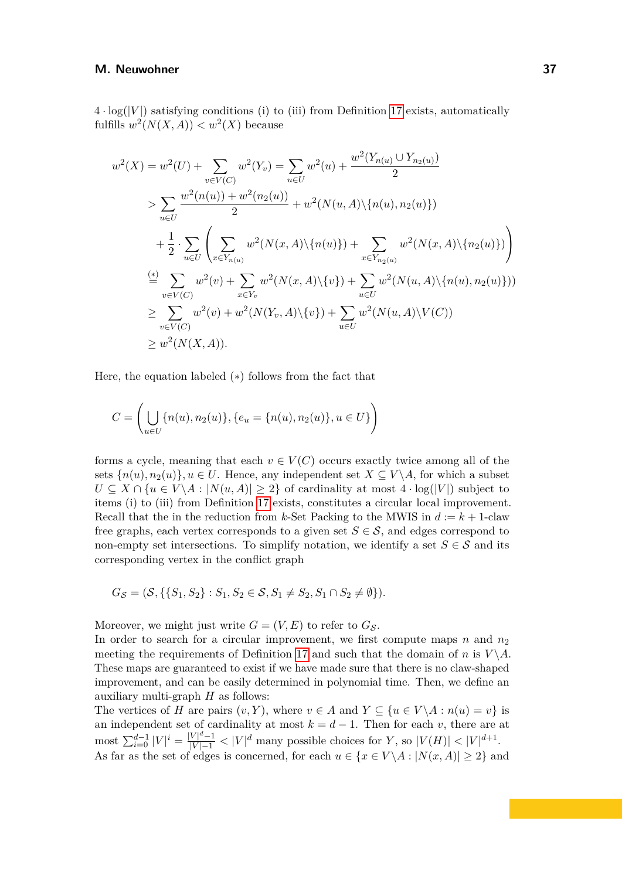$4 \cdot \log(|V|)$  satisfying conditions (i) to (iii) from Definition [17](#page-15-1) exists, automatically fulfills  $w^2(N(X, A)) < w^2(X)$  because

$$
w^{2}(X) = w^{2}(U) + \sum_{v \in V(C)} w^{2}(Y_{v}) = \sum_{u \in U} w^{2}(u) + \frac{w^{2}(Y_{n(u)} \cup Y_{n_{2}(u)})}{2}
$$
  
> 
$$
\sum_{u \in U} \frac{w^{2}(n(u)) + w^{2}(n_{2}(u))}{2} + w^{2}(N(u, A) \setminus \{n(u), n_{2}(u)\})
$$
  
+ 
$$
\frac{1}{2} \cdot \sum_{u \in U} \left( \sum_{x \in Y_{n(u)}} w^{2}(N(x, A) \setminus \{n(u)\}) + \sum_{x \in Y_{n_{2}(u)}} w^{2}(N(x, A) \setminus \{n_{2}(u)\}) \right)
$$
  

$$
\stackrel{\text{(*)}}{=} \sum_{v \in V(C)} w^{2}(v) + \sum_{x \in Y_{v}} w^{2}(N(x, A) \setminus \{v\}) + \sum_{u \in U} w^{2}(N(u, A) \setminus \{n(u), n_{2}(u)\}))
$$
  

$$
\geq \sum_{v \in V(C)} w^{2}(v) + w^{2}(N(Y_{v}, A) \setminus \{v\}) + \sum_{u \in U} w^{2}(N(u, A) \setminus V(C))
$$
  

$$
\geq w^{2}(N(X, A)).
$$

Here, the equation labeled (∗) follows from the fact that

$$
C = \left( \bigcup_{u \in U} \{n(u), n_2(u)\}, \{e_u = \{n(u), n_2(u)\}, u \in U\} \right)
$$

forms a cycle, meaning that each  $v \in V(C)$  occurs exactly twice among all of the sets  $\{n(u), n_2(u)\}\$ ,  $u \in U$ . Hence, any independent set  $X \subseteq V\backslash A$ , for which a subset  $U \subseteq X \cap \{u \in V \backslash A : |N(u, A)| \geq 2\}$  of cardinality at most  $4 \cdot \log(|V|)$  subject to items (i) to (iii) from Definition [17](#page-15-1) exists, constitutes a circular local improvement. Recall that the in the reduction from *k*-Set Packing to the MWIS in  $d := k + 1$ -claw free graphs, each vertex corresponds to a given set  $S \in \mathcal{S}$ , and edges correspond to non-empty set intersections. To simplify notation, we identify a set  $S \in \mathcal{S}$  and its corresponding vertex in the conflict graph

$$
G_{\mathcal{S}} = (\mathcal{S}, \{ \{ S_1, S_2 \} : S_1, S_2 \in \mathcal{S}, S_1 \neq S_2, S_1 \cap S_2 \neq \emptyset \}).
$$

Moreover, we might just write  $G = (V, E)$  to refer to  $G<sub>S</sub>$ .

In order to search for a circular improvement, we first compute maps  $n$  and  $n_2$ meeting the requirements of Definition [17](#page-15-1) and such that the domain of *n* is  $V \setminus A$ . These maps are guaranteed to exist if we have made sure that there is no claw-shaped improvement, and can be easily determined in polynomial time. Then, we define an auxiliary multi-graph *H* as follows:

The vertices of *H* are pairs  $(v, Y)$ , where  $v \in A$  and  $Y \subseteq \{u \in V \mid A : n(u) = v\}$  is an independent set of cardinality at most  $k = d - 1$ . Then for each *v*, there are at  $\text{most } \sum_{i=0}^{d-1} |V|^i = \frac{|V|^d - 1}{|V| - 1} < |V|^d \text{ many possible choices for } Y, \text{ so } |V(H)| < |V|^{d+1}.$ As far as the set of edges is concerned, for each  $u \in \{x \in V \setminus A : |N(x, A)| \geq 2\}$  and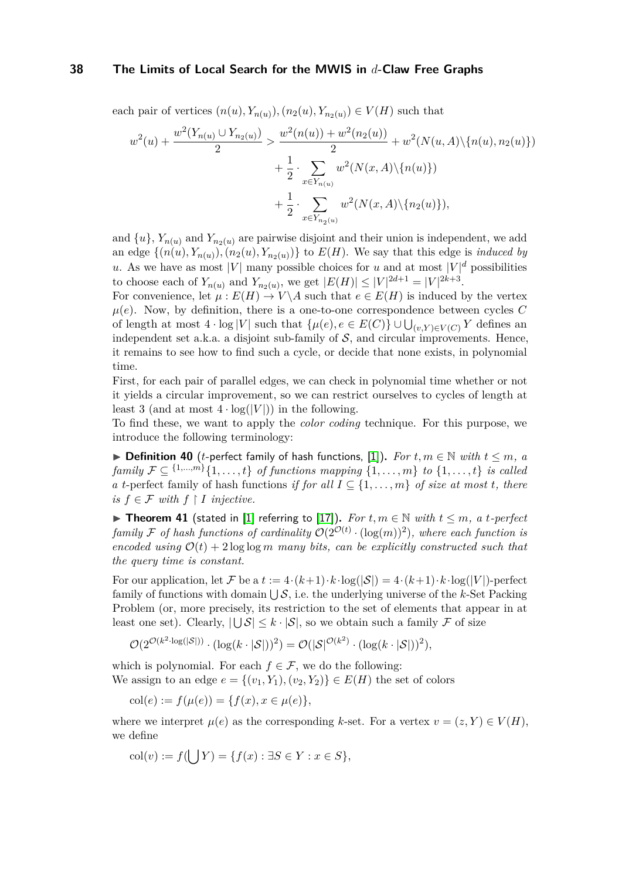each pair of vertices  $(n(u), Y_{n(u)})$ ,  $(n_2(u), Y_{n_2(u)}) \in V(H)$  such that

$$
w^{2}(u) + \frac{w^{2}(Y_{n(u)} \cup Y_{n_{2}(u)})}{2} > \frac{w^{2}(n(u)) + w^{2}(n_{2}(u))}{2} + w^{2}(N(u, A) \setminus \{n(u), n_{2}(u)\}) + \frac{1}{2} \cdot \sum_{x \in Y_{n(u)}} w^{2}(N(x, A) \setminus \{n(u)\}) + \frac{1}{2} \cdot \sum_{x \in Y_{n_{2}(u)}} w^{2}(N(x, A) \setminus \{n_{2}(u)\}),
$$

and  $\{u\}$ ,  $Y_{n(u)}$  and  $Y_{n_2(u)}$  are pairwise disjoint and their union is independent, we add an edge  $\{(n(u), Y_{n(u)}), (n_2(u), Y_{n_2(u)})\}$  to  $E(H)$ . We say that this edge is *induced by u*. As we have as most |*V*| many possible choices for *u* and at most  $|V|^d$  possibilities to choose each of  $Y_{n(u)}$  and  $Y_{n_2(u)}$ , we get  $|E(H)| \leq |V|^{2d+1} = |V|^{2k+3}$ .

For convenience, let  $\mu : E(H) \to V \backslash A$  such that  $e \in E(H)$  is induced by the vertex  $\mu(e)$ . Now, by definition, there is a one-to-one correspondence between cycles C of length at most  $4 \cdot \log |V|$  such that  $\{\mu(e), e \in E(C)\} \cup \bigcup_{(v,Y)\in V(C)} Y$  defines an independent set a.k.a. a disjoint sub-family of  $S$ , and circular improvements. Hence, it remains to see how to find such a cycle, or decide that none exists, in polynomial time.

First, for each pair of parallel edges, we can check in polynomial time whether or not it yields a circular improvement, so we can restrict ourselves to cycles of length at least 3 (and at most  $4 \cdot \log(|V|)$ ) in the following.

To find these, we want to apply the *color coding* technique. For this purpose, we introduce the following terminology:

▶ **Definition 40** (*t*-perfect family of hash functions, [\[1\]](#page-44-8)). *For*  $t, m \in \mathbb{N}$  with  $t \leq m$ , a *family*  $\mathcal{F} \subseteq \{1,...,m\}$  { $1,...,t$ } *of functions mapping* { $1,...,m$ } *to* { $1,...,t$ } *is called a t*-perfect family of hash functions *if for all*  $I \subseteq \{1, \ldots, m\}$  *of size at most t, there is*  $f ∈ F$  *with*  $f ∣ I$  *injective.* 

▶ **Theorem 41** (stated in [\[1\]](#page-44-8) referring to [\[17\]](#page-45-10)). For  $t, m \in \mathbb{N}$  with  $t \leq m$ , a  $t$ -perfect *family* F of hash functions of cardinality  $\mathcal{O}(2^{\mathcal{O}(t)} \cdot (\log(m))^2)$ , where each function is *encoded using*  $O(t) + 2 \log \log m$  *many bits, can be explicitly constructed such that the query time is constant.*

For our application, let F be a  $t := 4 \cdot (k+1) \cdot k \cdot \log(|\mathcal{S}|) = 4 \cdot (k+1) \cdot k \cdot \log(|V|)$ -perfect family of functions with domain  $\bigcup \mathcal{S}$ , i.e. the underlying universe of the *k*-Set Packing Problem (or, more precisely, its restriction to the set of elements that appear in at least one set). Clearly,  $|\bigcup \mathcal{S}| \leq k \cdot |\mathcal{S}|$ , so we obtain such a family F of size

$$
\mathcal{O}(2^{\mathcal{O}(k^2 \cdot \log(|\mathcal{S}|))} \cdot (\log(k \cdot |\mathcal{S}|))^2) = \mathcal{O}(|\mathcal{S}|^{\mathcal{O}(k^2)} \cdot (\log(k \cdot |\mathcal{S}|))^2),
$$

which is polynomial. For each  $f \in \mathcal{F}$ , we do the following: We assign to an edge  $e = \{(v_1, Y_1), (v_2, Y_2)\} \in E(H)$  the set of colors

$$
col(e) := f(\mu(e)) = \{f(x), x \in \mu(e)\},\
$$

where we interpret  $\mu(e)$  as the corresponding *k*-set. For a vertex  $v = (z, Y) \in V(H)$ , we define

$$
col(v) := f(\bigcup Y) = \{f(x) : \exists S \in Y : x \in S\},\
$$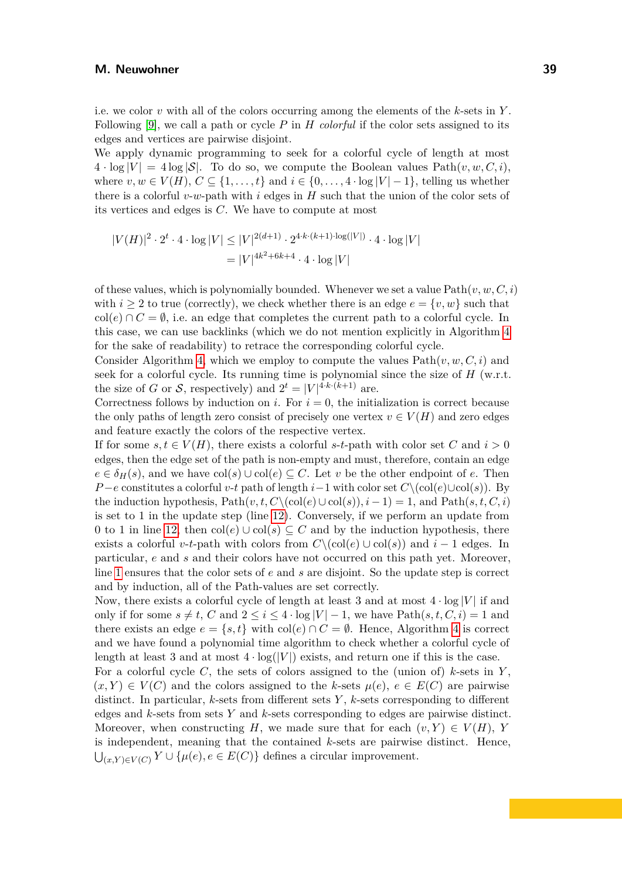i.e. we color *v* with all of the colors occurring among the elements of the *k*-sets in *Y* . Following [\[9\]](#page-45-5), we call a path or cycle *P* in *H colorful* if the color sets assigned to its edges and vertices are pairwise disjoint.

We apply dynamic programming to seek for a colorful cycle of length at most  $4 \cdot \log |V| = 4 \log |\mathcal{S}|$ . To do so, we compute the Boolean values  $Path(v, w, C, i)$ , where  $v, w \in V(H), C \subseteq \{1, \ldots, t\}$  and  $i \in \{0, \ldots, 4 \cdot \log |V| - 1\}$ , telling us whether there is a colorful *v*-*w*-path with *i* edges in *H* such that the union of the color sets of its vertices and edges is *C*. We have to compute at most

$$
|V(H)|^2 \cdot 2^t \cdot 4 \cdot \log |V| \le |V|^{2(d+1)} \cdot 2^{4 \cdot k \cdot (k+1) \cdot \log(|V|)} \cdot 4 \cdot \log |V|
$$
  
= 
$$
|V|^{4k^2 + 6k + 4} \cdot 4 \cdot \log |V|
$$

of these values, which is polynomially bounded. Whenever we set a value  $Path(v, w, C, i)$ with  $i \geq 2$  to true (correctly), we check whether there is an edge  $e = \{v, w\}$  such that  $col(e) \cap C = \emptyset$ , i.e. an edge that completes the current path to a colorful cycle. In this case, we can use backlinks (which we do not mention explicitly in Algorithm [4](#page-39-0) for the sake of readability) to retrace the corresponding colorful cycle.

Consider Algorithm [4,](#page-39-0) which we employ to compute the values  $Path(v, w, C, i)$  and seek for a colorful cycle. Its running time is polynomial since the size of *H* (w.r.t. the size of *G* or *S*, respectively) and  $2^t = |V|^{4 \cdot k \cdot (k+1)}$  are.

Correctness follows by induction on *i*. For  $i = 0$ , the initialization is correct because the only paths of length zero consist of precisely one vertex  $v \in V(H)$  and zero edges and feature exactly the colors of the respective vertex.

If for some  $s, t \in V(H)$ , there exists a colorful *s*-*t*-path with color set *C* and  $i > 0$ edges, then the edge set of the path is non-empty and must, therefore, contain an edge  $e \in \delta_H(s)$ , and we have  $col(s) \cup col(e) \subseteq C$ . Let *v* be the other endpoint of *e*. Then *P*−*e* constitutes a colorful *v*-*t* path of length *i*−1 with color set  $C\setminus (col(e) \cup col(s))$ . By the induction hypothesis,  $Path(v, t, C \setminus (col(e) \cup col(s)), i - 1) = 1$ , and  $Path(s, t, C, i)$ is set to 1 in the update step (line [12\)](#page-39-1). Conversely, if we perform an update from 0 to 1 in line [12,](#page-39-1) then  $col(e) \cup col(s) \subseteq C$  and by the induction hypothesis, there exists a colorful *v*-*t*-path with colors from  $C\setminus (col(e) \cup col(s))$  and  $i-1$  edges. In particular, *e* and *s* and their colors have not occurred on this path yet. Moreover, line [1](#page-39-2) ensures that the color sets of *e* and *s* are disjoint. So the update step is correct and by induction, all of the Path-values are set correctly.

Now, there exists a colorful cycle of length at least 3 and at most  $4 \cdot \log |V|$  if and only if for some  $s \neq t$ , *C* and  $2 \leq i \leq 4 \cdot \log |V| - 1$ , we have Path $(s, t, C, i) = 1$  and there exists an edge  $e = \{s, t\}$  with  $col(e) \cap C = \emptyset$ . Hence, Algorithm [4](#page-39-0) is correct and we have found a polynomial time algorithm to check whether a colorful cycle of length at least 3 and at most  $4 \cdot \log(|V|)$  exists, and return one if this is the case.

For a colorful cycle *C*, the sets of colors assigned to the (union of) *k*-sets in *Y* ,  $(x, Y) \in V(C)$  and the colors assigned to the *k*-sets  $\mu(e)$ ,  $e \in E(C)$  are pairwise distinct. In particular, *k*-sets from different sets *Y* , *k*-sets corresponding to different edges and *k*-sets from sets *Y* and *k*-sets corresponding to edges are pairwise distinct. Moreover, when constructing *H*, we made sure that for each  $(v, Y) \in V(H)$ , *Y* is independent, meaning that the contained *k*-sets are pairwise distinct. Hence,  $\bigcup_{(x,Y)\in V(C)} Y \cup \{\mu(e), e \in E(C)\}\$ defines a circular improvement.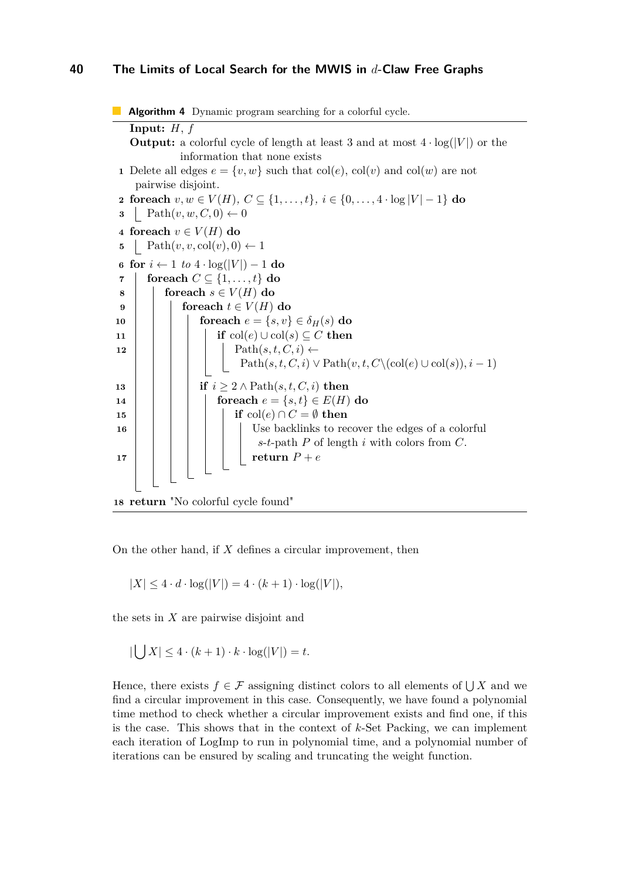```
Algorithm 4 Dynamic program searching for a colorful cycle.
   Input: H, f
   Output: a colorful cycle of length at least 3 and at most 4 \cdot \log(|V|) or the
             information that none exists
 1 Delete all edges e = \{v, w\} such that col(e), col(v) and col(w) are not
    pairwise disjoint.
 2 foreach v, w ∈ V (H), C ⊆ {1, . . . , t}, i ∈ {0, . . . , 4 · log |V | − 1} do
 3 Path(v, w, C, 0) \leftarrow 04 foreach v \in V(H) do
 5 Path(v, v, \text{col}(v), 0) \leftarrow 16 for i ← 1 to 4 · log(|V |) − 1 do
 7 foreach C \subseteq \{1, \ldots, t\} do
 8 foreach s \in V(H) do
 9 foreach t \in V(H) do
10 for e = \{s, v\} \in \delta_H(s) <b>do
11 if col(e) ∪ col(s) ⊆ C then
\mathbf{12} | | | | Path(s,t,C,i) \leftarrowPath(s, t, C, i) \vee \text{Path}(v, t, C \setminus (\text{col}(e) \cup \text{col}(s)), i - 1)13 i i if i \geq 2 \land \text{Path}(s, t, C, i) then
14 for e = \{s, t\} \in E(H) do
15 i if col(e) ∩ C = \emptyset then
16 Use backlinks to recover the edges of a colorful
                            s-t-path P of length i with colors from C.
17 | | | | | | return P + e18 return "No colorful cycle found"
```
<span id="page-39-1"></span>On the other hand, if *X* defines a circular improvement, then

<span id="page-39-0"></span> $|X| < 4 \cdot d \cdot \log(|V|) = 4 \cdot (k+1) \cdot \log(|V|)$ ,

the sets in *X* are pairwise disjoint and

$$
|\bigcup X| \le 4 \cdot (k+1) \cdot k \cdot \log(|V|) = t.
$$

Hence, there exists  $f \in \mathcal{F}$  assigning distinct colors to all elements of  $\bigcup X$  and we find a circular improvement in this case. Consequently, we have found a polynomial time method to check whether a circular improvement exists and find one, if this is the case. This shows that in the context of *k*-Set Packing, we can implement each iteration of LogImp to run in polynomial time, and a polynomial number of iterations can be ensured by scaling and truncating the weight function.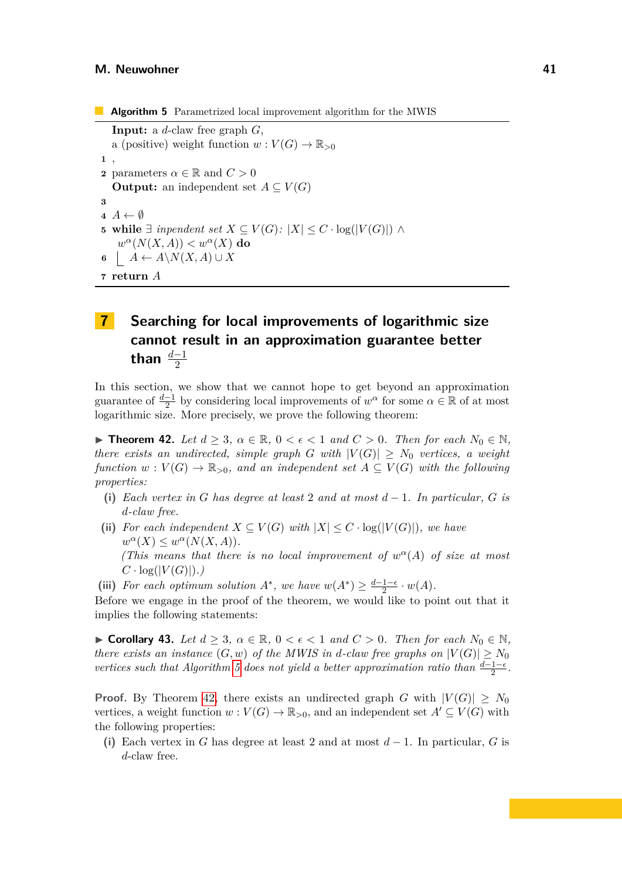**Algorithm 5** Parametrized local improvement algorithm for the MWIS **Input:** a *d*-claw free graph *G*, a (positive) weight function  $w: V(G) \to \mathbb{R}_{>0}$ **1** , **2** parameters  $\alpha \in \mathbb{R}$  and  $C > 0$ **Output:** an independent set  $A \subseteq V(G)$ **3**  $\mathbf{4} \cdot \mathbf{A} \leftarrow \emptyset$ **5 while**  $\exists$  *inpendent set*  $X \subseteq V(G)$ *:*  $|X| \leq C \cdot \log(|V(G)|) \land$  $w^{\alpha}(N(X,A)) < w^{\alpha}(X)$  do **6**  $A \leftarrow A \setminus N(X, A) \cup X$ **7 return** *A*

# <span id="page-40-1"></span><span id="page-40-0"></span>**7 Searching for local improvements of logarithmic size cannot result in an approximation guarantee better** than  $\frac{d-1}{2}$

In this section, we show that we cannot hope to get beyond an approximation guarantee of  $\frac{d-1}{2}$  by considering local improvements of  $w^{\alpha}$  for some  $\alpha \in \mathbb{R}$  of at most logarithmic size. More precisely, we prove the following theorem:

▶ **Theorem 42.** *Let*  $d \geq 3$ ,  $\alpha \in \mathbb{R}$ ,  $0 < \epsilon < 1$  *and*  $C > 0$ *. Then for each*  $N_0 \in \mathbb{N}$ *, there exists an undirected, simple graph G with*  $|V(G)| \geq N_0$  *vertices, a weight function*  $w: V(G) \to \mathbb{R}_{>0}$ , and an independent set  $A \subseteq V(G)$  with the following *properties:*

- **(i)** *Each vertex in G has degree at least* 2 *and at most d* − 1*. In particular, G is d-claw free.*
- (ii) *For each independent*  $X \subseteq V(G)$  *with*  $|X| \leq C \cdot \log(|V(G)|)$ *, we have*  $w^{\alpha}(X) \leq w^{\alpha}(N(X,A)).$ *(This means that there is no local improvement of*  $w^{\alpha}(A)$  *of size at most*  $C \cdot \log(|V(G)|)$ .
- <span id="page-40-2"></span>(iii) *For each optimum solution*  $A^*$ *, we have*  $w(A^*) \geq \frac{d-1-\epsilon}{2}$  $rac{1-\epsilon}{2} \cdot w(A)$ .

Before we engage in the proof of the theorem, we would like to point out that it implies the following statements:

▶ **Corollary 43.** *Let*  $d \geq 3$ ,  $\alpha \in \mathbb{R}$ ,  $0 < \epsilon < 1$  *and*  $C > 0$ *. Then for each*  $N_0 \in \mathbb{N}$ , *there exists an instance*  $(G, w)$  *of the MWIS in d-claw free graphs on*  $|V(G)| \geq N_0$ *vertices such that Algorithm [5](#page-40-1)* does not yield a better approximation ratio than  $\frac{d-1-\epsilon}{2}$ .

**Proof.** By Theorem [42,](#page-40-2) there exists an undirected graph *G* with  $|V(G)| \geq N_0$ vertices, a weight function  $w: V(G) \to \mathbb{R}_{>0}$ , and an independent set  $A' \subseteq V(G)$  with the following properties:

**(i)** Each vertex in *G* has degree at least 2 and at most *d* − 1. In particular, *G* is *d*-claw free.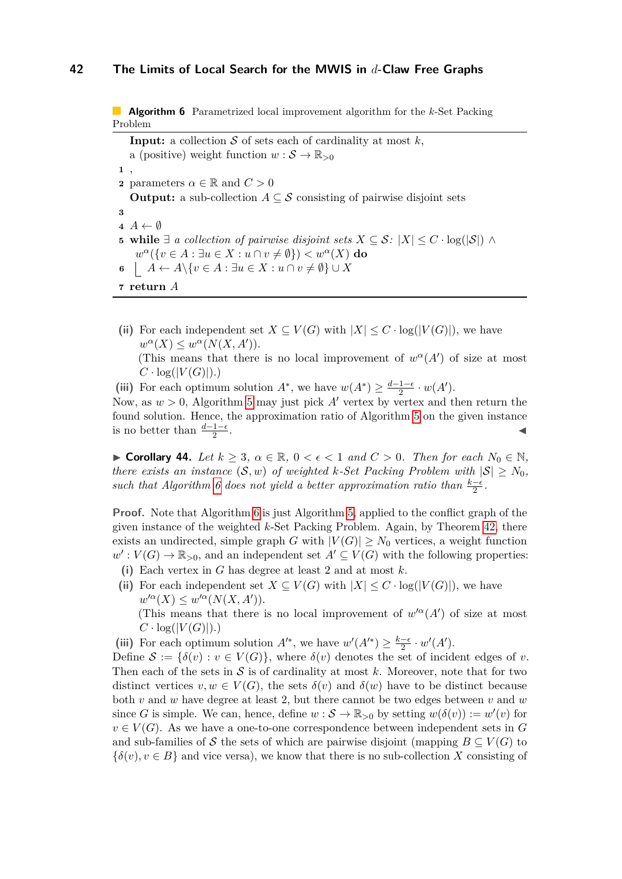**Algorithm 6** Parametrized local improvement algorithm for the *k*-Set Packing Problem

**Input:** a collection  $S$  of sets each of cardinality at most  $k$ , a (positive) weight function  $w : \mathcal{S} \to \mathbb{R}_{>0}$ **1** , **2** parameters  $\alpha \in \mathbb{R}$  and  $C > 0$ **Output:** a sub-collection  $A \subseteq S$  consisting of pairwise disjoint sets **3**  $\mathbf{4} \cdot \mathbf{A} \leftarrow \emptyset$ **5 while**  $\exists$  *a collection of pairwise disjoint sets X* ⊆ *S*:  $|X|$  ≤ *C* · log( $|S|$ ) ∧  $w^{\alpha}(\lbrace v \in A : \exists u \in X : u \cap v \neq \emptyset \rbrace) < w^{\alpha}(X)$  do **6**  $A \leftarrow A \setminus \{v \in A : \exists u \in X : u \cap v \neq \emptyset\} \cup X$ **7 return** *A*

<span id="page-41-0"></span>(ii) For each independent set  $X \subseteq V(G)$  with  $|X| \leq C \cdot \log(|V(G)|)$ , we have  $w^{\alpha}(X) \leq w^{\alpha}(N(X, A')).$ (This means that there is no local improvement of  $w^{\alpha}(A')$  of size at most  $C \cdot \log(|V(G)|)$ .)

(iii) For each optimum solution  $A^*$ , we have  $w(A^*) \geq \frac{d-1-\epsilon}{2}$  $rac{1-\epsilon}{2} \cdot w(A')$ . Now, as  $w > 0$ , Algorithm [5](#page-40-1) may just pick A' vertex by vertex and then return the

found solution. Hence, the approximation ratio of Algorithm [5](#page-40-1) on the given instance is no better than  $\frac{d-1-\epsilon}{2}$ . ◀

<span id="page-41-1"></span>▶ **Corollary 44.** *Let*  $k \geq 3$ ,  $\alpha \in \mathbb{R}$ ,  $0 < \epsilon < 1$  *and*  $C > 0$ *. Then for each*  $N_0 \in \mathbb{N}$ *, there exists an instance*  $(S, w)$  *of weighted k*-*Set Packing Problem with*  $|S| \geq N_0$ , *such that Algorithm [6](#page-41-0) does not yield a better approximation ratio than*  $\frac{k-\epsilon}{2}$ .

**Proof.** Note that Algorithm [6](#page-41-0) is just Algorithm [5,](#page-40-1) applied to the conflict graph of the given instance of the weighted *k*-Set Packing Problem. Again, by Theorem [42,](#page-40-2) there exists an undirected, simple graph *G* with  $|V(G)| \geq N_0$  vertices, a weight function  $w': V(G) \to \mathbb{R}_{>0}$ , and an independent set  $A' \subseteq V(G)$  with the following properties: **(i)** Each vertex in *G* has degree at least 2 and at most *k*.

(ii) For each independent set  $X \subseteq V(G)$  with  $|X| \leq C \cdot \log(|V(G)|)$ , we have  $w^{\prime\alpha}(X) \leq w^{\prime\alpha}(N(X, A')).$ 

(This means that there is no local improvement of  $w^{\prime\alpha}(A')$  of size at most  $C \cdot \log(|V(G)|)$ .)

(iii) For each optimum solution  $A^{\prime*}$ , we have  $w'(A^{\prime*}) \geq \frac{k-\epsilon}{2}$  $\frac{-\epsilon}{2} \cdot w'(A')$ .

Define  $S := \{\delta(v) : v \in V(G)\}\$ , where  $\delta(v)$  denotes the set of incident edges of *v*. Then each of the sets in  $S$  is of cardinality at most  $k$ . Moreover, note that for two distinct vertices  $v, w \in V(G)$ , the sets  $\delta(v)$  and  $\delta(w)$  have to be distinct because both *v* and *w* have degree at least 2, but there cannot be two edges between *v* and *w* since *G* is simple. We can, hence, define  $w : \mathcal{S} \to \mathbb{R}_{>0}$  by setting  $w(\delta(v)) := w'(v)$  for  $v \in V(G)$ . As we have a one-to-one correspondence between independent sets in G and sub-families of S the sets of which are pairwise disjoint (mapping  $B \subseteq V(G)$  to  ${\{\delta(v), v \in B\}}$  and vice versa), we know that there is no sub-collection X consisting of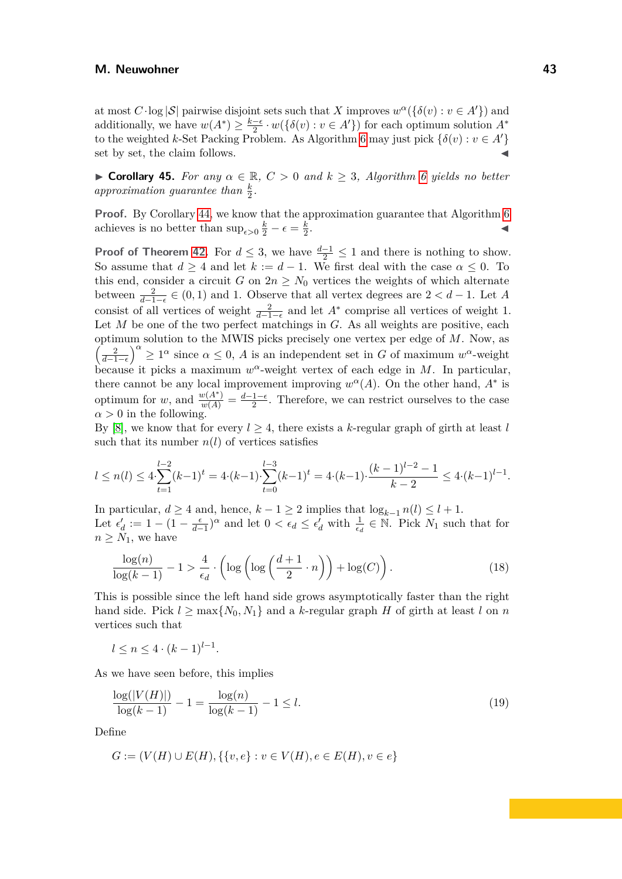at most  $C \cdot \log |\mathcal{S}|$  pairwise disjoint sets such that *X* improves  $w^{\alpha}(\{\delta(v): v \in A'\})$  and additionally, we have  $w(A^*) \geq \frac{k-6}{2}$  $\frac{-\epsilon}{2} \cdot w(\{\delta(v) : v \in A'\})$  for each optimum solution  $A^*$ to the weighted *k*-Set Packing Problem. As Algorithm [6](#page-41-0) may just pick  $\{\delta(v): v \in A'\}$ set by set, the claim follows.

▶ **Corollary 45.** *For any α* ∈ R*, C >* 0 *and k* ≥ 3*, Algorithm [6](#page-41-0) yields no better* approximation guarantee than  $\frac{k}{2}$ .

**Proof.** By Corollary [44,](#page-41-1) we know that the approximation guarantee that Algorithm [6](#page-41-0) achieves is no better than  $\sup_{\epsilon>0} \frac{k}{2} - \epsilon = \frac{k}{2}$ 2 . ↓ ↓ ↓ ↓ ↓ ↓ ↓ ↓ ↓ ↓ ↓ ↓ ↓ ↓

**Proof of Theorem [42.](#page-40-2)** For  $d \leq 3$ , we have  $\frac{d-1}{2} \leq 1$  and there is nothing to show. So assume that  $d \geq 4$  and let  $k := d - 1$ . We first deal with the case  $\alpha \leq 0$ . To this end, consider a circuit *G* on  $2n \geq N_0$  vertices the weights of which alternate between  $\frac{2}{d-1-\epsilon} \in (0,1)$  and 1. Observe that all vertex degrees are  $2 < d-1$ . Let *A* consist of all vertices of weight  $\frac{2}{d-1-\epsilon}$  and let  $A^*$  comprise all vertices of weight 1. Let *M* be one of the two perfect matchings in *G*. As all weights are positive, each optimum solution to the MWIS picks precisely one vertex per edge of *M*. Now, as  $\left(\frac{2}{d-1-\epsilon}\right)^{\alpha} \geq 1^{\alpha}$  since  $\alpha \leq 0$ , *A* is an independent set in *G* of maximum *w*<sup>α</sup>-weight because it picks a maximum *w <sup>α</sup>*-weight vertex of each edge in *M*. In particular, there cannot be any local improvement improving  $w^{\alpha}(A)$ . On the other hand,  $A^*$  is optimum for *w*, and  $\frac{w(A^*)}{w(A)} = \frac{d-1-\epsilon}{2}$  $\frac{1-\epsilon}{2}$ . Therefore, we can restrict ourselves to the case  $\alpha > 0$  in the following.

By [\[8\]](#page-44-5), we know that for every  $l \geq 4$ , there exists a k-regular graph of girth at least *l* such that its number  $n(l)$  of vertices satisfies

$$
l \le n(l) \le 4 \cdot \sum_{t=1}^{l-2} (k-1)^t = 4 \cdot (k-1) \cdot \sum_{t=0}^{l-3} (k-1)^t = 4 \cdot (k-1) \cdot \frac{(k-1)^{l-2} - 1}{k-2} \le 4 \cdot (k-1)^{l-1}.
$$

In particular, *d* ≥ 4 and, hence, *k* − 1 ≥ 2 implies that  $log_{k-1} n(l) \le l + 1$ . Let  $\epsilon_d' := 1 - (1 - \frac{\epsilon}{d-1})^{\alpha}$  and let  $0 < \epsilon_d \leq \epsilon_d'$  with  $\frac{1}{\epsilon_d} \in \mathbb{N}$ . Pick  $N_1$  such that for  $n \geq N_1$ , we have

<span id="page-42-0"></span>
$$
\frac{\log(n)}{\log(k-1)} - 1 > \frac{4}{\epsilon_d} \cdot \left( \log\left(\log\left(\frac{d+1}{2} \cdot n\right)\right) + \log(C) \right). \tag{18}
$$

This is possible since the left hand side grows asymptotically faster than the right hand side. Pick  $l \ge \max\{N_0, N_1\}$  and a *k*-regular graph *H* of girth at least *l* on *n* vertices such that

<span id="page-42-1"></span>
$$
l \le n \le 4 \cdot (k-1)^{l-1}.
$$

As we have seen before, this implies

$$
\frac{\log(|V(H)|)}{\log(k-1)} - 1 = \frac{\log(n)}{\log(k-1)} - 1 \le l.
$$
\n(19)

Define

$$
G := (V(H) \cup E(H), \{ \{v, e\} : v \in V(H), e \in E(H), v \in e \}
$$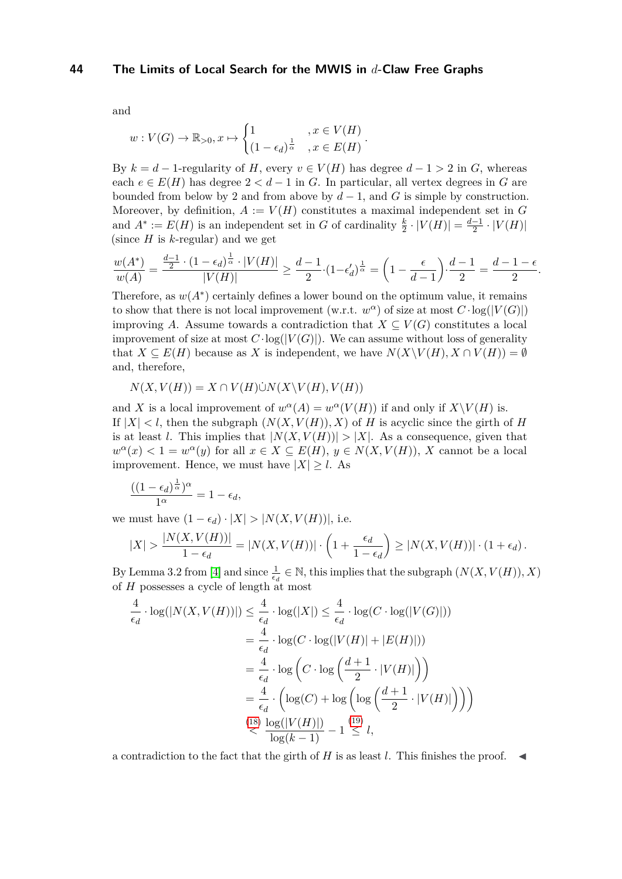and

$$
w: V(G) \to \mathbb{R}_{>0}, x \mapsto \begin{cases} 1 & , x \in V(H) \\ (1 - \epsilon_d)^{\frac{1}{\alpha}} & , x \in E(H) \end{cases}.
$$

By  $k = d - 1$ -regularity of *H*, every  $v \in V(H)$  has degree  $d - 1 > 2$  in *G*, whereas each  $e \in E(H)$  has degree  $2 < d-1$  in *G*. In particular, all vertex degrees in *G* are bounded from below by 2 and from above by  $d-1$ , and G is simple by construction. Moreover, by definition,  $A := V(H)$  constitutes a maximal independent set in  $G$ and  $A^* := E(H)$  is an independent set in *G* of cardinality  $\frac{k}{2} \cdot |V(H)| = \frac{d-1}{2}$  $\frac{-1}{2} \cdot |V(H)|$ (since *H* is *k*-regular) and we get

$$
\frac{w(A^*)}{w(A)}=\frac{\frac{d-1}2\cdot(1-\epsilon_d)^{\frac1\alpha}\cdot|V(H)|}{|V(H)|}\geq \frac{d-1}2\cdot(1-\epsilon_d')^{\frac1\alpha}=\left(1-\frac{\epsilon}{d-1}\right)\cdot\frac{d-1}2=\frac{d-1-\epsilon}2.
$$

Therefore, as  $w(A^*)$  certainly defines a lower bound on the optimum value, it remains to show that there is not local improvement (w.r.t.  $w^{\alpha}$ ) of size at most  $C \cdot log(|V(G)|)$ improving *A*. Assume towards a contradiction that  $X \subseteq V(G)$  constitutes a local improvement of size at most  $C \cdot \log(|V(G)|)$ . We can assume without loss of generality that  $X \subseteq E(H)$  because as *X* is independent, we have  $N(X \setminus V(H), X \cap V(H)) = \emptyset$ and, therefore,

$$
N(X, V(H)) = X \cap V(H) \dot{\cup} N(X \backslash V(H), V(H))
$$

and *X* is a local improvement of  $w^{\alpha}(A) = w^{\alpha}(V(H))$  if and only if  $X\setminus V(H)$  is. If  $|X| < l$ , then the subgraph  $(N(X, V(H)), X)$  of *H* is acyclic since the girth of *H* is at least *l*. This implies that  $|N(X, V(H))| > |X|$ . As a consequence, given that  $w^{\alpha}(x) < 1 = w^{\alpha}(y)$  for all  $x \in X \subseteq E(H)$ ,  $y \in N(X, V(H))$ , *X* cannot be a local improvement. Hence, we must have  $|X| > l$ . As

$$
\frac{((1-\epsilon_d)^{\frac{1}{\alpha}})^{\alpha}}{1^{\alpha}}=1-\epsilon_d,
$$

we must have  $(1 - \epsilon_d) \cdot |X| > |N(X, V(H))|$ , i.e.

$$
|X| > \frac{|N(X, V(H))|}{1 - \epsilon_d} = |N(X, V(H))| \cdot \left(1 + \frac{\epsilon_d}{1 - \epsilon_d}\right) \ge |N(X, V(H))| \cdot (1 + \epsilon_d).
$$

By Lemma 3.2 from [\[4\]](#page-44-6) and since  $\frac{1}{\epsilon_d} \in \mathbb{N}$ , this implies that the subgraph  $(N(X, V(H)), X)$ of *H* possesses a cycle of length at most

$$
\frac{4}{\epsilon_d} \cdot \log(|N(X, V(H))|) \le \frac{4}{\epsilon_d} \cdot \log(|X|) \le \frac{4}{\epsilon_d} \cdot \log(C \cdot \log(|V(G)|))
$$
\n
$$
= \frac{4}{\epsilon_d} \cdot \log(C \cdot \log(|V(H)| + |E(H)|))
$$
\n
$$
= \frac{4}{\epsilon_d} \cdot \log\left(C \cdot \log\left(\frac{d+1}{2} \cdot |V(H)|\right)\right)
$$
\n
$$
= \frac{4}{\epsilon_d} \cdot \left(\log(C) + \log\left(\log\left(\frac{d+1}{2} \cdot |V(H)|\right)\right)\right)
$$
\n
$$
\le \frac{(18)}{\log(k-1)} \frac{\log(|V(H)|)}{\log(k-1)} - 1 \le l,
$$

a contradiction to the fact that the girth of  $H$  is as least  $l$ . This finishes the proof.  $\blacktriangleleft$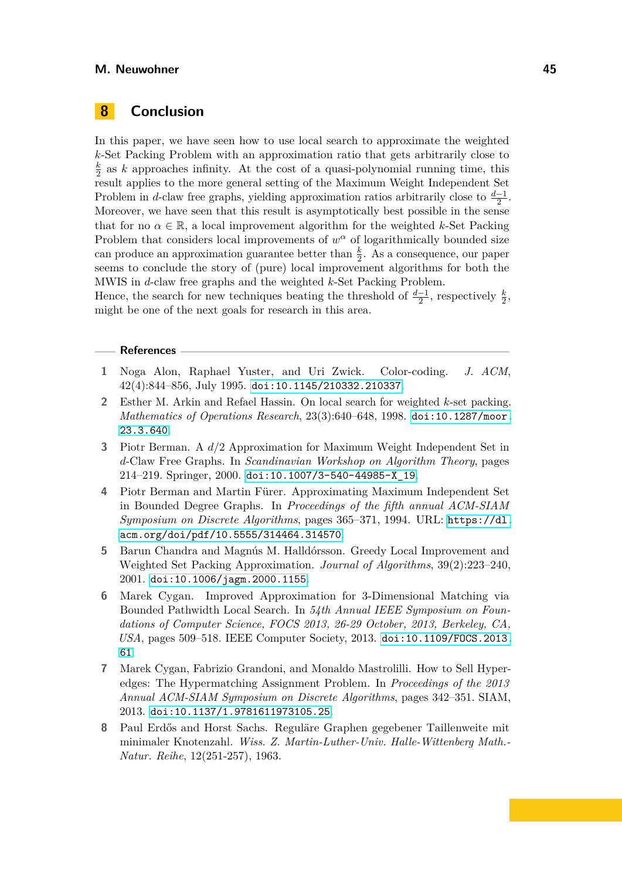## <span id="page-44-7"></span>**8 Conclusion**

In this paper, we have seen how to use local search to approximate the weighted *k*-Set Packing Problem with an approximation ratio that gets arbitrarily close to *k*  $\frac{k}{2}$  as *k* approaches infinity. At the cost of a quasi-polynomial running time, this result applies to the more general setting of the Maximum Weight Independent Set Problem in *d*-claw free graphs, yielding approximation ratios arbitrarily close to  $\frac{d-1}{2}$ . Moreover, we have seen that this result is asymptotically best possible in the sense that for no  $\alpha \in \mathbb{R}$ , a local improvement algorithm for the weighted *k*-Set Packing Problem that considers local improvements of  $w^{\alpha}$  of logarithmically bounded size can produce an approximation guarantee better than  $\frac{k}{2}$ . As a consequence, our paper seems to conclude the story of (pure) local improvement algorithms for both the MWIS in *d*-claw free graphs and the weighted *k*-Set Packing Problem.

Hence, the search for new techniques beating the threshold of  $\frac{d-1}{2}$ , respectively  $\frac{k}{2}$ , might be one of the next goals for research in this area.

#### **References**

- <span id="page-44-8"></span>**1** Noga Alon, Raphael Yuster, and Uri Zwick. Color-coding. *J. ACM*, 42(4):844–856, July 1995. [doi:10.1145/210332.210337](https://doi.org/10.1145/210332.210337).
- <span id="page-44-3"></span>**2** Esther M. Arkin and Refael Hassin. On local search for weighted *k*-set packing. *Mathematics of Operations Research*, 23(3):640–648, 1998. [doi:10.1287/moor.](https://doi.org/10.1287/moor.23.3.640) [23.3.640](https://doi.org/10.1287/moor.23.3.640).
- <span id="page-44-0"></span>**3** Piotr Berman. A *d/*2 Approximation for Maximum Weight Independent Set in *d*-Claw Free Graphs. In *Scandinavian Workshop on Algorithm Theory*, pages 214–219. Springer, 2000. [doi:10.1007/3-540-44985-X\\_19](https://doi.org/10.1007/3-540-44985-X_19).
- <span id="page-44-6"></span>**4** Piotr Berman and Martin Fürer. Approximating Maximum Independent Set in Bounded Degree Graphs. In *Proceedings of the fifth annual ACM-SIAM Symposium on Discrete Algorithms*, pages 365–371, 1994. URL: [https://dl.](https://dl.acm.org/doi/pdf/10.5555/314464.314570) [acm.org/doi/pdf/10.5555/314464.314570](https://dl.acm.org/doi/pdf/10.5555/314464.314570).
- <span id="page-44-4"></span>**5** Barun Chandra and Magnús M. Halldórsson. Greedy Local Improvement and Weighted Set Packing Approximation. *Journal of Algorithms*, 39(2):223–240, 2001. [doi:10.1006/jagm.2000.1155](https://doi.org/10.1006/jagm.2000.1155).
- <span id="page-44-2"></span>**6** Marek Cygan. Improved Approximation for 3-Dimensional Matching via Bounded Pathwidth Local Search. In *54th Annual IEEE Symposium on Foundations of Computer Science, FOCS 2013, 26-29 October, 2013, Berkeley, CA, USA*, pages 509–518. IEEE Computer Society, 2013. [doi:10.1109/FOCS.2013.](https://doi.org/10.1109/FOCS.2013.61) [61](https://doi.org/10.1109/FOCS.2013.61).
- <span id="page-44-1"></span>**7** Marek Cygan, Fabrizio Grandoni, and Monaldo Mastrolilli. How to Sell Hyperedges: The Hypermatching Assignment Problem. In *Proceedings of the 2013 Annual ACM-SIAM Symposium on Discrete Algorithms*, pages 342–351. SIAM, 2013. [doi:10.1137/1.9781611973105.25](https://doi.org/10.1137/1.9781611973105.25).
- <span id="page-44-5"></span>**8** Paul Erdős and Horst Sachs. Reguläre Graphen gegebener Taillenweite mit minimaler Knotenzahl. *Wiss. Z. Martin-Luther-Univ. Halle-Wittenberg Math.- Natur. Reihe*, 12(251-257), 1963.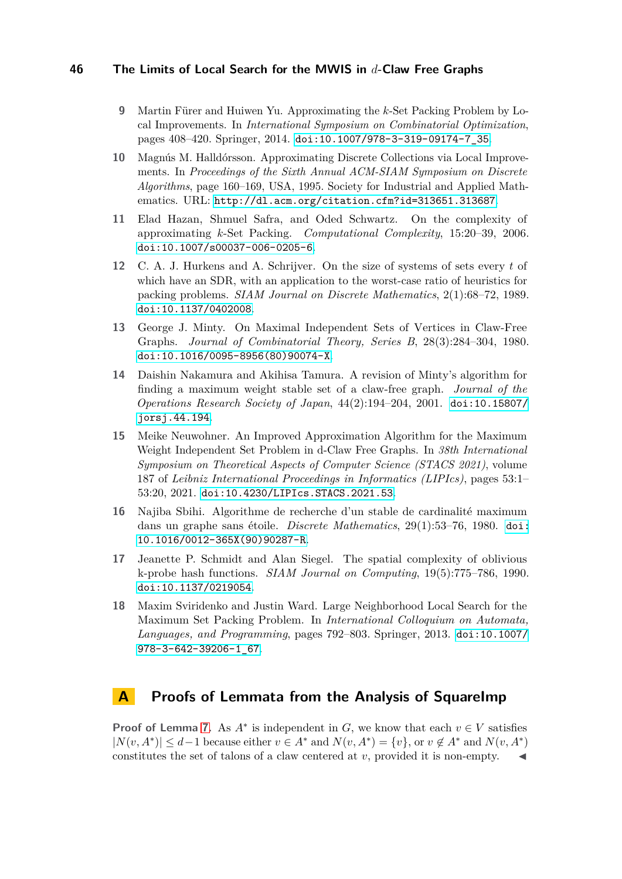- <span id="page-45-5"></span>**9** Martin Fürer and Huiwen Yu. Approximating the *k*-Set Packing Problem by Local Improvements. In *International Symposium on Combinatorial Optimization*, pages 408–420. Springer, 2014. [doi:10.1007/978-3-319-09174-7\\_35](https://doi.org/10.1007/978-3-319-09174-7_35).
- <span id="page-45-3"></span>**10** Magnús M. Halldórsson. Approximating Discrete Collections via Local Improvements. In *Proceedings of the Sixth Annual ACM-SIAM Symposium on Discrete Algorithms*, page 160–169, USA, 1995. Society for Industrial and Applied Mathematics. URL: <http://dl.acm.org/citation.cfm?id=313651.313687>.
- <span id="page-45-0"></span>**11** Elad Hazan, Shmuel Safra, and Oded Schwartz. On the complexity of approximating *k*-Set Packing. *Computational Complexity*, 15:20–39, 2006. [doi:10.1007/s00037-006-0205-6](https://doi.org/10.1007/s00037-006-0205-6).
- <span id="page-45-2"></span>**12** C. A. J. Hurkens and A. Schrijver. On the size of systems of sets every *t* of which have an SDR, with an application to the worst-case ratio of heuristics for packing problems. *SIAM Journal on Discrete Mathematics*, 2(1):68–72, 1989. [doi:10.1137/0402008](https://doi.org/10.1137/0402008).
- <span id="page-45-6"></span>**13** George J. Minty. On Maximal Independent Sets of Vertices in Claw-Free Graphs. *Journal of Combinatorial Theory, Series B*, 28(3):284–304, 1980. [doi:10.1016/0095-8956\(80\)90074-X](https://doi.org/10.1016/0095-8956(80)90074-X).
- <span id="page-45-8"></span>**14** Daishin Nakamura and Akihisa Tamura. A revision of Minty's algorithm for finding a maximum weight stable set of a claw-free graph. *Journal of the Operations Research Society of Japan*, 44(2):194–204, 2001. [doi:10.15807/](https://doi.org/10.15807/jorsj.44.194) [jorsj.44.194](https://doi.org/10.15807/jorsj.44.194).
- <span id="page-45-1"></span>**15** Meike Neuwohner. An Improved Approximation Algorithm for the Maximum Weight Independent Set Problem in d-Claw Free Graphs. In *38th International Symposium on Theoretical Aspects of Computer Science (STACS 2021)*, volume 187 of *Leibniz International Proceedings in Informatics (LIPIcs)*, pages 53:1– 53:20, 2021. [doi:10.4230/LIPIcs.STACS.2021.53](https://doi.org/10.4230/LIPIcs.STACS.2021.53).
- <span id="page-45-7"></span>**16** Najiba Sbihi. Algorithme de recherche d'un stable de cardinalité maximum dans un graphe sans étoile. *Discrete Mathematics*, 29(1):53–76, 1980. [doi:](https://doi.org/10.1016/0012-365X(90)90287-R) [10.1016/0012-365X\(90\)90287-R](https://doi.org/10.1016/0012-365X(90)90287-R).
- <span id="page-45-10"></span>**17** Jeanette P. Schmidt and Alan Siegel. The spatial complexity of oblivious k-probe hash functions. *SIAM Journal on Computing*, 19(5):775–786, 1990. [doi:10.1137/0219054](https://doi.org/10.1137/0219054).
- <span id="page-45-4"></span>**18** Maxim Sviridenko and Justin Ward. Large Neighborhood Local Search for the Maximum Set Packing Problem. In *International Colloquium on Automata, Languages, and Programming*, pages 792–803. Springer, 2013. [doi:10.1007/](https://doi.org/10.1007/978-3-642-39206-1_67) [978-3-642-39206-1\\_67](https://doi.org/10.1007/978-3-642-39206-1_67).

## <span id="page-45-9"></span>**A Proofs of Lemmata from the Analysis of SquareImp**

**Proof of Lemma [7.](#page-7-0)** As  $A^*$  is independent in *G*, we know that each  $v \in V$  satisfies  $|N(v, A^*)|$  ≤ *d*−1 because either  $v \in A^*$  and  $N(v, A^*) = \{v\}$ , or  $v \notin A^*$  and  $N(v, A^*)$ constitutes the set of talons of a claw centered at *v*, provided it is non-empty. ◀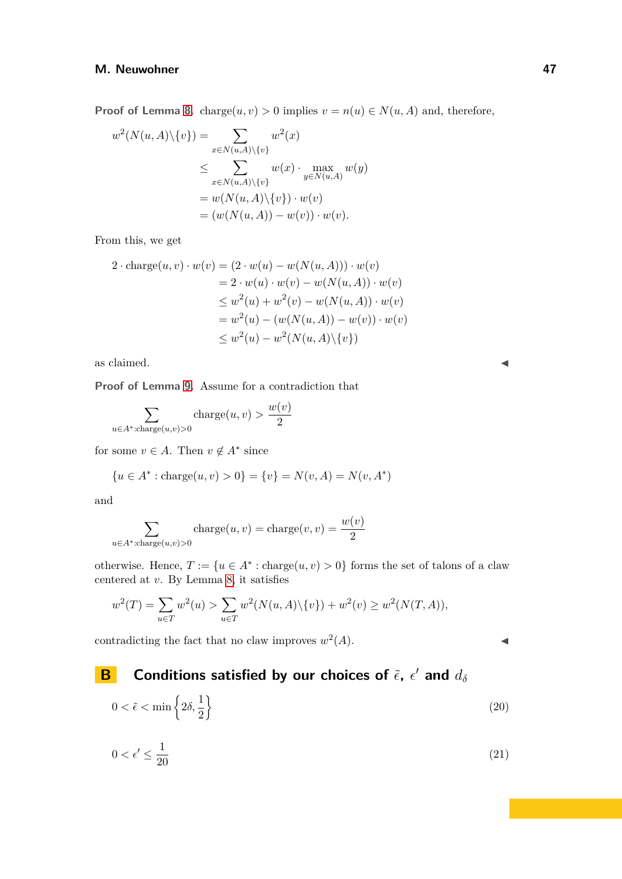**Proof of Lemma [8.](#page-7-1)** charge $(u, v) > 0$  implies  $v = n(u) \in N(u, A)$  and, therefore,

$$
w^{2}(N(u, A)\setminus\{v\}) = \sum_{x \in N(u, A)\setminus\{v\}} w^{2}(x)
$$
  
\n
$$
\leq \sum_{x \in N(u, A)\setminus\{v\}} w(x) \cdot \max_{y \in N(u, A)} w(y)
$$
  
\n
$$
= w(N(u, A)\setminus\{v\}) \cdot w(v)
$$
  
\n
$$
= (w(N(u, A)) - w(v)) \cdot w(v).
$$

From this, we get

$$
2 \cdot \text{charge}(u, v) \cdot w(v) = (2 \cdot w(u) - w(N(u, A))) \cdot w(v)
$$
  
= 2 \cdot w(u) \cdot w(v) - w(N(u, A)) \cdot w(v)  

$$
\leq w^2(u) + w^2(v) - w(N(u, A)) \cdot w(v)
$$
  
= w<sup>2</sup>(u) - (w(N(u, A)) - w(v)) \cdot w(v)  

$$
\leq w^2(u) - w^2(N(u, A) \setminus \{v\})
$$

as claimed.  $\blacksquare$ 

**Proof of Lemma [9.](#page-7-2)** Assume for a contradiction that

$$
\sum_{u \in A^* : \text{charge}(u,v) > 0} \text{charge}(u,v) > \frac{w(v)}{2}
$$

for some  $v \in A$ . Then  $v \notin A^*$  since

$$
\{u \in A^* : \text{charge}(u, v) > 0\} = \{v\} = N(v, A) = N(v, A^*)
$$

and

$$
\sum_{u \in A^* : \text{charge}(u,v) > 0} \text{charge}(u,v) = \text{charge}(v,v) = \frac{w(v)}{2}
$$

otherwise. Hence,  $T := \{u \in A^* : \text{charge}(u, v) > 0\}$  forms the set of talons of a claw centered at *v*. By Lemma [8,](#page-7-1) it satisfies

$$
w^{2}(T) = \sum_{u \in T} w^{2}(u) > \sum_{u \in T} w^{2}(N(u, A) \setminus \{v\}) + w^{2}(v) \ge w^{2}(N(T, A)),
$$

contradicting the fact that no claw improves  $w^2(A)$ .

# <span id="page-46-0"></span>**B Conditions satisfied by our choices of** *ϵ*˜**,** *ϵ* ′ **and** *d<sup>δ</sup>*

<span id="page-46-2"></span><span id="page-46-1"></span>
$$
0 < \tilde{\epsilon} < \min\left\{2\delta, \frac{1}{2}\right\} \tag{20}
$$

$$
0 < \epsilon' \le \frac{1}{20} \tag{21}
$$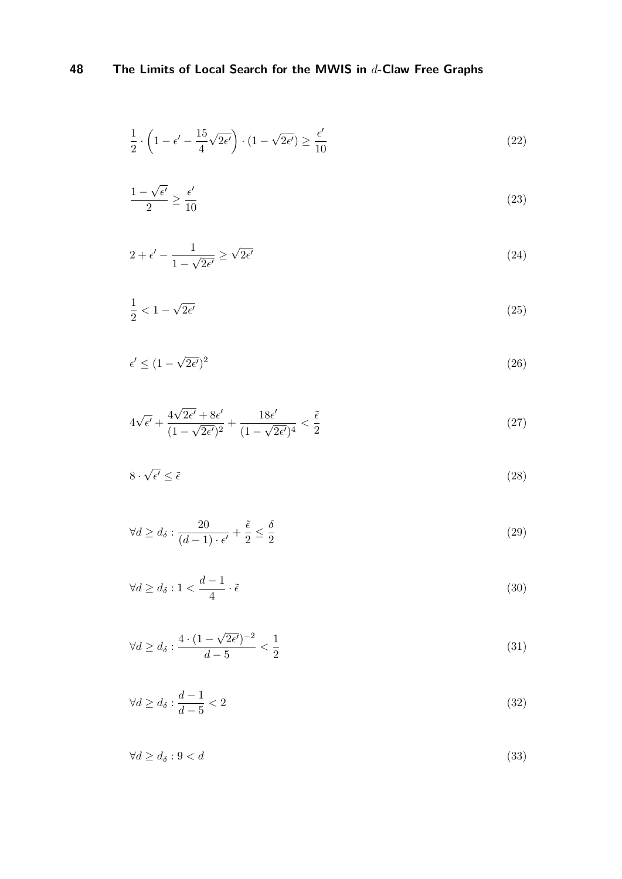<span id="page-47-0"></span>
$$
\frac{1}{2} \cdot \left(1 - \epsilon' - \frac{15}{4} \sqrt{2\epsilon'}\right) \cdot \left(1 - \sqrt{2\epsilon'}\right) \ge \frac{\epsilon'}{10}
$$
\n<sup>(22)</sup>

<span id="page-47-1"></span>
$$
\frac{1-\sqrt{\epsilon'}}{2} \ge \frac{\epsilon'}{10} \tag{23}
$$

<span id="page-47-2"></span>
$$
2 + \epsilon' - \frac{1}{1 - \sqrt{2\epsilon'}} \ge \sqrt{2\epsilon'}
$$
\n(24)

<span id="page-47-3"></span>
$$
\frac{1}{2} < 1 - \sqrt{2\epsilon'} \tag{25}
$$

<span id="page-47-7"></span>
$$
\epsilon' \le (1 - \sqrt{2\epsilon'})^2 \tag{26}
$$

<span id="page-47-9"></span>
$$
4\sqrt{\epsilon'} + \frac{4\sqrt{2\epsilon'} + 8\epsilon'}{(1 - \sqrt{2\epsilon'})^2} + \frac{18\epsilon'}{(1 - \sqrt{2\epsilon'})^4} < \frac{\tilde{\epsilon}}{2} \tag{27}
$$

<span id="page-47-10"></span>
$$
8 \cdot \sqrt{\epsilon'} \le \tilde{\epsilon} \tag{28}
$$

<span id="page-47-11"></span>
$$
\forall d \ge d_{\delta} : \frac{20}{(d-1) \cdot \epsilon'} + \frac{\tilde{\epsilon}}{2} \le \frac{\delta}{2}
$$
\n
$$
(29)
$$

<span id="page-47-4"></span>
$$
\forall d \ge d_{\delta} : 1 < \frac{d-1}{4} \cdot \tilde{\epsilon} \tag{30}
$$

<span id="page-47-6"></span>
$$
\forall d \ge d_\delta : \frac{4 \cdot (1 - \sqrt{2\epsilon'})^{-2}}{d - 5} < \frac{1}{2} \tag{31}
$$

<span id="page-47-8"></span><span id="page-47-5"></span>
$$
\forall d \ge d_\delta : \frac{d-1}{d-5} < 2 \tag{32}
$$

$$
\forall d \ge d_\delta : 9 < d \tag{33}
$$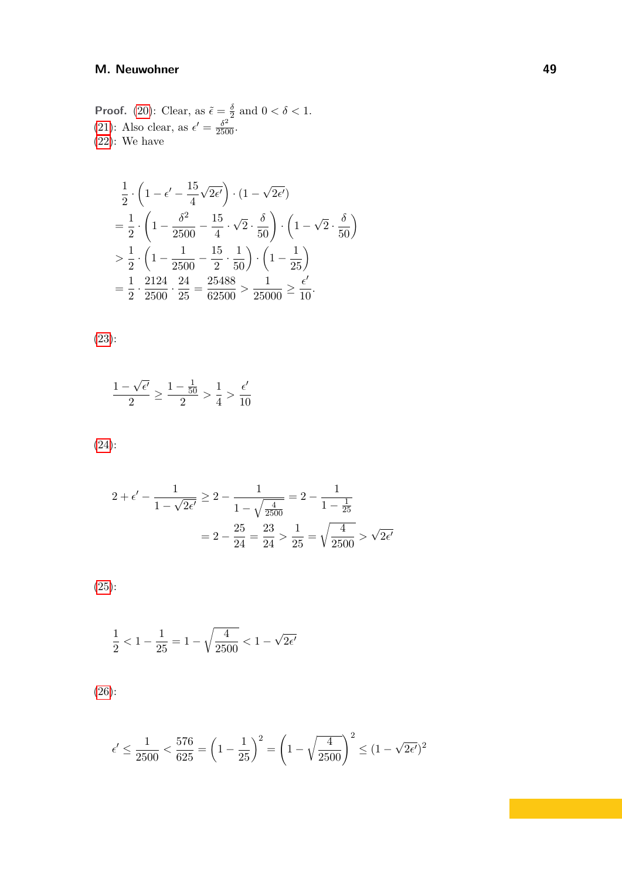**Proof.** [\(20\)](#page-46-2): Clear, as  $\tilde{\epsilon} = \frac{\delta}{2}$  $\frac{\delta}{2}$  and  $0 < \delta < 1$ . [\(21\)](#page-46-1): Also clear, as  $\epsilon' = \frac{\delta^2}{2500}$ . [\(22\)](#page-47-0): We have

$$
\frac{1}{2} \cdot \left(1 - \epsilon' - \frac{15}{4} \sqrt{2\epsilon'}\right) \cdot (1 - \sqrt{2\epsilon'})
$$
\n
$$
= \frac{1}{2} \cdot \left(1 - \frac{\delta^2}{2500} - \frac{15}{4} \cdot \sqrt{2} \cdot \frac{\delta}{50}\right) \cdot \left(1 - \sqrt{2} \cdot \frac{\delta}{50}\right)
$$
\n
$$
> \frac{1}{2} \cdot \left(1 - \frac{1}{2500} - \frac{15}{2} \cdot \frac{1}{50}\right) \cdot \left(1 - \frac{1}{25}\right)
$$
\n
$$
= \frac{1}{2} \cdot \frac{2124}{2500} \cdot \frac{24}{25} = \frac{25488}{62500} > \frac{1}{25000} \ge \frac{\epsilon'}{10}.
$$

[\(23\)](#page-47-1):

$$
\frac{1-\sqrt{\epsilon'}}{2} \ge \frac{1-\frac{1}{50}}{2} > \frac{1}{4} > \frac{\epsilon'}{10}
$$

$$
(24):
$$

$$
2 + \epsilon' - \frac{1}{1 - \sqrt{2\epsilon'}} \ge 2 - \frac{1}{1 - \sqrt{\frac{4}{2500}}} = 2 - \frac{1}{1 - \frac{1}{25}}
$$

$$
= 2 - \frac{25}{24} = \frac{23}{24} > \frac{1}{25} = \sqrt{\frac{4}{2500}} > \sqrt{2\epsilon'}
$$

[\(25\)](#page-47-3):

$$
\frac{1}{2}<1-\frac{1}{25}=1-\sqrt{\frac{4}{2500}}<1-\sqrt{2\epsilon'}
$$

[\(26\)](#page-47-7):

$$
\epsilon' \le \frac{1}{2500} < \frac{576}{625} = \left(1 - \frac{1}{25}\right)^2 = \left(1 - \sqrt{\frac{4}{2500}}\right)^2 \le (1 - \sqrt{2\epsilon'})^2
$$